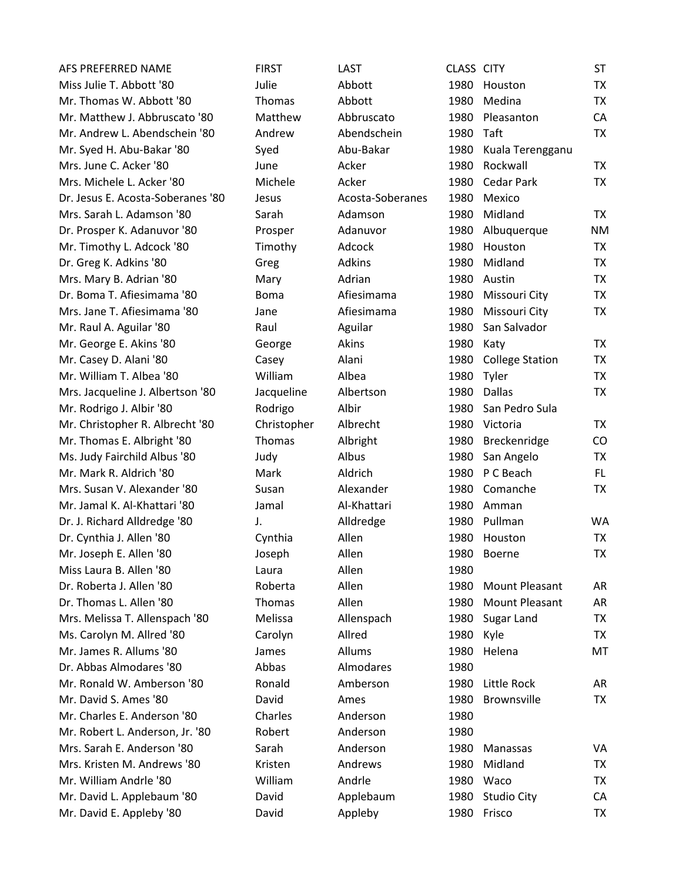| AFS PREFERRED NAME                | <b>FIRST</b>  | LAST             | CLASS CITY |                        | <b>ST</b> |
|-----------------------------------|---------------|------------------|------------|------------------------|-----------|
| Miss Julie T. Abbott '80          | Julie         | Abbott           | 1980       | Houston                | <b>TX</b> |
| Mr. Thomas W. Abbott '80          | <b>Thomas</b> | Abbott           | 1980       | Medina                 | <b>TX</b> |
| Mr. Matthew J. Abbruscato '80     | Matthew       | Abbruscato       | 1980       | Pleasanton             | CA        |
| Mr. Andrew L. Abendschein '80     | Andrew        | Abendschein      | 1980       | Taft                   | <b>TX</b> |
| Mr. Syed H. Abu-Bakar '80         | Syed          | Abu-Bakar        | 1980       | Kuala Terengganu       |           |
| Mrs. June C. Acker '80            | June          | Acker            | 1980       | Rockwall               | <b>TX</b> |
| Mrs. Michele L. Acker '80         | Michele       | Acker            | 1980       | Cedar Park             | <b>TX</b> |
| Dr. Jesus E. Acosta-Soberanes '80 | Jesus         | Acosta-Soberanes | 1980       | Mexico                 |           |
| Mrs. Sarah L. Adamson '80         | Sarah         | Adamson          | 1980       | Midland                | <b>TX</b> |
| Dr. Prosper K. Adanuvor '80       | Prosper       | Adanuvor         | 1980       | Albuquerque            | <b>NM</b> |
| Mr. Timothy L. Adcock '80         | Timothy       | Adcock           | 1980       | Houston                | <b>TX</b> |
| Dr. Greg K. Adkins '80            | Greg          | Adkins           | 1980       | Midland                | <b>TX</b> |
| Mrs. Mary B. Adrian '80           | Mary          | Adrian           | 1980       | Austin                 | <b>TX</b> |
| Dr. Boma T. Afiesimama '80        | <b>Boma</b>   | Afiesimama       | 1980       | Missouri City          | <b>TX</b> |
| Mrs. Jane T. Afiesimama '80       | Jane          | Afiesimama       | 1980       | Missouri City          | TX        |
| Mr. Raul A. Aguilar '80           | Raul          | Aguilar          | 1980       | San Salvador           |           |
| Mr. George E. Akins '80           | George        | Akins            | 1980       | Katy                   | <b>TX</b> |
| Mr. Casey D. Alani '80            | Casey         | Alani            | 1980       | <b>College Station</b> | <b>TX</b> |
| Mr. William T. Albea '80          | William       | Albea            | 1980       | Tyler                  | <b>TX</b> |
| Mrs. Jacqueline J. Albertson '80  | Jacqueline    | Albertson        | 1980       | Dallas                 | <b>TX</b> |
| Mr. Rodrigo J. Albir '80          | Rodrigo       | Albir            | 1980       | San Pedro Sula         |           |
| Mr. Christopher R. Albrecht '80   | Christopher   | Albrecht         | 1980       | Victoria               | <b>TX</b> |
| Mr. Thomas E. Albright '80        | <b>Thomas</b> | Albright         | 1980       | Breckenridge           | CO        |
| Ms. Judy Fairchild Albus '80      | Judy          | Albus            | 1980       | San Angelo             | <b>TX</b> |
| Mr. Mark R. Aldrich '80           | Mark          | Aldrich          | 1980       | P C Beach              | FL.       |
| Mrs. Susan V. Alexander '80       | Susan         | Alexander        | 1980       | Comanche               | <b>TX</b> |
| Mr. Jamal K. Al-Khattari '80      | Jamal         | Al-Khattari      | 1980       | Amman                  |           |
| Dr. J. Richard Alldredge '80      | J.            | Alldredge        | 1980       | Pullman                | <b>WA</b> |
| Dr. Cynthia J. Allen '80          | Cynthia       | Allen            | 1980       | Houston                | TX        |
| Mr. Joseph E. Allen '80           | Joseph        | Allen            | 1980       | <b>Boerne</b>          | <b>TX</b> |
| Miss Laura B. Allen '80           | Laura         | Allen            | 1980       |                        |           |
| Dr. Roberta J. Allen '80          | Roberta       | Allen            | 1980       | Mount Pleasant         | AR        |
| Dr. Thomas L. Allen '80           | Thomas        | Allen            | 1980       | <b>Mount Pleasant</b>  | AR        |
| Mrs. Melissa T. Allenspach '80    | Melissa       | Allenspach       | 1980       | Sugar Land             | <b>TX</b> |
| Ms. Carolyn M. Allred '80         | Carolyn       | Allred           | 1980       | Kyle                   | <b>TX</b> |
| Mr. James R. Allums '80           | James         | Allums           | 1980       | Helena                 | MT        |
| Dr. Abbas Almodares '80           | Abbas         | Almodares        | 1980       |                        |           |
| Mr. Ronald W. Amberson '80        | Ronald        | Amberson         | 1980       | Little Rock            | AR        |
| Mr. David S. Ames '80             | David         | Ames             | 1980       | <b>Brownsville</b>     | <b>TX</b> |
| Mr. Charles E. Anderson '80       | Charles       | Anderson         | 1980       |                        |           |
| Mr. Robert L. Anderson, Jr. '80   | Robert        | Anderson         | 1980       |                        |           |
| Mrs. Sarah E. Anderson '80        | Sarah         | Anderson         | 1980       | Manassas               | VA        |
| Mrs. Kristen M. Andrews '80       | Kristen       | Andrews          | 1980       | Midland                | TX        |
| Mr. William Andrle '80            | William       | Andrle           | 1980       | Waco                   | <b>TX</b> |
| Mr. David L. Applebaum '80        | David         | Applebaum        | 1980       | <b>Studio City</b>     | CA        |
| Mr. David E. Appleby '80          | David         | Appleby          |            | 1980 Frisco            | TX        |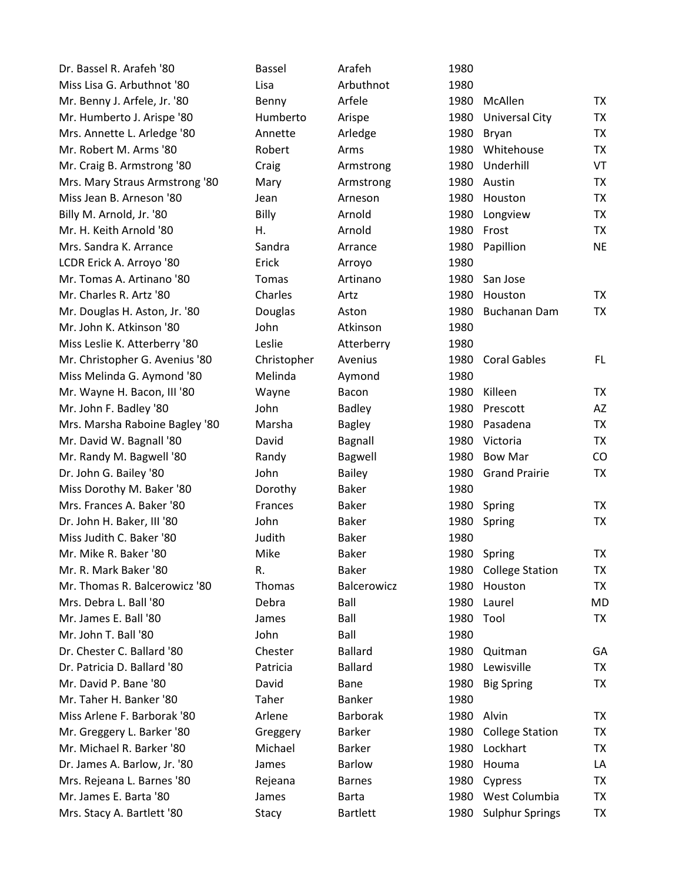| Dr. Bassel R. Arafeh '80       | Bassel      | Arafeh          | 1980      |                        |           |
|--------------------------------|-------------|-----------------|-----------|------------------------|-----------|
| Miss Lisa G. Arbuthnot '80     | Lisa        | Arbuthnot       | 1980      |                        |           |
| Mr. Benny J. Arfele, Jr. '80   | Benny       | Arfele          | 1980      | McAllen                | TX        |
| Mr. Humberto J. Arispe '80     | Humberto    | Arispe          | 1980      | <b>Universal City</b>  | <b>TX</b> |
| Mrs. Annette L. Arledge '80    | Annette     | Arledge         | 1980      | Bryan                  | <b>TX</b> |
| Mr. Robert M. Arms '80         | Robert      | Arms            | 1980      | Whitehouse             | <b>TX</b> |
| Mr. Craig B. Armstrong '80     | Craig       | Armstrong       | 1980      | Underhill              | VT        |
| Mrs. Mary Straus Armstrong '80 | Mary        | Armstrong       |           | 1980 Austin            | TX        |
| Miss Jean B. Arneson '80       | Jean        | Arneson         | 1980      | Houston                | <b>TX</b> |
| Billy M. Arnold, Jr. '80       | Billy       | Arnold          | 1980      | Longview               | TX        |
| Mr. H. Keith Arnold '80        | Η.          | Arnold          | 1980      | Frost                  | TX        |
| Mrs. Sandra K. Arrance         | Sandra      | Arrance         | 1980      | Papillion              | <b>NE</b> |
| LCDR Erick A. Arroyo '80       | Erick       | Arroyo          | 1980      |                        |           |
| Mr. Tomas A. Artinano '80      | Tomas       | Artinano        | 1980      | San Jose               |           |
| Mr. Charles R. Artz '80        | Charles     | Artz            | 1980      | Houston                | TX        |
| Mr. Douglas H. Aston, Jr. '80  | Douglas     | Aston           | 1980      | <b>Buchanan Dam</b>    | TX        |
| Mr. John K. Atkinson '80       | John        | Atkinson        | 1980      |                        |           |
| Miss Leslie K. Atterberry '80  | Leslie      | Atterberry      | 1980      |                        |           |
| Mr. Christopher G. Avenius '80 | Christopher | Avenius         | 1980      | <b>Coral Gables</b>    | FL.       |
| Miss Melinda G. Aymond '80     | Melinda     | Aymond          | 1980      |                        |           |
| Mr. Wayne H. Bacon, III '80    | Wayne       | Bacon           | 1980      | Killeen                | TX        |
| Mr. John F. Badley '80         | John        | <b>Badley</b>   | 1980      | Prescott               | AZ        |
| Mrs. Marsha Raboine Bagley '80 | Marsha      | <b>Bagley</b>   | 1980      | Pasadena               | <b>TX</b> |
| Mr. David W. Bagnall '80       | David       | Bagnall         | 1980      | Victoria               | <b>TX</b> |
| Mr. Randy M. Bagwell '80       | Randy       | <b>Bagwell</b>  | 1980      | Bow Mar                | CO        |
| Dr. John G. Bailey '80         | John        | <b>Bailey</b>   | 1980      | <b>Grand Prairie</b>   | <b>TX</b> |
| Miss Dorothy M. Baker '80      | Dorothy     | <b>Baker</b>    | 1980      |                        |           |
| Mrs. Frances A. Baker '80      | Frances     | <b>Baker</b>    | 1980      | Spring                 | <b>TX</b> |
| Dr. John H. Baker, III '80     | John        | <b>Baker</b>    | 1980      | Spring                 | <b>TX</b> |
| Miss Judith C. Baker '80       | Judith      | <b>Baker</b>    | 1980      |                        |           |
| Mr. Mike R. Baker '80          | Mike        | <b>Baker</b>    | 1980      | Spring                 | <b>TX</b> |
| Mr. R. Mark Baker '80          | R.          | <b>Baker</b>    |           | 1980 College Station   | TX        |
| Mr. Thomas R. Balcerowicz '80  | Thomas      | Balcerowicz     | 1980      | Houston                | <b>TX</b> |
| Mrs. Debra L. Ball '80         | Debra       | Ball            | 1980      | Laurel                 | <b>MD</b> |
| Mr. James E. Ball '80          | James       | Ball            | 1980 Tool |                        | TX        |
| Mr. John T. Ball '80           | John        | Ball            | 1980      |                        |           |
| Dr. Chester C. Ballard '80     | Chester     | <b>Ballard</b>  | 1980      | Quitman                | GA        |
| Dr. Patricia D. Ballard '80    | Patricia    | <b>Ballard</b>  | 1980      | Lewisville             | TX        |
| Mr. David P. Bane '80          | David       | Bane            | 1980      | <b>Big Spring</b>      | <b>TX</b> |
| Mr. Taher H. Banker '80        | Taher       | <b>Banker</b>   | 1980      |                        |           |
| Miss Arlene F. Barborak '80    | Arlene      | <b>Barborak</b> | 1980      | Alvin                  | TX        |
| Mr. Greggery L. Barker '80     | Greggery    | <b>Barker</b>   | 1980      | <b>College Station</b> | TX        |
| Mr. Michael R. Barker '80      | Michael     | <b>Barker</b>   | 1980      | Lockhart               | TX        |
| Dr. James A. Barlow, Jr. '80   | James       | <b>Barlow</b>   | 1980      | Houma                  | LA        |
| Mrs. Rejeana L. Barnes '80     | Rejeana     | <b>Barnes</b>   | 1980      | Cypress                | <b>TX</b> |
| Mr. James E. Barta '80         | James       | <b>Barta</b>    |           | 1980 West Columbia     | <b>TX</b> |
| Mrs. Stacy A. Bartlett '80     | Stacy       | <b>Bartlett</b> |           | 1980 Sulphur Springs   | TX        |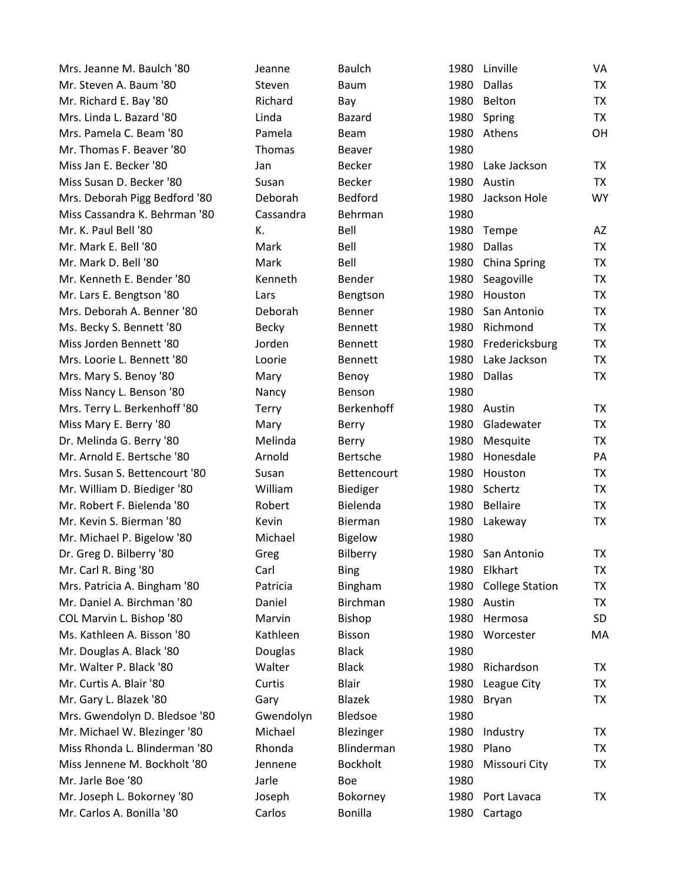| Mrs. Jeanne M. Baulch '80     | Jeanne       | <b>Baulch</b>      | 1980 | Linville               | VA        |
|-------------------------------|--------------|--------------------|------|------------------------|-----------|
| Mr. Steven A. Baum '80        | Steven       | <b>Baum</b>        | 1980 | <b>Dallas</b>          | <b>TX</b> |
| Mr. Richard E. Bay '80        | Richard      | Bay                | 1980 | Belton                 | <b>TX</b> |
| Mrs. Linda L. Bazard '80      | Linda        | <b>Bazard</b>      | 1980 | Spring                 | <b>TX</b> |
| Mrs. Pamela C. Beam '80       | Pamela       | Beam               | 1980 | Athens                 | OH        |
| Mr. Thomas F. Beaver '80      | Thomas       | <b>Beaver</b>      | 1980 |                        |           |
| Miss Jan E. Becker '80        | Jan          | <b>Becker</b>      | 1980 | Lake Jackson           | <b>TX</b> |
| Miss Susan D. Becker '80      | Susan        | <b>Becker</b>      | 1980 | Austin                 | <b>TX</b> |
| Mrs. Deborah Pigg Bedford '80 | Deborah      | <b>Bedford</b>     | 1980 | Jackson Hole           | <b>WY</b> |
| Miss Cassandra K. Behrman '80 | Cassandra    | Behrman            | 1980 |                        |           |
| Mr. K. Paul Bell '80          | К.           | Bell               | 1980 | Tempe                  | AZ        |
| Mr. Mark E. Bell '80          | Mark         | Bell               | 1980 | <b>Dallas</b>          | <b>TX</b> |
| Mr. Mark D. Bell '80          | Mark         | Bell               | 1980 | <b>China Spring</b>    | <b>TX</b> |
| Mr. Kenneth E. Bender '80     | Kenneth      | Bender             | 1980 | Seagoville             | <b>TX</b> |
| Mr. Lars E. Bengtson '80      | Lars         | Bengtson           | 1980 | Houston                | <b>TX</b> |
| Mrs. Deborah A. Benner '80    | Deborah      | <b>Benner</b>      | 1980 | San Antonio            | <b>TX</b> |
| Ms. Becky S. Bennett '80      | <b>Becky</b> | <b>Bennett</b>     | 1980 | Richmond               | <b>TX</b> |
| Miss Jorden Bennett '80       | Jorden       | <b>Bennett</b>     | 1980 | Fredericksburg         | <b>TX</b> |
| Mrs. Loorie L. Bennett '80    | Loorie       | Bennett            | 1980 | Lake Jackson           | <b>TX</b> |
| Mrs. Mary S. Benoy '80        | Mary         | Benoy              | 1980 | <b>Dallas</b>          | <b>TX</b> |
| Miss Nancy L. Benson '80      | Nancy        | Benson             | 1980 |                        |           |
| Mrs. Terry L. Berkenhoff '80  | <b>Terry</b> | Berkenhoff         | 1980 | Austin                 | <b>TX</b> |
| Miss Mary E. Berry '80        | Mary         | Berry              | 1980 | Gladewater             | <b>TX</b> |
| Dr. Melinda G. Berry '80      | Melinda      | <b>Berry</b>       | 1980 | Mesquite               | <b>TX</b> |
| Mr. Arnold E. Bertsche '80    | Arnold       | <b>Bertsche</b>    | 1980 | Honesdale              | PA        |
| Mrs. Susan S. Bettencourt '80 | Susan        | <b>Bettencourt</b> | 1980 | Houston                | TX        |
| Mr. William D. Biediger '80   | William      | Biediger           | 1980 | Schertz                | <b>TX</b> |
| Mr. Robert F. Bielenda '80    | Robert       | Bielenda           | 1980 | <b>Bellaire</b>        | <b>TX</b> |
| Mr. Kevin S. Bierman '80      | Kevin        | Bierman            | 1980 | Lakeway                | <b>TX</b> |
| Mr. Michael P. Bigelow '80    | Michael      | <b>Bigelow</b>     | 1980 |                        |           |
| Dr. Greg D. Bilberry '80      | Greg         | Bilberry           | 1980 | San Antonio            | <b>TX</b> |
| Mr. Carl R. Bing '80          | Carl         | <b>Bing</b>        |      | 1980 Elkhart           | ТX        |
| Mrs. Patricia A. Bingham '80  | Patricia     | Bingham            | 1980 | <b>College Station</b> | <b>TX</b> |
| Mr. Daniel A. Birchman '80    | Daniel       | <b>Birchman</b>    | 1980 | Austin                 | <b>TX</b> |
| COL Marvin L. Bishop '80      | Marvin       | Bishop             | 1980 | Hermosa                | <b>SD</b> |
| Ms. Kathleen A. Bisson '80    | Kathleen     | <b>Bisson</b>      | 1980 | Worcester              | MA        |
| Mr. Douglas A. Black '80      | Douglas      | <b>Black</b>       | 1980 |                        |           |
| Mr. Walter P. Black '80       | Walter       | <b>Black</b>       | 1980 | Richardson             | TX        |
| Mr. Curtis A. Blair '80       | Curtis       | <b>Blair</b>       | 1980 | League City            | <b>TX</b> |
| Mr. Gary L. Blazek '80        | Gary         | <b>Blazek</b>      | 1980 | Bryan                  | <b>TX</b> |
| Mrs. Gwendolyn D. Bledsoe '80 | Gwendolyn    | Bledsoe            | 1980 |                        |           |
| Mr. Michael W. Blezinger '80  | Michael      | Blezinger          | 1980 | Industry               | <b>TX</b> |
| Miss Rhonda L. Blinderman '80 | Rhonda       | Blinderman         | 1980 | Plano                  | TX        |
| Miss Jennene M. Bockholt '80  | Jennene      | <b>Bockholt</b>    | 1980 | Missouri City          | <b>TX</b> |
| Mr. Jarle Boe '80             | Jarle        | Boe                | 1980 |                        |           |
| Mr. Joseph L. Bokorney '80    | Joseph       | Bokorney           | 1980 | Port Lavaca            | TX        |
| Mr. Carlos A. Bonilla '80     | Carlos       | <b>Bonilla</b>     | 1980 | Cartago                |           |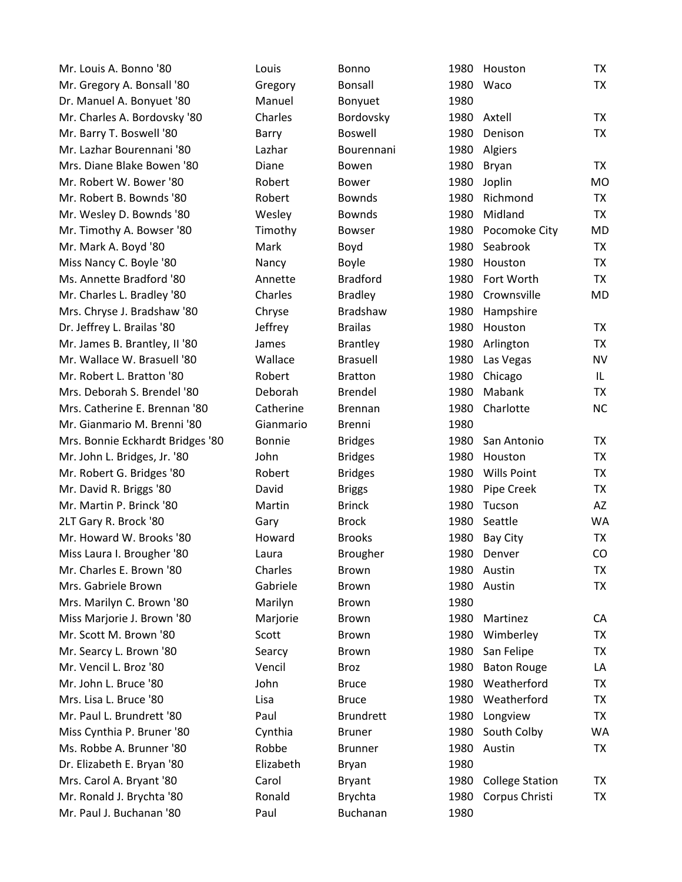| Mr. Louis A. Bonno '80           | Louis         | Bonno            | 1980 | Houston                | TX        |
|----------------------------------|---------------|------------------|------|------------------------|-----------|
| Mr. Gregory A. Bonsall '80       | Gregory       | Bonsall          | 1980 | Waco                   | TX        |
| Dr. Manuel A. Bonyuet '80        | Manuel        | Bonyuet          | 1980 |                        |           |
| Mr. Charles A. Bordovsky '80     | Charles       | Bordovsky        | 1980 | Axtell                 | <b>TX</b> |
| Mr. Barry T. Boswell '80         | Barry         | <b>Boswell</b>   | 1980 | Denison                | <b>TX</b> |
| Mr. Lazhar Bourennani '80        | Lazhar        | Bourennani       | 1980 | Algiers                |           |
| Mrs. Diane Blake Bowen '80       | Diane         | Bowen            | 1980 | Bryan                  | TX        |
| Mr. Robert W. Bower '80          | Robert        | <b>Bower</b>     | 1980 | Joplin                 | <b>MO</b> |
| Mr. Robert B. Bownds '80         | Robert        | <b>Bownds</b>    | 1980 | Richmond               | <b>TX</b> |
| Mr. Wesley D. Bownds '80         | Wesley        | <b>Bownds</b>    | 1980 | Midland                | <b>TX</b> |
| Mr. Timothy A. Bowser '80        | Timothy       | <b>Bowser</b>    | 1980 | Pocomoke City          | <b>MD</b> |
| Mr. Mark A. Boyd '80             | Mark          | Boyd             | 1980 | Seabrook               | <b>TX</b> |
| Miss Nancy C. Boyle '80          | Nancy         | <b>Boyle</b>     | 1980 | Houston                | <b>TX</b> |
| Ms. Annette Bradford '80         | Annette       | <b>Bradford</b>  | 1980 | Fort Worth             | <b>TX</b> |
| Mr. Charles L. Bradley '80       | Charles       | <b>Bradley</b>   | 1980 | Crownsville            | <b>MD</b> |
| Mrs. Chryse J. Bradshaw '80      | Chryse        | <b>Bradshaw</b>  | 1980 | Hampshire              |           |
| Dr. Jeffrey L. Brailas '80       | Jeffrey       | <b>Brailas</b>   | 1980 | Houston                | <b>TX</b> |
| Mr. James B. Brantley, II '80    | James         | <b>Brantley</b>  | 1980 | Arlington              | <b>TX</b> |
| Mr. Wallace W. Brasuell '80      | Wallace       | <b>Brasuell</b>  | 1980 | Las Vegas              | <b>NV</b> |
| Mr. Robert L. Bratton '80        | Robert        | <b>Bratton</b>   | 1980 | Chicago                | IL        |
| Mrs. Deborah S. Brendel '80      | Deborah       | Brendel          | 1980 | Mabank                 | TX        |
| Mrs. Catherine E. Brennan '80    | Catherine     | <b>Brennan</b>   | 1980 | Charlotte              | <b>NC</b> |
| Mr. Gianmario M. Brenni '80      | Gianmario     | <b>Brenni</b>    | 1980 |                        |           |
| Mrs. Bonnie Eckhardt Bridges '80 | <b>Bonnie</b> | <b>Bridges</b>   | 1980 | San Antonio            | <b>TX</b> |
| Mr. John L. Bridges, Jr. '80     | John          | <b>Bridges</b>   | 1980 | Houston                | <b>TX</b> |
| Mr. Robert G. Bridges '80        | Robert        | <b>Bridges</b>   | 1980 | <b>Wills Point</b>     | <b>TX</b> |
| Mr. David R. Briggs '80          | David         | <b>Briggs</b>    | 1980 | Pipe Creek             | <b>TX</b> |
| Mr. Martin P. Brinck '80         | Martin        | <b>Brinck</b>    | 1980 | Tucson                 | AZ        |
| 2LT Gary R. Brock '80            | Gary          | <b>Brock</b>     | 1980 | Seattle                | <b>WA</b> |
| Mr. Howard W. Brooks '80         | Howard        | <b>Brooks</b>    | 1980 | Bay City               | TX        |
| Miss Laura I. Brougher '80       | Laura         | <b>Brougher</b>  | 1980 | Denver                 | CO        |
| Mr. Charles E. Brown '80         | Charles       | <b>Brown</b>     |      | 1980 Austin            | TX        |
| Mrs. Gabriele Brown              | Gabriele      | <b>Brown</b>     | 1980 | Austin                 | <b>TX</b> |
| Mrs. Marilyn C. Brown '80        | Marilyn       | <b>Brown</b>     | 1980 |                        |           |
| Miss Marjorie J. Brown '80       | Marjorie      | <b>Brown</b>     | 1980 | Martinez               | CA        |
| Mr. Scott M. Brown '80           | Scott         | <b>Brown</b>     | 1980 | Wimberley              | <b>TX</b> |
| Mr. Searcy L. Brown '80          | Searcy        | <b>Brown</b>     | 1980 | San Felipe             | <b>TX</b> |
| Mr. Vencil L. Broz '80           | Vencil        | Broz             | 1980 | <b>Baton Rouge</b>     | LA        |
| Mr. John L. Bruce '80            | John          | <b>Bruce</b>     | 1980 | Weatherford            | <b>TX</b> |
| Mrs. Lisa L. Bruce '80           | Lisa          | <b>Bruce</b>     | 1980 | Weatherford            | <b>TX</b> |
| Mr. Paul L. Brundrett '80        | Paul          | <b>Brundrett</b> | 1980 | Longview               | <b>TX</b> |
| Miss Cynthia P. Bruner '80       | Cynthia       | <b>Bruner</b>    | 1980 | South Colby            | <b>WA</b> |
| Ms. Robbe A. Brunner '80         | Robbe         | <b>Brunner</b>   | 1980 | Austin                 | TX        |
| Dr. Elizabeth E. Bryan '80       | Elizabeth     | <b>Bryan</b>     | 1980 |                        |           |
| Mrs. Carol A. Bryant '80         | Carol         | <b>Bryant</b>    | 1980 | <b>College Station</b> | TX        |
| Mr. Ronald J. Brychta '80        | Ronald        | <b>Brychta</b>   | 1980 | Corpus Christi         | <b>TX</b> |
| Mr. Paul J. Buchanan '80         | Paul          | Buchanan         | 1980 |                        |           |

| 1980 | Houston                | ТX        |
|------|------------------------|-----------|
| 1980 | Waco                   | <b>TX</b> |
| 1980 |                        |           |
| 1980 | Axtell                 | ТX        |
| 1980 | Denison                | <b>TX</b> |
| 1980 | Algiers                |           |
| 1980 | Bryan                  | ТX        |
| 1980 | Joplin                 | МO        |
| 1980 | Richmond               | <b>TX</b> |
| 1980 | Midland                | TX        |
| 1980 | Pocomoke City          | MD        |
| 1980 | Seabrook               | ТX        |
| 1980 | Houston                | TX        |
| 1980 | Fort Worth             | <b>TX</b> |
| 1980 | Crownsville            | MD        |
| 1980 | Hampshire              |           |
| 1980 | Houston                | <b>TX</b> |
| 1980 | Arlington              | <b>TX</b> |
| 1980 | Las Vegas              | NV        |
| 1980 | Chicago                | IL        |
| 1980 | Mabank                 | <b>TX</b> |
| 1980 | Charlotte              | NC        |
| 1980 |                        |           |
| 1980 | San Antonio            | ТX        |
| 1980 | Houston                | <b>TX</b> |
| 1980 | <b>Wills Point</b>     | TX        |
| 1980 | Pipe Creek             | TX        |
| 1980 | Tucson                 | AZ        |
| 1980 | Seattle                | <b>WA</b> |
| 1980 | Bay City               | <b>TX</b> |
| 1980 | Denver                 | CO        |
| 1980 | Austin                 | <b>TX</b> |
| 1980 | Austin                 | <b>TX</b> |
| 1980 |                        |           |
| 1980 | Martinez               | СA        |
| 1980 | Wimberley              | TX        |
| 1980 | San Felipe             | <b>TX</b> |
| 1980 | <b>Baton Rouge</b>     | LA        |
| 1980 | Weatherford            | <b>TX</b> |
| 1980 | Weatherford            | <b>TX</b> |
| 1980 | Longview               | <b>TX</b> |
| 1980 | South Colby            | <b>WA</b> |
| 1980 | Austin                 | <b>TX</b> |
| 1980 |                        |           |
| 1980 | <b>College Station</b> | ТX        |
| 1980 | Corpus Christi         | TX        |
| 1980 |                        |           |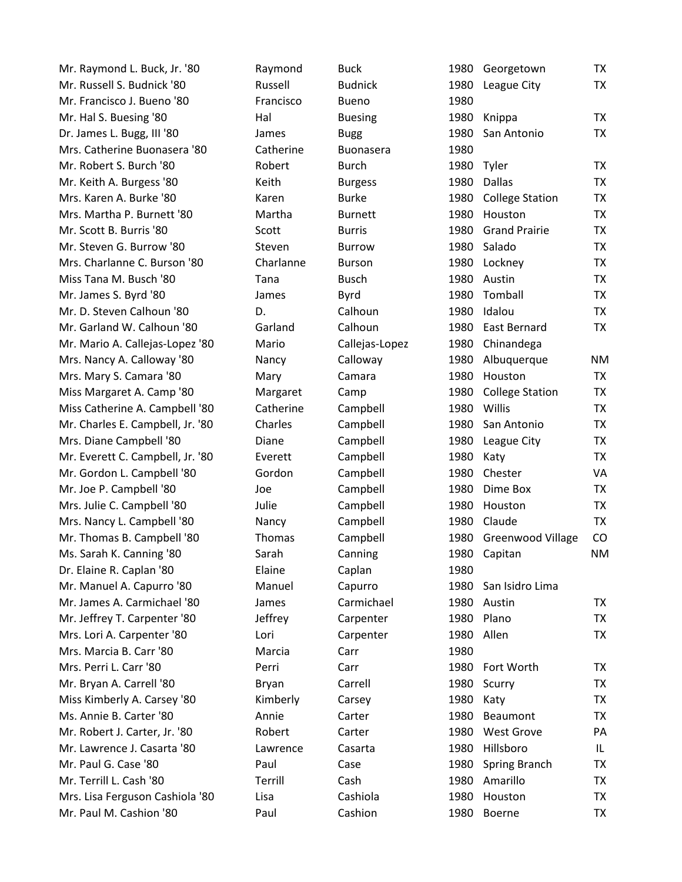| Mr. Raymond L. Buck, Jr. '80     | Raymond   | <b>Buck</b>    |      | 1980 Georgetown          | TX        |
|----------------------------------|-----------|----------------|------|--------------------------|-----------|
| Mr. Russell S. Budnick '80       | Russell   | <b>Budnick</b> |      | 1980 League City         | TX        |
| Mr. Francisco J. Bueno '80       | Francisco | <b>Bueno</b>   | 1980 |                          |           |
| Mr. Hal S. Buesing '80           | Hal       | <b>Buesing</b> | 1980 | Knippa                   | <b>TX</b> |
| Dr. James L. Bugg, III '80       | James     | <b>Bugg</b>    | 1980 | San Antonio              | TX        |
| Mrs. Catherine Buonasera '80     | Catherine | Buonasera      | 1980 |                          |           |
| Mr. Robert S. Burch '80          | Robert    | <b>Burch</b>   | 1980 | Tyler                    | <b>TX</b> |
| Mr. Keith A. Burgess '80         | Keith     | <b>Burgess</b> | 1980 | <b>Dallas</b>            | <b>TX</b> |
| Mrs. Karen A. Burke '80          | Karen     | <b>Burke</b>   | 1980 | <b>College Station</b>   | <b>TX</b> |
| Mrs. Martha P. Burnett '80       | Martha    | <b>Burnett</b> | 1980 | Houston                  | <b>TX</b> |
| Mr. Scott B. Burris '80          | Scott     | <b>Burris</b>  | 1980 | <b>Grand Prairie</b>     | <b>TX</b> |
| Mr. Steven G. Burrow '80         | Steven    | <b>Burrow</b>  | 1980 | Salado                   | <b>TX</b> |
| Mrs. Charlanne C. Burson '80     | Charlanne | <b>Burson</b>  | 1980 | Lockney                  | <b>TX</b> |
| Miss Tana M. Busch '80           | Tana      | <b>Busch</b>   | 1980 | Austin                   | <b>TX</b> |
| Mr. James S. Byrd '80            | James     | <b>Byrd</b>    | 1980 | Tomball                  | <b>TX</b> |
| Mr. D. Steven Calhoun '80        | D.        | Calhoun        | 1980 | Idalou                   | <b>TX</b> |
| Mr. Garland W. Calhoun '80       | Garland   | Calhoun        | 1980 | East Bernard             | <b>TX</b> |
| Mr. Mario A. Callejas-Lopez '80  | Mario     | Callejas-Lopez | 1980 | Chinandega               |           |
| Mrs. Nancy A. Calloway '80       | Nancy     | Calloway       | 1980 | Albuquerque              | <b>NM</b> |
| Mrs. Mary S. Camara '80          | Mary      | Camara         | 1980 | Houston                  | TX        |
| Miss Margaret A. Camp '80        | Margaret  | Camp           | 1980 | <b>College Station</b>   | <b>TX</b> |
| Miss Catherine A. Campbell '80   | Catherine | Campbell       | 1980 | Willis                   | <b>TX</b> |
| Mr. Charles E. Campbell, Jr. '80 | Charles   | Campbell       | 1980 | San Antonio              | <b>TX</b> |
| Mrs. Diane Campbell '80          | Diane     | Campbell       | 1980 | League City              | <b>TX</b> |
| Mr. Everett C. Campbell, Jr. '80 | Everett   | Campbell       | 1980 | Katy                     | <b>TX</b> |
| Mr. Gordon L. Campbell '80       | Gordon    | Campbell       | 1980 | Chester                  | VA        |
| Mr. Joe P. Campbell '80          | Joe       | Campbell       | 1980 | Dime Box                 | TX        |
| Mrs. Julie C. Campbell '80       | Julie     | Campbell       | 1980 | Houston                  | <b>TX</b> |
| Mrs. Nancy L. Campbell '80       | Nancy     | Campbell       | 1980 | Claude                   | <b>TX</b> |
| Mr. Thomas B. Campbell '80       | Thomas    | Campbell       | 1980 | <b>Greenwood Village</b> | CO        |
| Ms. Sarah K. Canning '80         | Sarah     | Canning        | 1980 | Capitan                  | <b>NM</b> |
| Dr. Elaine R. Caplan '80         | Elaine    | Caplan         | 1980 |                          |           |
| Mr. Manuel A. Capurro '80        | Manuel    | Capurro        |      | 1980 San Isidro Lima     |           |
| Mr. James A. Carmichael '80      | James     | Carmichael     | 1980 | Austin                   | TX        |
| Mr. Jeffrey T. Carpenter '80     | Jeffrey   | Carpenter      | 1980 | Plano                    | <b>TX</b> |
| Mrs. Lori A. Carpenter '80       | Lori      | Carpenter      | 1980 | Allen                    | <b>TX</b> |
| Mrs. Marcia B. Carr '80          | Marcia    | Carr           | 1980 |                          |           |
| Mrs. Perri L. Carr '80           | Perri     | Carr           |      | 1980 Fort Worth          | TX        |
| Mr. Bryan A. Carrell '80         | Bryan     | Carrell        | 1980 | Scurry                   | <b>TX</b> |
| Miss Kimberly A. Carsey '80      | Kimberly  | Carsey         | 1980 | Katy                     | <b>TX</b> |
| Ms. Annie B. Carter '80          | Annie     | Carter         | 1980 | Beaumont                 | <b>TX</b> |
| Mr. Robert J. Carter, Jr. '80    | Robert    | Carter         | 1980 | <b>West Grove</b>        | PA        |
| Mr. Lawrence J. Casarta '80      | Lawrence  | Casarta        | 1980 | Hillsboro                | IL.       |
| Mr. Paul G. Case '80             | Paul      | Case           | 1980 | <b>Spring Branch</b>     | <b>TX</b> |
| Mr. Terrill L. Cash '80          | Terrill   | Cash           | 1980 | Amarillo                 | <b>TX</b> |
| Mrs. Lisa Ferguson Cashiola '80  | Lisa      | Cashiola       | 1980 | Houston                  | TX        |
| Mr. Paul M. Cashion '80          | Paul      | Cashion        | 1980 | Boerne                   | TX        |
|                                  |           |                |      |                          |           |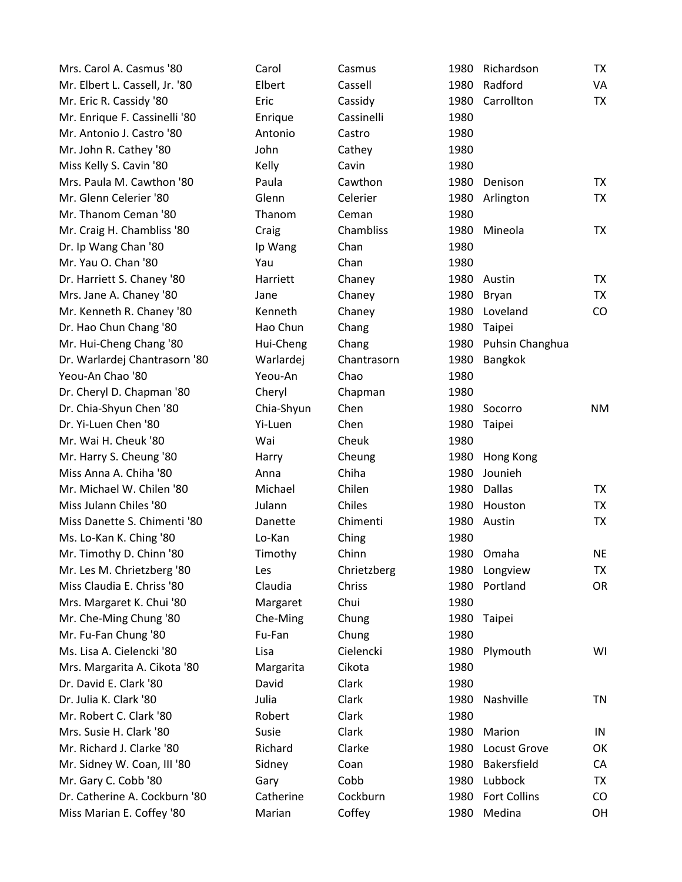| Mrs. Carol A. Casmus '80       | Carol      | Casmus      | 1980 | Richardson           | TX        |
|--------------------------------|------------|-------------|------|----------------------|-----------|
| Mr. Elbert L. Cassell, Jr. '80 | Elbert     | Cassell     | 1980 | Radford              | VA        |
| Mr. Eric R. Cassidy '80        | Eric       | Cassidy     | 1980 | Carrollton           | TX        |
| Mr. Enrique F. Cassinelli '80  | Enrique    | Cassinelli  | 1980 |                      |           |
| Mr. Antonio J. Castro '80      | Antonio    | Castro      | 1980 |                      |           |
| Mr. John R. Cathey '80         | John       | Cathey      | 1980 |                      |           |
| Miss Kelly S. Cavin '80        | Kelly      | Cavin       | 1980 |                      |           |
| Mrs. Paula M. Cawthon '80      | Paula      | Cawthon     | 1980 | Denison              | TX        |
| Mr. Glenn Celerier '80         | Glenn      | Celerier    | 1980 | Arlington            | TX        |
| Mr. Thanom Ceman '80           | Thanom     | Ceman       | 1980 |                      |           |
| Mr. Craig H. Chambliss '80     | Craig      | Chambliss   | 1980 | Mineola              | TX        |
| Dr. Ip Wang Chan '80           | Ip Wang    | Chan        | 1980 |                      |           |
| Mr. Yau O. Chan '80            | Yau        | Chan        | 1980 |                      |           |
| Dr. Harriett S. Chaney '80     | Harriett   | Chaney      | 1980 | Austin               | TX        |
| Mrs. Jane A. Chaney '80        | Jane       | Chaney      | 1980 | Bryan                | <b>TX</b> |
| Mr. Kenneth R. Chaney '80      | Kenneth    | Chaney      | 1980 | Loveland             | CO        |
| Dr. Hao Chun Chang '80         | Hao Chun   | Chang       | 1980 | Taipei               |           |
| Mr. Hui-Cheng Chang '80        | Hui-Cheng  | Chang       |      | 1980 Puhsin Changhua |           |
| Dr. Warlardej Chantrasorn '80  | Warlardej  | Chantrasorn | 1980 | Bangkok              |           |
| Yeou-An Chao '80               | Yeou-An    | Chao        | 1980 |                      |           |
| Dr. Cheryl D. Chapman '80      | Cheryl     | Chapman     | 1980 |                      |           |
| Dr. Chia-Shyun Chen '80        | Chia-Shyun | Chen        | 1980 | Socorro              | <b>NM</b> |
| Dr. Yi-Luen Chen '80           | Yi-Luen    | Chen        | 1980 | Taipei               |           |
| Mr. Wai H. Cheuk '80           | Wai        | Cheuk       | 1980 |                      |           |
| Mr. Harry S. Cheung '80        | Harry      | Cheung      | 1980 | Hong Kong            |           |
| Miss Anna A. Chiha '80         | Anna       | Chiha       | 1980 | Jounieh              |           |
| Mr. Michael W. Chilen '80      | Michael    | Chilen      | 1980 | Dallas               | TX        |
| Miss Julann Chiles '80         | Julann     | Chiles      | 1980 | Houston              | TX        |
| Miss Danette S. Chimenti '80   | Danette    | Chimenti    | 1980 | Austin               | TX        |
| Ms. Lo-Kan K. Ching '80        | Lo-Kan     | Ching       | 1980 |                      |           |
| Mr. Timothy D. Chinn '80       | Timothy    | Chinn       |      | 1980 Omaha           | <b>NE</b> |
| Mr. Les M. Chrietzberg '80     | Les        | Chrietzberg |      | 1980 Longview        | TX        |
| Miss Claudia E. Chriss '80     | Claudia    | Chriss      | 1980 | Portland             | <b>OR</b> |
| Mrs. Margaret K. Chui '80      | Margaret   | Chui        | 1980 |                      |           |
| Mr. Che-Ming Chung '80         | Che-Ming   | Chung       | 1980 | Taipei               |           |
| Mr. Fu-Fan Chung '80           | Fu-Fan     | Chung       | 1980 |                      |           |
| Ms. Lisa A. Cielencki '80      | Lisa       | Cielencki   | 1980 | Plymouth             | WI        |
| Mrs. Margarita A. Cikota '80   | Margarita  | Cikota      | 1980 |                      |           |
| Dr. David E. Clark '80         | David      | Clark       | 1980 |                      |           |
| Dr. Julia K. Clark '80         | Julia      | Clark       | 1980 | Nashville            | <b>TN</b> |
| Mr. Robert C. Clark '80        | Robert     | Clark       | 1980 |                      |           |
| Mrs. Susie H. Clark '80        | Susie      | Clark       | 1980 | Marion               | IN        |
| Mr. Richard J. Clarke '80      | Richard    | Clarke      | 1980 | Locust Grove         | OK        |
| Mr. Sidney W. Coan, III '80    | Sidney     | Coan        | 1980 | Bakersfield          | CA        |
| Mr. Gary C. Cobb '80           | Gary       | Cobb        | 1980 | Lubbock              | TX        |
| Dr. Catherine A. Cockburn '80  | Catherine  | Cockburn    | 1980 | <b>Fort Collins</b>  | CO        |
| Miss Marian E. Coffey '80      | Marian     | Coffey      |      | 1980 Medina          | <b>OH</b> |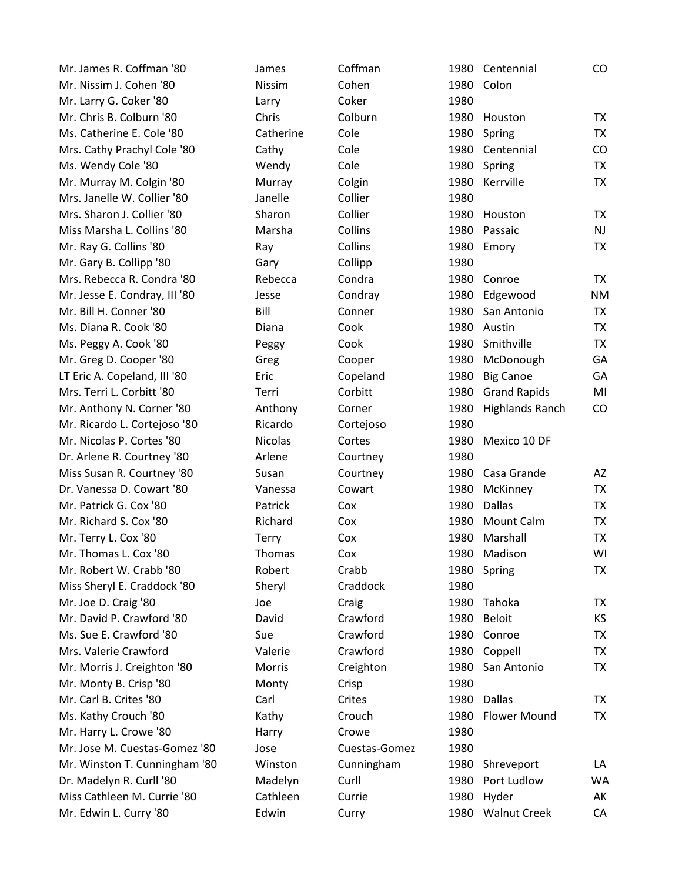| Mr. James R. Coffman '80      | James          | Coffman       |      | 1980 Centennial        | CO        |
|-------------------------------|----------------|---------------|------|------------------------|-----------|
| Mr. Nissim J. Cohen '80       | Nissim         | Cohen         | 1980 | Colon                  |           |
| Mr. Larry G. Coker '80        | Larry          | Coker         | 1980 |                        |           |
| Mr. Chris B. Colburn '80      | Chris          | Colburn       | 1980 | Houston                | <b>TX</b> |
| Ms. Catherine E. Cole '80     | Catherine      | Cole          | 1980 | Spring                 | <b>TX</b> |
| Mrs. Cathy Prachyl Cole '80   | Cathy          | Cole          | 1980 | Centennial             | CO        |
| Ms. Wendy Cole '80            | Wendy          | Cole          | 1980 | Spring                 | <b>TX</b> |
| Mr. Murray M. Colgin '80      | Murray         | Colgin        | 1980 | Kerrville              | <b>TX</b> |
| Mrs. Janelle W. Collier '80   | Janelle        | Collier       | 1980 |                        |           |
| Mrs. Sharon J. Collier '80    | Sharon         | Collier       | 1980 | Houston                | <b>TX</b> |
| Miss Marsha L. Collins '80    | Marsha         | Collins       | 1980 | Passaic                | <b>NJ</b> |
| Mr. Ray G. Collins '80        | Ray            | Collins       | 1980 | Emory                  | <b>TX</b> |
| Mr. Gary B. Collipp '80       | Gary           | Collipp       | 1980 |                        |           |
| Mrs. Rebecca R. Condra '80    | Rebecca        | Condra        | 1980 | Conroe                 | <b>TX</b> |
| Mr. Jesse E. Condray, III '80 | Jesse          | Condray       | 1980 | Edgewood               | <b>NM</b> |
| Mr. Bill H. Conner '80        | Bill           | Conner        | 1980 | San Antonio            | <b>TX</b> |
| Ms. Diana R. Cook '80         | Diana          | Cook          | 1980 | Austin                 | <b>TX</b> |
| Ms. Peggy A. Cook '80         | Peggy          | Cook          | 1980 | Smithville             | <b>TX</b> |
| Mr. Greg D. Cooper '80        | Greg           | Cooper        | 1980 | McDonough              | GA        |
| LT Eric A. Copeland, III '80  | Eric           | Copeland      | 1980 | <b>Big Canoe</b>       | GA        |
| Mrs. Terri L. Corbitt '80     | Terri          | Corbitt       | 1980 | <b>Grand Rapids</b>    | MI        |
| Mr. Anthony N. Corner '80     | Anthony        | Corner        | 1980 | <b>Highlands Ranch</b> | CO        |
| Mr. Ricardo L. Cortejoso '80  | Ricardo        | Cortejoso     | 1980 |                        |           |
| Mr. Nicolas P. Cortes '80     | <b>Nicolas</b> | Cortes        | 1980 | Mexico 10 DF           |           |
| Dr. Arlene R. Courtney '80    | Arlene         | Courtney      | 1980 |                        |           |
| Miss Susan R. Courtney '80    | Susan          | Courtney      | 1980 | Casa Grande            | AZ        |
| Dr. Vanessa D. Cowart '80     | Vanessa        | Cowart        | 1980 | McKinney               | <b>TX</b> |
| Mr. Patrick G. Cox '80        | Patrick        | Cox           | 1980 | <b>Dallas</b>          | <b>TX</b> |
| Mr. Richard S. Cox '80        | Richard        | Cox           | 1980 | <b>Mount Calm</b>      | <b>TX</b> |
| Mr. Terry L. Cox '80          | Terry          | Cox           | 1980 | Marshall               | <b>TX</b> |
| Mr. Thomas L. Cox '80         | Thomas         | Cox           | 1980 | Madison                | WI        |
| Mr. Robert W. Crabb '80       | Robert         | Crabb         |      | 1980 Spring            | TX        |
| Miss Sheryl E. Craddock '80   | Sheryl         | Craddock      | 1980 |                        |           |
| Mr. Joe D. Craig '80          | Joe            | Craig         | 1980 | Tahoka                 | TX        |
| Mr. David P. Crawford '80     | David          | Crawford      | 1980 | <b>Beloit</b>          | KS        |
| Ms. Sue E. Crawford '80       | Sue            | Crawford      | 1980 | Conroe                 | <b>TX</b> |
| Mrs. Valerie Crawford         | Valerie        | Crawford      | 1980 | Coppell                | <b>TX</b> |
| Mr. Morris J. Creighton '80   | Morris         | Creighton     | 1980 | San Antonio            | TX        |
| Mr. Monty B. Crisp '80        | Monty          | Crisp         | 1980 |                        |           |
| Mr. Carl B. Crites '80        | Carl           | Crites        | 1980 | Dallas                 | <b>TX</b> |
| Ms. Kathy Crouch '80          | Kathy          | Crouch        | 1980 | <b>Flower Mound</b>    | <b>TX</b> |
| Mr. Harry L. Crowe '80        | Harry          | Crowe         | 1980 |                        |           |
| Mr. Jose M. Cuestas-Gomez '80 | Jose           | Cuestas-Gomez | 1980 |                        |           |
| Mr. Winston T. Cunningham '80 | Winston        | Cunningham    | 1980 | Shreveport             | LA        |
| Dr. Madelyn R. Curll '80      | Madelyn        | Curll         | 1980 | Port Ludlow            | <b>WA</b> |
| Miss Cathleen M. Currie '80   | Cathleen       | Currie        | 1980 | Hyder                  | AK        |
| Mr. Edwin L. Curry '80        | Edwin          | Curry         | 1980 | <b>Walnut Creek</b>    | CA        |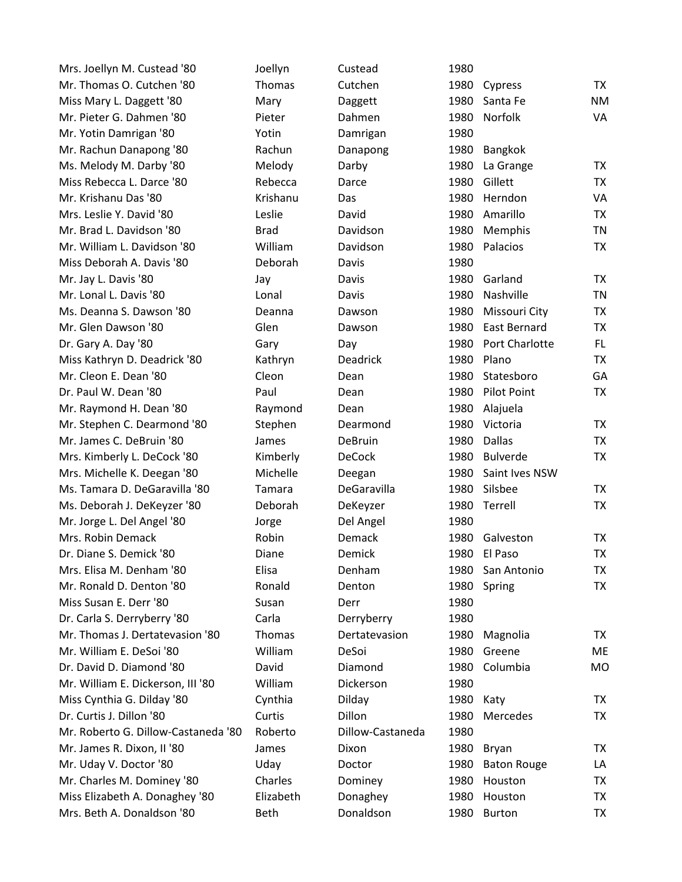| Mrs. Joellyn M. Custead '80         | Joellyn     | Custead          | 1980 |                     |           |
|-------------------------------------|-------------|------------------|------|---------------------|-----------|
| Mr. Thomas O. Cutchen '80           | Thomas      | Cutchen          | 1980 | Cypress             | <b>TX</b> |
| Miss Mary L. Daggett '80            | Mary        | Daggett          | 1980 | Santa Fe            | <b>NM</b> |
| Mr. Pieter G. Dahmen '80            | Pieter      | Dahmen           | 1980 | Norfolk             | VA        |
| Mr. Yotin Damrigan '80              | Yotin       | Damrigan         | 1980 |                     |           |
| Mr. Rachun Danapong '80             | Rachun      | Danapong         | 1980 | Bangkok             |           |
| Ms. Melody M. Darby '80             | Melody      | Darby            | 1980 | La Grange           | <b>TX</b> |
| Miss Rebecca L. Darce '80           | Rebecca     | Darce            | 1980 | Gillett             | <b>TX</b> |
| Mr. Krishanu Das '80                | Krishanu    | Das              | 1980 | Herndon             | VA        |
| Mrs. Leslie Y. David '80            | Leslie      | David            | 1980 | Amarillo            | <b>TX</b> |
| Mr. Brad L. Davidson '80            | <b>Brad</b> | Davidson         | 1980 | Memphis             | <b>TN</b> |
| Mr. William L. Davidson '80         | William     | Davidson         | 1980 | Palacios            | <b>TX</b> |
| Miss Deborah A. Davis '80           | Deborah     | Davis            | 1980 |                     |           |
| Mr. Jay L. Davis '80                | Jay         | Davis            | 1980 | Garland             | <b>TX</b> |
| Mr. Lonal L. Davis '80              | Lonal       | Davis            | 1980 | Nashville           | <b>TN</b> |
| Ms. Deanna S. Dawson '80            | Deanna      | Dawson           | 1980 | Missouri City       | TX        |
| Mr. Glen Dawson '80                 | Glen        | Dawson           | 1980 | <b>East Bernard</b> | <b>TX</b> |
| Dr. Gary A. Day '80                 | Gary        | Day              | 1980 | Port Charlotte      | FL.       |
| Miss Kathryn D. Deadrick '80        | Kathryn     | <b>Deadrick</b>  | 1980 | Plano               | <b>TX</b> |
| Mr. Cleon E. Dean '80               | Cleon       | Dean             | 1980 | Statesboro          | GA        |
| Dr. Paul W. Dean '80                | Paul        | Dean             | 1980 | Pilot Point         | <b>TX</b> |
| Mr. Raymond H. Dean '80             | Raymond     | Dean             | 1980 | Alajuela            |           |
| Mr. Stephen C. Dearmond '80         | Stephen     | Dearmond         | 1980 | Victoria            | <b>TX</b> |
| Mr. James C. DeBruin '80            | James       | DeBruin          | 1980 | <b>Dallas</b>       | <b>TX</b> |
| Mrs. Kimberly L. DeCock '80         | Kimberly    | <b>DeCock</b>    | 1980 | <b>Bulverde</b>     | <b>TX</b> |
| Mrs. Michelle K. Deegan '80         | Michelle    | Deegan           | 1980 | Saint Ives NSW      |           |
| Ms. Tamara D. DeGaravilla '80       | Tamara      | DeGaravilla      | 1980 | Silsbee             | <b>TX</b> |
| Ms. Deborah J. DeKeyzer '80         | Deborah     | DeKeyzer         | 1980 | Terrell             | <b>TX</b> |
| Mr. Jorge L. Del Angel '80          | Jorge       | Del Angel        | 1980 |                     |           |
| Mrs. Robin Demack                   | Robin       | Demack           | 1980 | Galveston           | <b>TX</b> |
| Dr. Diane S. Demick '80             | Diane       | Demick           | 1980 | El Paso             | <b>TX</b> |
| Mrs. Elisa M. Denham '80            | Elisa       | Denham           | 1980 | San Antonio         | TX        |
| Mr. Ronald D. Denton '80            | Ronald      | Denton           | 1980 | Spring              | <b>TX</b> |
| Miss Susan E. Derr '80              | Susan       | Derr             | 1980 |                     |           |
| Dr. Carla S. Derryberry '80         | Carla       | Derryberry       | 1980 |                     |           |
| Mr. Thomas J. Dertatevasion '80     | Thomas      | Dertatevasion    | 1980 | Magnolia            | <b>TX</b> |
| Mr. William E. DeSoi '80            | William     | DeSoi            | 1980 | Greene              | ME        |
| Dr. David D. Diamond '80            | David       | Diamond          | 1980 | Columbia            | <b>MO</b> |
| Mr. William E. Dickerson, III '80   | William     | Dickerson        | 1980 |                     |           |
| Miss Cynthia G. Dilday '80          | Cynthia     | Dilday           | 1980 | Katy                | <b>TX</b> |
| Dr. Curtis J. Dillon '80            | Curtis      | Dillon           | 1980 | Mercedes            | <b>TX</b> |
| Mr. Roberto G. Dillow-Castaneda '80 | Roberto     | Dillow-Castaneda | 1980 |                     |           |
| Mr. James R. Dixon, II '80          | James       | Dixon            | 1980 | Bryan               | TX        |
| Mr. Uday V. Doctor '80              | Uday        | Doctor           | 1980 | <b>Baton Rouge</b>  | LA        |
| Mr. Charles M. Dominey '80          | Charles     | Dominey          | 1980 | Houston             | <b>TX</b> |
| Miss Elizabeth A. Donaghey '80      | Elizabeth   | Donaghey         | 1980 | Houston             | <b>TX</b> |
| Mrs. Beth A. Donaldson '80          | <b>Beth</b> | Donaldson        | 1980 | <b>Burton</b>       | <b>TX</b> |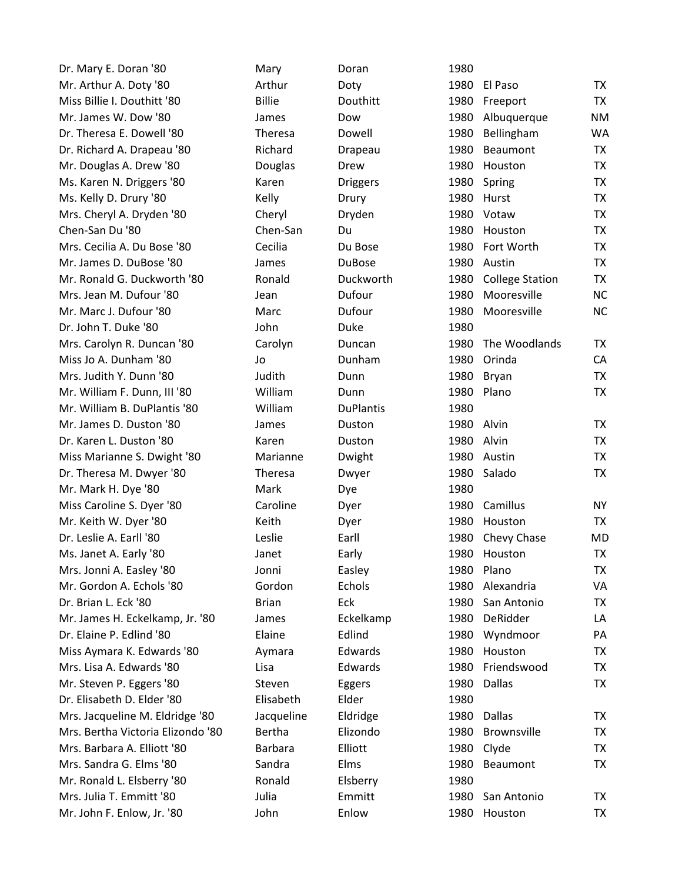Dr. Mary E. Doran '80 Mary Mary Doran Mr. Arthur A. Doty '80 Arthur Poty Miss Billie I. Douthitt '80 Billie Billie Bouthitt Mr. James W. Dow '80 James Dow 1980 Albuquerque NM Dr. Theresa E. Dowell '80 Theresa Dowell Dr. Richard A. Drapeau '80 Richard Drapeau Mr. Douglas A. Drew '80 Douglas Drew Ms. Karen N. Driggers '80 Karen Briggers Ms. Kelly D. Drury '80 Kelly Kelly Norury Channel Drury Mrs. Cheryl A. Dryden '80 Cheryl Dryden Chen-San Du '80 **Chen-San** Du Mrs. Cecilia A. Du Bose '80 **Cecilia** Cecilia **No. Du Bose** Mr. James D. DuBose '80 James DuBose Mr. Ronald G. Duckworth '80 Ronald Duckworth Mrs. Jean M. Dufour '80 Jean Jean Dufour Mr. Marc J. Dufour '80 Marc Marc Dufour Dr. John T. Duke '80 John Duke Mrs. Carolyn R. Duncan '80 Carolyn Duncan Miss Jo A. Dunham '80 Jo Jo Dunham Mrs. Judith Y. Dunn '80 **Bryan Tandish Bryan Tx** Dunn Mr. William F. Dunn, III '80 William Dunn Mr. William B. DuPlantis '80 William DuPlantis Mr. James D. Duston '80 James Duston Dr. Karen L. Duston '80 Karen Karen Buston Miss Marianne S. Dwight '80 Marianne Dwight Dr. Theresa M. Dwyer '80 Theresa Dwyer Mr. Mark H. Dye '80 Mark Mark Dye Miss Caroline S. Dyer '80 Caroline Dyer Mr. Keith W. Dyer '80 **Keith No. 1980 Houston TX** Dr. Leslie A. Earll '80 Leslie Earll 1980 Ms. Janet A. Early '80 Janet Janet Early Mrs. Jonni A. Easley '80 Jonni Basley Mr. Gordon A. Echols '80 Gordon Echols Dr. Brian L. Eck '80 Brian Brian Brian Mr. James H. Eckelkamp, Jr. '80 James Eckelkamp Dr. Elaine P. Edlind '80 Flaine Edlind Miss Aymara K. Edwards '80 Aymara Edwards Mrs. Lisa A. Edwards '80 Lisa Lisa Edwards Mr. Steven P. Eggers '80 Steven Eggers Dr. Elisabeth D. Elder '80 Elisabeth Elder Mrs. Jacqueline M. Eldridge '80 Jacqueline Eldridge Mrs. Bertha Victoria Elizondo '80 Bertha Elizondo Mrs. Barbara A. Elliott '80 Barbara Elliott Mrs. Sandra G. Elms '80 Sandra Beaumont TX Sandra Mr. Ronald L. Elsberry '80 Ronald Elsberry Mrs. Julia T. Emmitt '80 Julia Dulia Emmitt Mr. John F. Enlow, Jr. '80 John Enlow

| 1980 |                        |           |
|------|------------------------|-----------|
| 1980 | El Paso                | TX        |
| 1980 | Freeport               | <b>TX</b> |
| 1980 | Albuquerque            | NM        |
| 1980 | Bellingham             | W۵        |
| 1980 | <b>Beaumont</b>        | <b>TX</b> |
| 1980 | Houston                | <b>TX</b> |
| 1980 | Spring                 | <b>TX</b> |
| 1980 | Hurst                  | <b>TX</b> |
| 1980 | Votaw                  | TX        |
| 1980 | Houston                | <b>TX</b> |
| 1980 | Fort Worth             | TX        |
| 1980 | Austin                 | <b>TX</b> |
| 1980 | <b>College Station</b> | <b>TX</b> |
| 1980 | Mooresville            | <b>NC</b> |
| 1980 | Mooresville            | <b>NC</b> |
| 1980 |                        |           |
| 1980 | The Woodlands          | TX        |
| 1980 | Orinda                 | CA        |
| 1980 | <b>Bryan</b>           | <b>TX</b> |
| 1980 | Plano                  | <b>TX</b> |
| 1980 |                        |           |
| 1980 | Alvin                  | TX        |
|      | 1980 Alvin             | <b>TX</b> |
| 1980 | Austin                 | <b>TX</b> |
| 1980 | Salado                 | <b>TX</b> |
| 1980 |                        |           |
| 1980 | Camillus               | ΝY        |
| 1980 | Houston                | TX        |
| 1980 | Chevy Chase            | МC        |
| 1980 | Houston                | <b>TX</b> |
| 1980 | Plano                  | TX        |
| 1980 | Alexandria             | ٧A        |
| 1980 | San Antonio            | TX        |
| 1980 | DeRidder               | LA        |
| 1980 | Wyndmoor               | PA        |
| 1980 | Houston                | TX        |
| 1980 | Friendswood            | TX        |
| 1980 | Dallas                 | <b>TX</b> |
| 1980 |                        |           |
| 1980 | <b>Dallas</b>          | ТX        |
| 1980 | <b>Brownsville</b>     | TX        |
| 1980 | Clyde                  | TX        |
| 1980 | <b>Beaumont</b>        | <b>TX</b> |
| 1980 |                        |           |
| 1980 | San Antonio            | ТX        |
| 1980 | Houston                | TX        |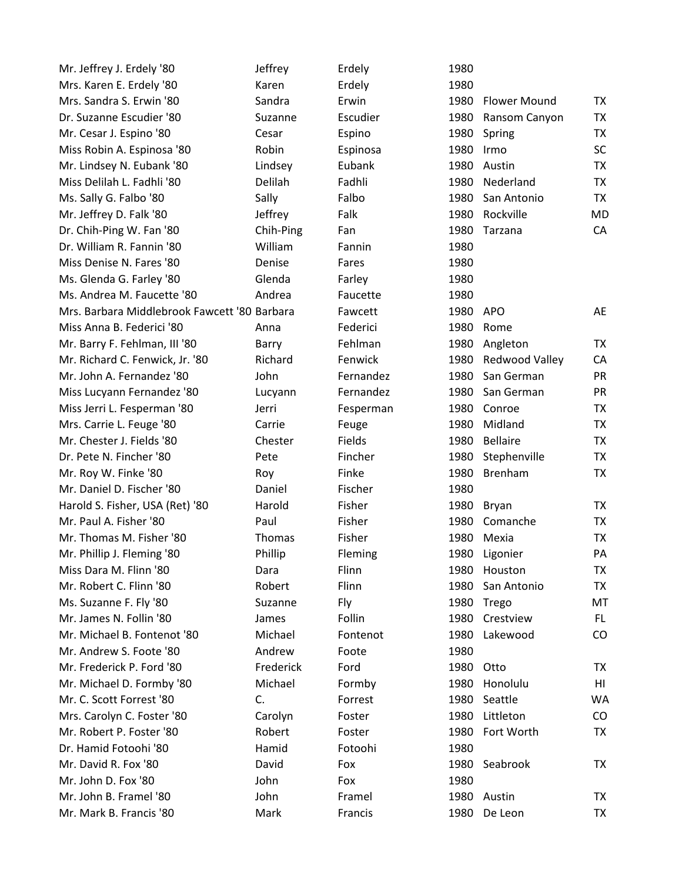| Mr. Jeffrey J. Erdely '80                    | Jeffrey   | Erdely    | 1980      |                     |           |
|----------------------------------------------|-----------|-----------|-----------|---------------------|-----------|
| Mrs. Karen E. Erdely '80                     | Karen     | Erdely    | 1980      |                     |           |
| Mrs. Sandra S. Erwin '80                     | Sandra    | Erwin     | 1980      | <b>Flower Mound</b> | <b>TX</b> |
| Dr. Suzanne Escudier '80                     | Suzanne   | Escudier  | 1980      | Ransom Canyon       | <b>TX</b> |
| Mr. Cesar J. Espino '80                      | Cesar     | Espino    | 1980      | Spring              | TX        |
| Miss Robin A. Espinosa '80                   | Robin     | Espinosa  | 1980      | Irmo                | <b>SC</b> |
| Mr. Lindsey N. Eubank '80                    | Lindsey   | Eubank    | 1980      | Austin              | <b>TX</b> |
| Miss Delilah L. Fadhli '80                   | Delilah   | Fadhli    | 1980      | Nederland           | TX        |
| Ms. Sally G. Falbo '80                       | Sally     | Falbo     | 1980      | San Antonio         | TX        |
| Mr. Jeffrey D. Falk '80                      | Jeffrey   | Falk      | 1980      | Rockville           | MD        |
| Dr. Chih-Ping W. Fan '80                     | Chih-Ping | Fan       | 1980      | Tarzana             | CA        |
| Dr. William R. Fannin '80                    | William   | Fannin    | 1980      |                     |           |
| Miss Denise N. Fares '80                     | Denise    | Fares     | 1980      |                     |           |
| Ms. Glenda G. Farley '80                     | Glenda    | Farley    | 1980      |                     |           |
| Ms. Andrea M. Faucette '80                   | Andrea    | Faucette  | 1980      |                     |           |
| Mrs. Barbara Middlebrook Fawcett '80 Barbara |           | Fawcett   | 1980 APO  |                     | AE        |
| Miss Anna B. Federici '80                    | Anna      | Federici  | 1980      | Rome                |           |
| Mr. Barry F. Fehlman, III '80                | Barry     | Fehlman   | 1980      | Angleton            | TX        |
| Mr. Richard C. Fenwick, Jr. '80              | Richard   | Fenwick   | 1980      | Redwood Valley      | CA        |
| Mr. John A. Fernandez '80                    | John      | Fernandez | 1980      | San German          | <b>PR</b> |
| Miss Lucyann Fernandez '80                   | Lucyann   | Fernandez | 1980      | San German          | PR        |
| Miss Jerri L. Fesperman '80                  | Jerri     | Fesperman | 1980      | Conroe              | <b>TX</b> |
| Mrs. Carrie L. Feuge '80                     | Carrie    | Feuge     | 1980      | Midland             | <b>TX</b> |
| Mr. Chester J. Fields '80                    | Chester   | Fields    | 1980      | <b>Bellaire</b>     | <b>TX</b> |
| Dr. Pete N. Fincher '80                      | Pete      | Fincher   | 1980      | Stephenville        | TX        |
| Mr. Roy W. Finke '80                         | Roy       | Finke     | 1980      | Brenham             | <b>TX</b> |
| Mr. Daniel D. Fischer '80                    | Daniel    | Fischer   | 1980      |                     |           |
| Harold S. Fisher, USA (Ret) '80              | Harold    | Fisher    | 1980      | Bryan               | TX.       |
| Mr. Paul A. Fisher '80                       | Paul      | Fisher    | 1980      | Comanche            | TX        |
| Mr. Thomas M. Fisher '80                     | Thomas    | Fisher    | 1980      | Mexia               | <b>TX</b> |
| Mr. Phillip J. Fleming '80                   | Phillip   | Fleming   | 1980      | Ligonier            | PA        |
| Miss Dara M. Flinn '80                       | Dara      | Flinn     |           | 1980 Houston        | TX        |
| Mr. Robert C. Flinn '80                      | Robert    | Flinn     | 1980      | San Antonio         | <b>TX</b> |
| Ms. Suzanne F. Fly '80                       | Suzanne   | Fly       | 1980      | Trego               | MT        |
| Mr. James N. Follin '80                      | James     | Follin    | 1980      | Crestview           | FL.       |
| Mr. Michael B. Fontenot '80                  | Michael   | Fontenot  | 1980      | Lakewood            | CO        |
| Mr. Andrew S. Foote '80                      | Andrew    | Foote     | 1980      |                     |           |
| Mr. Frederick P. Ford '80                    | Frederick | Ford      | 1980 Otto |                     | TX        |
| Mr. Michael D. Formby '80                    | Michael   | Formby    | 1980      | Honolulu            | HI        |
| Mr. C. Scott Forrest '80                     | C.        | Forrest   | 1980      | Seattle             | <b>WA</b> |
| Mrs. Carolyn C. Foster '80                   | Carolyn   | Foster    | 1980      | Littleton           | CO        |
| Mr. Robert P. Foster '80                     | Robert    | Foster    | 1980      | Fort Worth          | TX        |
| Dr. Hamid Fotoohi '80                        | Hamid     | Fotoohi   | 1980      |                     |           |
| Mr. David R. Fox '80                         | David     | Fox       | 1980      | Seabrook            | TX        |
| Mr. John D. Fox '80                          | John      | Fox       | 1980      |                     |           |
| Mr. John B. Framel '80                       | John      | Framel    |           | 1980 Austin         | TX        |
| Mr. Mark B. Francis '80                      | Mark      | Francis   | 1980      | De Leon             | TX        |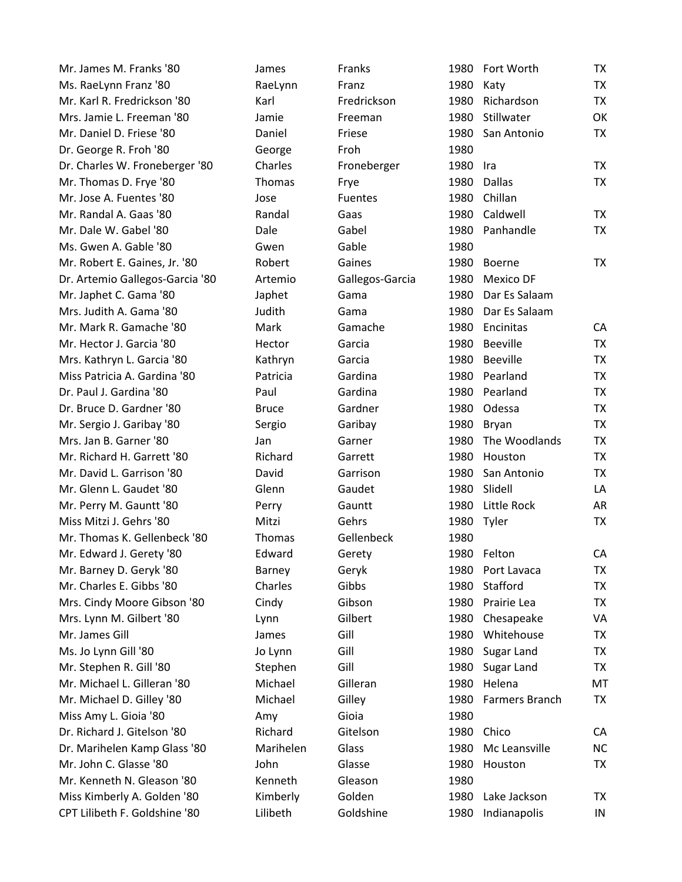| Mr. James M. Franks '80         | James        | Franks          | 1980 | Fort Worth      | <b>TX</b> |
|---------------------------------|--------------|-----------------|------|-----------------|-----------|
| Ms. RaeLynn Franz '80           | RaeLynn      | Franz           | 1980 | Katy            | <b>TX</b> |
| Mr. Karl R. Fredrickson '80     | Karl         | Fredrickson     | 1980 | Richardson      | <b>TX</b> |
| Mrs. Jamie L. Freeman '80       | Jamie        | Freeman         | 1980 | Stillwater      | OK        |
| Mr. Daniel D. Friese '80        | Daniel       | Friese          | 1980 | San Antonio     | <b>TX</b> |
| Dr. George R. Froh '80          | George       | Froh            | 1980 |                 |           |
| Dr. Charles W. Froneberger '80  | Charles      | Froneberger     | 1980 | Ira             | TX        |
| Mr. Thomas D. Frye '80          | Thomas       | Frye            | 1980 | <b>Dallas</b>   | <b>TX</b> |
| Mr. Jose A. Fuentes '80         | Jose         | <b>Fuentes</b>  | 1980 | Chillan         |           |
| Mr. Randal A. Gaas '80          | Randal       | Gaas            | 1980 | Caldwell        | <b>TX</b> |
| Mr. Dale W. Gabel '80           | Dale         | Gabel           | 1980 | Panhandle       | <b>TX</b> |
| Ms. Gwen A. Gable '80           | Gwen         | Gable           | 1980 |                 |           |
| Mr. Robert E. Gaines, Jr. '80   | Robert       | Gaines          | 1980 | <b>Boerne</b>   | <b>TX</b> |
| Dr. Artemio Gallegos-Garcia '80 | Artemio      | Gallegos-Garcia | 1980 | Mexico DF       |           |
| Mr. Japhet C. Gama '80          | Japhet       | Gama            | 1980 | Dar Es Salaam   |           |
| Mrs. Judith A. Gama '80         | Judith       | Gama            | 1980 | Dar Es Salaam   |           |
| Mr. Mark R. Gamache '80         | Mark         | Gamache         |      | 1980 Encinitas  | CA        |
| Mr. Hector J. Garcia '80        | Hector       | Garcia          | 1980 | <b>Beeville</b> | <b>TX</b> |
| Mrs. Kathryn L. Garcia '80      | Kathryn      | Garcia          | 1980 | <b>Beeville</b> | <b>TX</b> |
| Miss Patricia A. Gardina '80    | Patricia     | Gardina         | 1980 | Pearland        | <b>TX</b> |
| Dr. Paul J. Gardina '80         | Paul         | Gardina         | 1980 | Pearland        | <b>TX</b> |
| Dr. Bruce D. Gardner '80        | <b>Bruce</b> | Gardner         | 1980 | Odessa          | <b>TX</b> |
| Mr. Sergio J. Garibay '80       | Sergio       | Garibay         | 1980 | Bryan           | <b>TX</b> |
| Mrs. Jan B. Garner '80          | Jan          | Garner          | 1980 | The Woodlands   | <b>TX</b> |
| Mr. Richard H. Garrett '80      | Richard      | Garrett         | 1980 | Houston         | <b>TX</b> |
| Mr. David L. Garrison '80       | David        | Garrison        | 1980 | San Antonio     | <b>TX</b> |
| Mr. Glenn L. Gaudet '80         | Glenn        | Gaudet          | 1980 | Slidell         | LA        |
| Mr. Perry M. Gauntt '80         | Perry        | Gauntt          | 1980 | Little Rock     | AR        |
| Miss Mitzi J. Gehrs '80         | Mitzi        | Gehrs           |      | 1980 Tyler      | <b>TX</b> |
| Mr. Thomas K. Gellenbeck '80    | Thomas       | Gellenbeck      | 1980 |                 |           |
| Mr. Edward J. Gerety '80        | Edward       | Gerety          |      | 1980 Felton     | CA        |
| Mr. Barney D. Geryk '80         | Barney       | Geryk           | 1980 | Port Lavaca     | TX        |
| Mr. Charles E. Gibbs '80        | Charles      | Gibbs           | 1980 | Stafford        | <b>TX</b> |
| Mrs. Cindy Moore Gibson '80     | Cindy        | Gibson          | 1980 | Prairie Lea     | <b>TX</b> |
| Mrs. Lynn M. Gilbert '80        | Lynn         | Gilbert         | 1980 | Chesapeake      | VA        |
| Mr. James Gill                  | James        | Gill            | 1980 | Whitehouse      | <b>TX</b> |
| Ms. Jo Lynn Gill '80            | Jo Lynn      | Gill            | 1980 | Sugar Land      | <b>TX</b> |
| Mr. Stephen R. Gill '80         | Stephen      | Gill            | 1980 | Sugar Land      | <b>TX</b> |
| Mr. Michael L. Gilleran '80     | Michael      | Gilleran        | 1980 | Helena          | MT        |
| Mr. Michael D. Gilley '80       | Michael      | Gilley          | 1980 | Farmers Branch  | <b>TX</b> |
| Miss Amy L. Gioia '80           | Amy          | Gioia           | 1980 |                 |           |
| Dr. Richard J. Gitelson '80     | Richard      | Gitelson        | 1980 | Chico           | CA        |
| Dr. Marihelen Kamp Glass '80    | Marihelen    | Glass           | 1980 | Mc Leansville   | <b>NC</b> |
| Mr. John C. Glasse '80          | John         | Glasse          | 1980 | Houston         | ТX        |
| Mr. Kenneth N. Gleason '80      | Kenneth      | Gleason         | 1980 |                 |           |
| Miss Kimberly A. Golden '80     | Kimberly     | Golden          | 1980 | Lake Jackson    | TX        |
| CPT Lilibeth F. Goldshine '80   | Lilibeth     | Goldshine       | 1980 | Indianapolis    | IN        |
|                                 |              |                 |      |                 |           |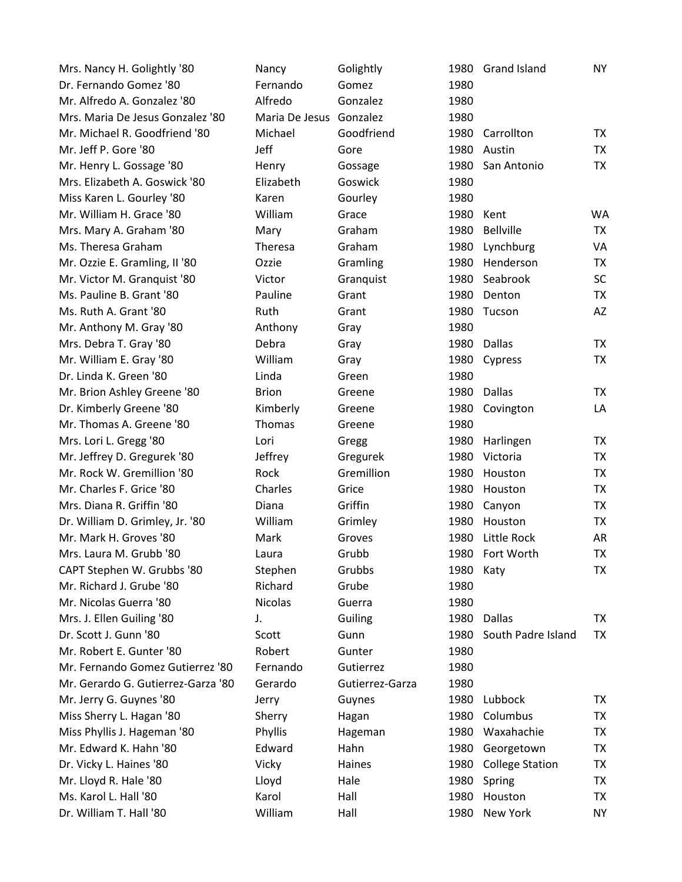| Mrs. Nancy H. Golightly '80        | Nancy                   | Golightly       |           | 1980 Grand Island      | <b>NY</b> |
|------------------------------------|-------------------------|-----------------|-----------|------------------------|-----------|
| Dr. Fernando Gomez '80             | Fernando                | Gomez           | 1980      |                        |           |
| Mr. Alfredo A. Gonzalez '80        | Alfredo                 | Gonzalez        | 1980      |                        |           |
| Mrs. Maria De Jesus Gonzalez '80   | Maria De Jesus Gonzalez |                 | 1980      |                        |           |
| Mr. Michael R. Goodfriend '80      | Michael                 | Goodfriend      | 1980      | Carrollton             | TX        |
| Mr. Jeff P. Gore '80               | Jeff                    | Gore            | 1980      | Austin                 | TX        |
| Mr. Henry L. Gossage '80           | Henry                   | Gossage         |           | 1980 San Antonio       | TX        |
| Mrs. Elizabeth A. Goswick '80      | Elizabeth               | Goswick         | 1980      |                        |           |
| Miss Karen L. Gourley '80          | Karen                   | Gourley         | 1980      |                        |           |
| Mr. William H. Grace '80           | William                 | Grace           | 1980      | Kent                   | <b>WA</b> |
| Mrs. Mary A. Graham '80            | Mary                    | Graham          | 1980      | <b>Bellville</b>       | TX        |
| Ms. Theresa Graham                 | Theresa                 | Graham          | 1980      | Lynchburg              | VA        |
| Mr. Ozzie E. Gramling, II '80      | Ozzie                   | Gramling        |           | 1980 Henderson         | TX        |
| Mr. Victor M. Granquist '80        | Victor                  | Granquist       | 1980      | Seabrook               | <b>SC</b> |
| Ms. Pauline B. Grant '80           | Pauline                 | Grant           |           | 1980 Denton            | TX        |
| Ms. Ruth A. Grant '80              | <b>Ruth</b>             | Grant           | 1980      | Tucson                 | AZ        |
| Mr. Anthony M. Gray '80            | Anthony                 | Gray            | 1980      |                        |           |
| Mrs. Debra T. Gray '80             | Debra                   | Gray            | 1980      | Dallas                 | <b>TX</b> |
| Mr. William E. Gray '80            | William                 | Gray            | 1980      | Cypress                | TX        |
| Dr. Linda K. Green '80             | Linda                   | Green           | 1980      |                        |           |
| Mr. Brion Ashley Greene '80        | <b>Brion</b>            | Greene          | 1980      | <b>Dallas</b>          | TX        |
| Dr. Kimberly Greene '80            | Kimberly                | Greene          | 1980      | Covington              | LA        |
| Mr. Thomas A. Greene '80           | Thomas                  | Greene          | 1980      |                        |           |
| Mrs. Lori L. Gregg '80             | Lori                    | Gregg           | 1980      | Harlingen              | <b>TX</b> |
| Mr. Jeffrey D. Gregurek '80        | Jeffrey                 | Gregurek        | 1980      | Victoria               | TX        |
| Mr. Rock W. Gremillion '80         | Rock                    | Gremillion      | 1980      | Houston                | TX        |
| Mr. Charles F. Grice '80           | Charles                 | Grice           | 1980      | Houston                | TX        |
| Mrs. Diana R. Griffin '80          | Diana                   | Griffin         | 1980      | Canyon                 | <b>TX</b> |
| Dr. William D. Grimley, Jr. '80    | William                 | Grimley         | 1980      | Houston                | TX        |
| Mr. Mark H. Groves '80             | Mark                    | Groves          | 1980      | Little Rock            | AR        |
| Mrs. Laura M. Grubb '80            | Laura                   | Grubb           |           | 1980 Fort Worth        | <b>TX</b> |
| CAPT Stephen W. Grubbs '80         | Stephen                 | Grubbs          | 1980 Katy |                        | TX        |
| Mr. Richard J. Grube '80           | Richard                 | Grube           | 1980      |                        |           |
| Mr. Nicolas Guerra '80             | <b>Nicolas</b>          | Guerra          | 1980      |                        |           |
| Mrs. J. Ellen Guiling '80          | J.                      | Guiling         | 1980      | <b>Dallas</b>          | TX        |
| Dr. Scott J. Gunn '80              | Scott                   | Gunn            | 1980      | South Padre Island     | TX        |
| Mr. Robert E. Gunter '80           | Robert                  | Gunter          | 1980      |                        |           |
| Mr. Fernando Gomez Gutierrez '80   | Fernando                | Gutierrez       | 1980      |                        |           |
| Mr. Gerardo G. Gutierrez-Garza '80 | Gerardo                 | Gutierrez-Garza | 1980      |                        |           |
| Mr. Jerry G. Guynes '80            | Jerry                   | Guynes          | 1980      | Lubbock                | TX        |
| Miss Sherry L. Hagan '80           | Sherry                  | Hagan           | 1980      | Columbus               | TX        |
| Miss Phyllis J. Hageman '80        | Phyllis                 | Hageman         | 1980      | Waxahachie             | TX        |
| Mr. Edward K. Hahn '80             | Edward                  | Hahn            | 1980      | Georgetown             | TX        |
| Dr. Vicky L. Haines '80            | Vicky                   | Haines          | 1980      | <b>College Station</b> | TX        |
| Mr. Lloyd R. Hale '80              | Lloyd                   | Hale            | 1980      | Spring                 | TX        |
| Ms. Karol L. Hall '80              | Karol                   | Hall            |           | 1980 Houston           | TX        |
| Dr. William T. Hall '80            | William                 | Hall            |           | 1980 New York          | <b>NY</b> |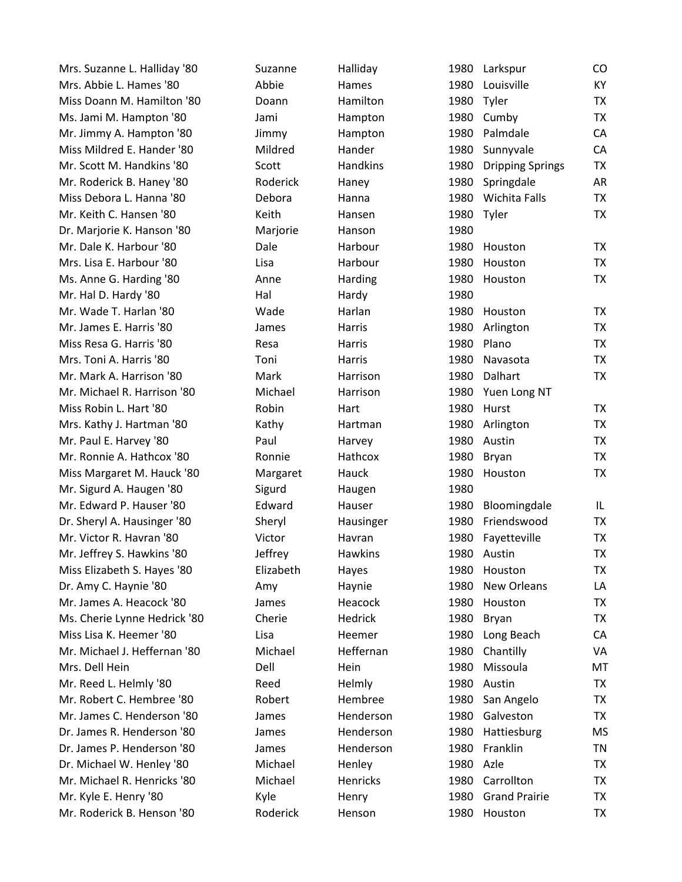| Mrs. Suzanne L. Halliday '80 | Suzanne   | Halliday        | 1980 | Larkspur                | CO        |
|------------------------------|-----------|-----------------|------|-------------------------|-----------|
| Mrs. Abbie L. Hames '80      | Abbie     | Hames           | 1980 | Louisville              | KY        |
| Miss Doann M. Hamilton '80   | Doann     | Hamilton        | 1980 | Tyler                   | <b>TX</b> |
| Ms. Jami M. Hampton '80      | Jami      | Hampton         | 1980 | Cumby                   | <b>TX</b> |
| Mr. Jimmy A. Hampton '80     | Jimmy     | Hampton         | 1980 | Palmdale                | CA        |
| Miss Mildred E. Hander '80   | Mildred   | Hander          | 1980 | Sunnyvale               | CA        |
| Mr. Scott M. Handkins '80    | Scott     | <b>Handkins</b> | 1980 | <b>Dripping Springs</b> | <b>TX</b> |
| Mr. Roderick B. Haney '80    | Roderick  | Haney           | 1980 | Springdale              | AR        |
| Miss Debora L. Hanna '80     | Debora    | Hanna           | 1980 | <b>Wichita Falls</b>    | <b>TX</b> |
| Mr. Keith C. Hansen '80      | Keith     | Hansen          | 1980 | Tyler                   | <b>TX</b> |
| Dr. Marjorie K. Hanson '80   | Marjorie  | Hanson          | 1980 |                         |           |
| Mr. Dale K. Harbour '80      | Dale      | Harbour         | 1980 | Houston                 | <b>TX</b> |
| Mrs. Lisa E. Harbour '80     | Lisa      | Harbour         | 1980 | Houston                 | <b>TX</b> |
| Ms. Anne G. Harding '80      | Anne      | Harding         | 1980 | Houston                 | <b>TX</b> |
| Mr. Hal D. Hardy '80         | Hal       | Hardy           | 1980 |                         |           |
| Mr. Wade T. Harlan '80       | Wade      | Harlan          | 1980 | Houston                 | TX        |
| Mr. James E. Harris '80      | James     | Harris          | 1980 | Arlington               | <b>TX</b> |
| Miss Resa G. Harris '80      | Resa      | Harris          | 1980 | Plano                   | <b>TX</b> |
| Mrs. Toni A. Harris '80      | Toni      | Harris          | 1980 | Navasota                | <b>TX</b> |
| Mr. Mark A. Harrison '80     | Mark      | Harrison        | 1980 | Dalhart                 | <b>TX</b> |
| Mr. Michael R. Harrison '80  | Michael   | Harrison        | 1980 | Yuen Long NT            |           |
| Miss Robin L. Hart '80       | Robin     | Hart            | 1980 | Hurst                   | TX        |
| Mrs. Kathy J. Hartman '80    | Kathy     | Hartman         | 1980 | Arlington               | <b>TX</b> |
| Mr. Paul E. Harvey '80       | Paul      | Harvey          | 1980 | Austin                  | <b>TX</b> |
| Mr. Ronnie A. Hathcox '80    | Ronnie    | Hathcox         | 1980 | Bryan                   | <b>TX</b> |
| Miss Margaret M. Hauck '80   | Margaret  | Hauck           | 1980 | Houston                 | <b>TX</b> |
| Mr. Sigurd A. Haugen '80     | Sigurd    | Haugen          | 1980 |                         |           |
| Mr. Edward P. Hauser '80     | Edward    | Hauser          | 1980 | Bloomingdale            | IL.       |
| Dr. Sheryl A. Hausinger '80  | Sheryl    | Hausinger       | 1980 | Friendswood             | <b>TX</b> |
| Mr. Victor R. Havran '80     | Victor    | Havran          | 1980 | Fayetteville            | TX        |
| Mr. Jeffrey S. Hawkins '80   | Jeffrey   | <b>Hawkins</b>  | 1980 | Austin                  | <b>TX</b> |
| Miss Elizabeth S. Hayes '80  | Elizabeth | Hayes           | 1980 | Houston                 | TX        |
| Dr. Amy C. Haynie '80        | Amy       | Haynie          | 1980 | New Orleans             | LA        |
| Mr. James A. Heacock '80     | James     | Heacock         | 1980 | Houston                 | TX        |
| Ms. Cherie Lynne Hedrick '80 | Cherie    | Hedrick         | 1980 | Bryan                   | TX        |
| Miss Lisa K. Heemer '80      | Lisa      | Heemer          | 1980 | Long Beach              | CA        |
| Mr. Michael J. Heffernan '80 | Michael   | Heffernan       | 1980 | Chantilly               | VA        |
| Mrs. Dell Hein               | Dell      | Hein            | 1980 | Missoula                | MT        |
| Mr. Reed L. Helmly '80       | Reed      | Helmly          | 1980 | Austin                  | <b>TX</b> |
| Mr. Robert C. Hembree '80    | Robert    | Hembree         | 1980 | San Angelo              | <b>TX</b> |
| Mr. James C. Henderson '80   | James     | Henderson       | 1980 | Galveston               | <b>TX</b> |
| Dr. James R. Henderson '80   | James     | Henderson       | 1980 | Hattiesburg             | <b>MS</b> |
| Dr. James P. Henderson '80   | James     | Henderson       | 1980 | Franklin                | TN        |
| Dr. Michael W. Henley '80    | Michael   | Henley          | 1980 | Azle                    | <b>TX</b> |
| Mr. Michael R. Henricks '80  | Michael   | Henricks        | 1980 | Carrollton              | TX        |
| Mr. Kyle E. Henry '80        | Kyle      | Henry           | 1980 | <b>Grand Prairie</b>    | <b>TX</b> |
| Mr. Roderick B. Henson '80   | Roderick  | Henson          | 1980 | Houston                 | <b>TX</b> |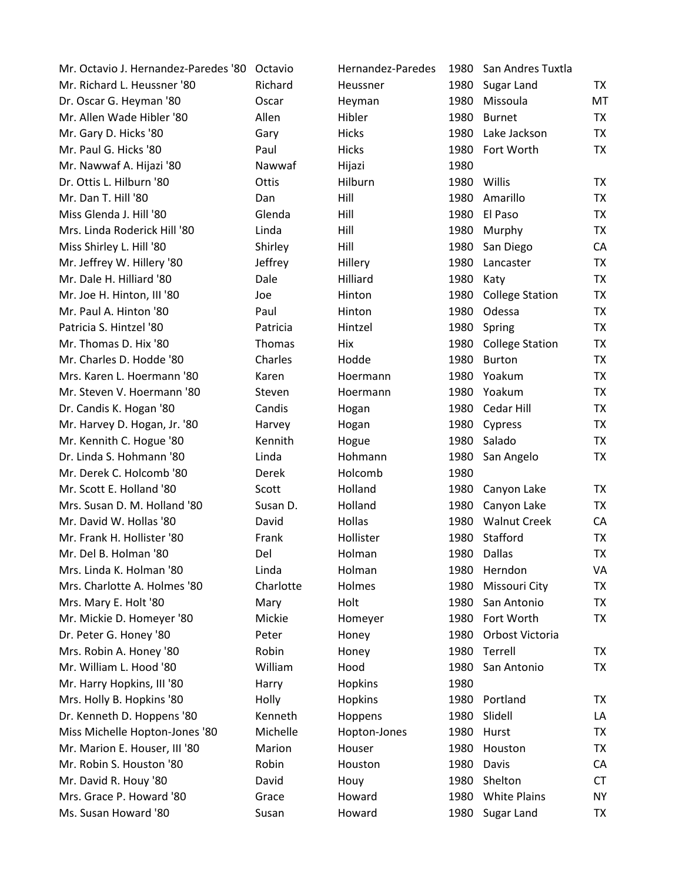| Mr. Octavio J. Hernandez-Paredes '80 | Octavio   | Hernandez-Paredes | 1980 | San Andres Tuxtla      |           |
|--------------------------------------|-----------|-------------------|------|------------------------|-----------|
| Mr. Richard L. Heussner '80          | Richard   | Heussner          | 1980 | Sugar Land             | TX        |
| Dr. Oscar G. Heyman '80              | Oscar     | Heyman            | 1980 | Missoula               | MT        |
| Mr. Allen Wade Hibler '80            | Allen     | Hibler            | 1980 | <b>Burnet</b>          | TX        |
| Mr. Gary D. Hicks '80                | Gary      | <b>Hicks</b>      | 1980 | Lake Jackson           | <b>TX</b> |
| Mr. Paul G. Hicks '80                | Paul      | <b>Hicks</b>      | 1980 | Fort Worth             | TX        |
| Mr. Nawwaf A. Hijazi '80             | Nawwaf    | Hijazi            | 1980 |                        |           |
| Dr. Ottis L. Hilburn '80             | Ottis     | Hilburn           |      | 1980 Willis            | TX        |
| Mr. Dan T. Hill '80                  | Dan       | Hill              | 1980 | Amarillo               | <b>TX</b> |
| Miss Glenda J. Hill '80              | Glenda    | Hill              | 1980 | El Paso                | TX        |
| Mrs. Linda Roderick Hill '80         | Linda     | Hill              | 1980 | Murphy                 | <b>TX</b> |
| Miss Shirley L. Hill '80             | Shirley   | Hill              | 1980 | San Diego              | CA        |
| Mr. Jeffrey W. Hillery '80           | Jeffrey   | Hillery           | 1980 | Lancaster              | <b>TX</b> |
| Mr. Dale H. Hilliard '80             | Dale      | Hilliard          | 1980 | Katy                   | <b>TX</b> |
| Mr. Joe H. Hinton, III '80           | Joe       | Hinton            | 1980 | <b>College Station</b> | <b>TX</b> |
| Mr. Paul A. Hinton '80               | Paul      | Hinton            | 1980 | Odessa                 | TX        |
| Patricia S. Hintzel '80              | Patricia  | Hintzel           | 1980 | Spring                 | <b>TX</b> |
| Mr. Thomas D. Hix '80                | Thomas    | Hix               | 1980 | <b>College Station</b> | <b>TX</b> |
| Mr. Charles D. Hodde '80             | Charles   | Hodde             | 1980 | <b>Burton</b>          | <b>TX</b> |
| Mrs. Karen L. Hoermann '80           | Karen     | Hoermann          | 1980 | Yoakum                 | TX        |
| Mr. Steven V. Hoermann '80           | Steven    | Hoermann          |      | 1980 Yoakum            | <b>TX</b> |
| Dr. Candis K. Hogan '80              | Candis    | Hogan             |      | 1980 Cedar Hill        | <b>TX</b> |
| Mr. Harvey D. Hogan, Jr. '80         | Harvey    | Hogan             | 1980 | Cypress                | TX        |
| Mr. Kennith C. Hogue '80             | Kennith   | Hogue             | 1980 | Salado                 | <b>TX</b> |
| Dr. Linda S. Hohmann '80             | Linda     | Hohmann           | 1980 | San Angelo             | TX        |
| Mr. Derek C. Holcomb '80             | Derek     | Holcomb           | 1980 |                        |           |
| Mr. Scott E. Holland '80             | Scott     | Holland           | 1980 | Canyon Lake            | TX        |
| Mrs. Susan D. M. Holland '80         | Susan D.  | Holland           | 1980 | Canyon Lake            | TX        |
| Mr. David W. Hollas '80              | David     | Hollas            | 1980 | <b>Walnut Creek</b>    | CA        |
| Mr. Frank H. Hollister '80           | Frank     | Hollister         | 1980 | Stafford               | TX        |
| Mr. Del B. Holman '80                | Del       | Holman            | 1980 | <b>Dallas</b>          | <b>TX</b> |
| Mrs. Linda K. Holman '80             | Linda     | Holman            | 1980 | Herndon                | VA        |
| Mrs. Charlotte A. Holmes '80         | Charlotte | Holmes            | 1980 | Missouri City          | <b>TX</b> |
| Mrs. Mary E. Holt '80                | Mary      | Holt              | 1980 | San Antonio            | TX        |
| Mr. Mickie D. Homeyer '80            | Mickie    | Homeyer           | 1980 | Fort Worth             | <b>TX</b> |
| Dr. Peter G. Honey '80               | Peter     | Honey             | 1980 | Orbost Victoria        |           |
| Mrs. Robin A. Honey '80              | Robin     | Honey             | 1980 | Terrell                | TX        |
| Mr. William L. Hood '80              | William   | Hood              | 1980 | San Antonio            | TX        |
| Mr. Harry Hopkins, III '80           | Harry     | Hopkins           | 1980 |                        |           |
| Mrs. Holly B. Hopkins '80            | Holly     | <b>Hopkins</b>    | 1980 | Portland               | TX        |
| Dr. Kenneth D. Hoppens '80           | Kenneth   | Hoppens           | 1980 | Slidell                | LA        |
| Miss Michelle Hopton-Jones '80       | Michelle  | Hopton-Jones      | 1980 | Hurst                  | TX        |
| Mr. Marion E. Houser, III '80        | Marion    | Houser            | 1980 | Houston                | <b>TX</b> |
| Mr. Robin S. Houston '80             | Robin     | Houston           | 1980 | Davis                  | CA        |
| Mr. David R. Houy '80                | David     | Houy              | 1980 | Shelton                | <b>CT</b> |
| Mrs. Grace P. Howard '80             | Grace     | Howard            | 1980 | <b>White Plains</b>    | <b>NY</b> |
| Ms. Susan Howard '80                 | Susan     | Howard            | 1980 | Sugar Land             | TX        |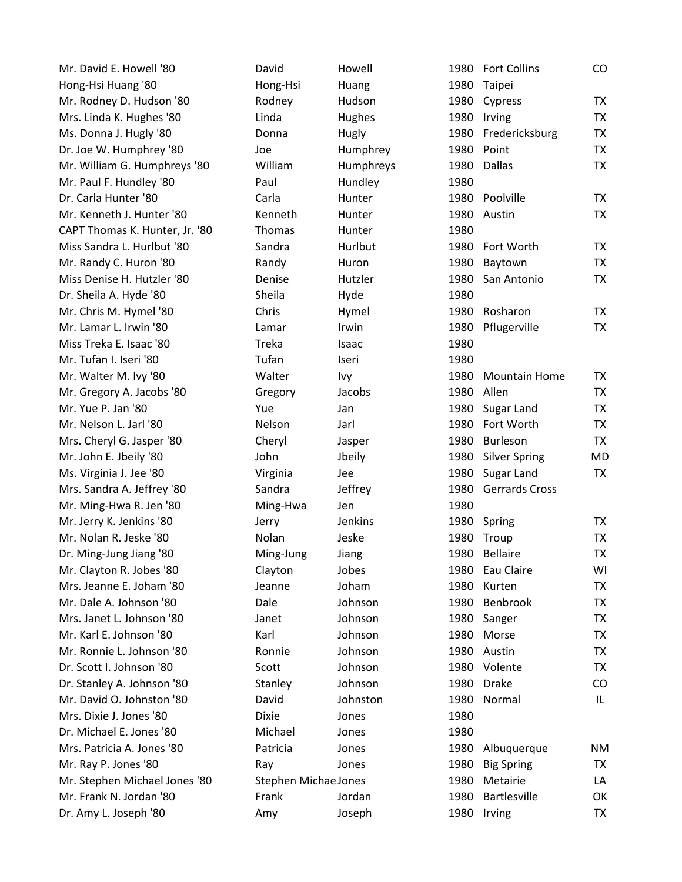| Mr. David E. Howell '80        | David                | Howell    | 1980 | <b>Fort Collins</b>   | $\rm CO$  |
|--------------------------------|----------------------|-----------|------|-----------------------|-----------|
| Hong-Hsi Huang '80             | Hong-Hsi             | Huang     | 1980 | Taipei                |           |
| Mr. Rodney D. Hudson '80       | Rodney               | Hudson    | 1980 | Cypress               | TX        |
| Mrs. Linda K. Hughes '80       | Linda                | Hughes    | 1980 | Irving                | TX        |
| Ms. Donna J. Hugly '80         | Donna                | Hugly     | 1980 | Fredericksburg        | <b>TX</b> |
| Dr. Joe W. Humphrey '80        | Joe                  | Humphrey  | 1980 | Point                 | <b>TX</b> |
| Mr. William G. Humphreys '80   | William              | Humphreys | 1980 | Dallas                | <b>TX</b> |
| Mr. Paul F. Hundley '80        | Paul                 | Hundley   | 1980 |                       |           |
| Dr. Carla Hunter '80           | Carla                | Hunter    | 1980 | Poolville             | <b>TX</b> |
| Mr. Kenneth J. Hunter '80      | Kenneth              | Hunter    | 1980 | Austin                | TX        |
| CAPT Thomas K. Hunter, Jr. '80 | Thomas               | Hunter    | 1980 |                       |           |
| Miss Sandra L. Hurlbut '80     | Sandra               | Hurlbut   | 1980 | Fort Worth            | TX.       |
| Mr. Randy C. Huron '80         | Randy                | Huron     | 1980 | Baytown               | <b>TX</b> |
| Miss Denise H. Hutzler '80     | Denise               | Hutzler   | 1980 | San Antonio           | <b>TX</b> |
| Dr. Sheila A. Hyde '80         | Sheila               | Hyde      | 1980 |                       |           |
| Mr. Chris M. Hymel '80         | Chris                | Hymel     | 1980 | Rosharon              | TX        |
| Mr. Lamar L. Irwin '80         | Lamar                | Irwin     | 1980 | Pflugerville          | TX        |
| Miss Treka E. Isaac '80        | Treka                | Isaac     | 1980 |                       |           |
| Mr. Tufan I. Iseri '80         | Tufan                | Iseri     | 1980 |                       |           |
| Mr. Walter M. Ivy '80          | Walter               | Ivy       | 1980 | <b>Mountain Home</b>  | TX        |
| Mr. Gregory A. Jacobs '80      | Gregory              | Jacobs    | 1980 | Allen                 | <b>TX</b> |
| Mr. Yue P. Jan '80             | Yue                  | Jan       | 1980 | Sugar Land            | <b>TX</b> |
| Mr. Nelson L. Jarl '80         | Nelson               | Jarl      | 1980 | Fort Worth            | <b>TX</b> |
| Mrs. Cheryl G. Jasper '80      | Cheryl               | Jasper    | 1980 | Burleson              | <b>TX</b> |
| Mr. John E. Jbeily '80         | John                 | Jbeily    | 1980 | <b>Silver Spring</b>  | MD        |
| Ms. Virginia J. Jee '80        | Virginia             | Jee       | 1980 | Sugar Land            | <b>TX</b> |
| Mrs. Sandra A. Jeffrey '80     | Sandra               | Jeffrey   | 1980 | <b>Gerrards Cross</b> |           |
| Mr. Ming-Hwa R. Jen '80        | Ming-Hwa             | Jen       | 1980 |                       |           |
| Mr. Jerry K. Jenkins '80       | Jerry                | Jenkins   | 1980 | Spring                | TX        |
| Mr. Nolan R. Jeske '80         | Nolan                | Jeske     | 1980 | Troup                 | TX        |
| Dr. Ming-Jung Jiang '80        | Ming-Jung            | Jiang     | 1980 | <b>Bellaire</b>       | <b>TX</b> |
| Mr. Clayton R. Jobes '80       | Clayton              | Jobes     | 1980 | Eau Claire            | WI        |
| Mrs. Jeanne E. Joham '80       | Jeanne               | Joham     | 1980 | Kurten                | TX        |
| Mr. Dale A. Johnson '80        | Dale                 | Johnson   | 1980 | Benbrook              | TX        |
| Mrs. Janet L. Johnson '80      | Janet                | Johnson   | 1980 | Sanger                | TX        |
| Mr. Karl E. Johnson '80        | Karl                 | Johnson   | 1980 | Morse                 | <b>TX</b> |
| Mr. Ronnie L. Johnson '80      | Ronnie               | Johnson   | 1980 | Austin                | TX        |
| Dr. Scott I. Johnson '80       | Scott                | Johnson   | 1980 | Volente               | TX        |
| Dr. Stanley A. Johnson '80     | Stanley              | Johnson   | 1980 | <b>Drake</b>          | CO        |
| Mr. David O. Johnston '80      | David                | Johnston  | 1980 | Normal                | IL.       |
| Mrs. Dixie J. Jones '80        | <b>Dixie</b>         | Jones     | 1980 |                       |           |
| Dr. Michael E. Jones '80       | Michael              | Jones     | 1980 |                       |           |
| Mrs. Patricia A. Jones '80     | Patricia             | Jones     | 1980 | Albuquerque           | ΝM        |
| Mr. Ray P. Jones '80           | Ray                  | Jones     | 1980 | <b>Big Spring</b>     | TX        |
| Mr. Stephen Michael Jones '80  | Stephen Michae Jones |           | 1980 | Metairie              | LA        |
| Mr. Frank N. Jordan '80        | Frank                | Jordan    | 1980 | Bartlesville          | OK        |
| Dr. Amy L. Joseph '80          | Amy                  | Joseph    |      | 1980 Irving           | <b>TX</b> |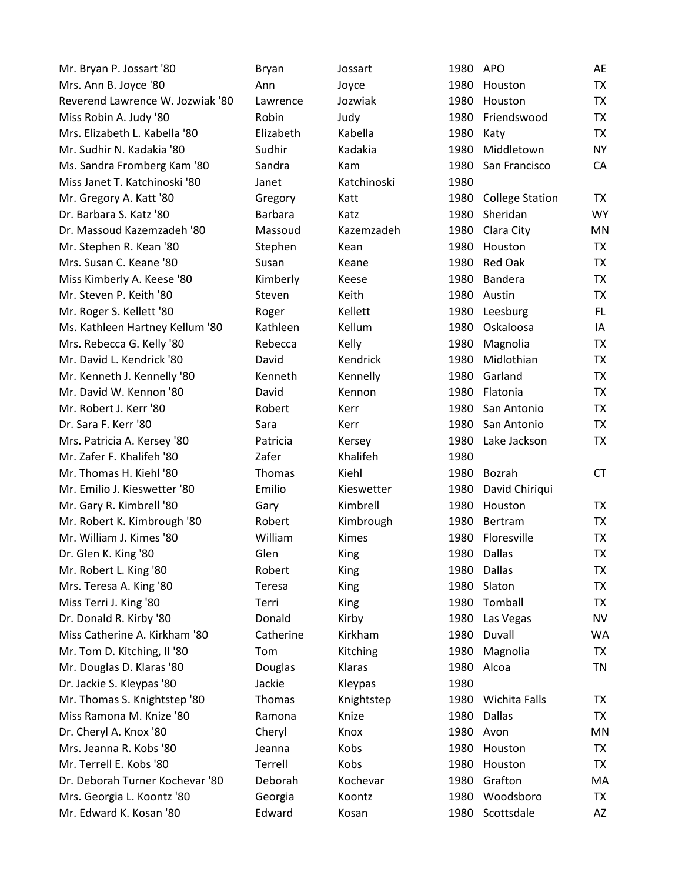| Mr. Bryan P. Jossart '80         | <b>Bryan</b>   | Jossart      | 1980 | <b>APO</b>             | AE        |
|----------------------------------|----------------|--------------|------|------------------------|-----------|
| Mrs. Ann B. Joyce '80            | Ann            | Joyce        | 1980 | Houston                | <b>TX</b> |
| Reverend Lawrence W. Jozwiak '80 | Lawrence       | Jozwiak      | 1980 | Houston                | <b>TX</b> |
| Miss Robin A. Judy '80           | Robin          | Judy         | 1980 | Friendswood            | <b>TX</b> |
| Mrs. Elizabeth L. Kabella '80    | Elizabeth      | Kabella      | 1980 | Katy                   | TX        |
| Mr. Sudhir N. Kadakia '80        | Sudhir         | Kadakia      | 1980 | Middletown             | <b>NY</b> |
| Ms. Sandra Fromberg Kam '80      | Sandra         | Kam          | 1980 | San Francisco          | CA        |
| Miss Janet T. Katchinoski '80    | Janet          | Katchinoski  | 1980 |                        |           |
| Mr. Gregory A. Katt '80          | Gregory        | Katt         | 1980 | <b>College Station</b> | <b>TX</b> |
| Dr. Barbara S. Katz '80          | <b>Barbara</b> | Katz         | 1980 | Sheridan               | <b>WY</b> |
| Dr. Massoud Kazemzadeh '80       | Massoud        | Kazemzadeh   | 1980 | Clara City             | MN        |
| Mr. Stephen R. Kean '80          | Stephen        | Kean         | 1980 | Houston                | TX        |
| Mrs. Susan C. Keane '80          | Susan          | Keane        | 1980 | <b>Red Oak</b>         | TX        |
| Miss Kimberly A. Keese '80       | Kimberly       | Keese        | 1980 | Bandera                | TX        |
| Mr. Steven P. Keith '80          | Steven         | Keith        | 1980 | Austin                 | TX        |
| Mr. Roger S. Kellett '80         | Roger          | Kellett      | 1980 | Leesburg               | FL.       |
| Ms. Kathleen Hartney Kellum '80  | Kathleen       | Kellum       | 1980 | Oskaloosa              | IA        |
| Mrs. Rebecca G. Kelly '80        | Rebecca        | Kelly        | 1980 | Magnolia               | <b>TX</b> |
| Mr. David L. Kendrick '80        | David          | Kendrick     | 1980 | Midlothian             | TX        |
| Mr. Kenneth J. Kennelly '80      | Kenneth        | Kennelly     | 1980 | Garland                | TX        |
| Mr. David W. Kennon '80          | David          | Kennon       | 1980 | Flatonia               | <b>TX</b> |
| Mr. Robert J. Kerr '80           | Robert         | Kerr         | 1980 | San Antonio            | <b>TX</b> |
| Dr. Sara F. Kerr '80             | Sara           | Kerr         | 1980 | San Antonio            | <b>TX</b> |
| Mrs. Patricia A. Kersey '80      | Patricia       | Kersey       | 1980 | Lake Jackson           | TX        |
| Mr. Zafer F. Khalifeh '80        | Zafer          | Khalifeh     | 1980 |                        |           |
| Mr. Thomas H. Kiehl '80          | <b>Thomas</b>  | Kiehl        | 1980 | Bozrah                 | <b>CT</b> |
| Mr. Emilio J. Kieswetter '80     | Emilio         | Kieswetter   | 1980 | David Chiriqui         |           |
| Mr. Gary R. Kimbrell '80         | Gary           | Kimbrell     | 1980 | Houston                | <b>TX</b> |
| Mr. Robert K. Kimbrough '80      | Robert         | Kimbrough    | 1980 | Bertram                | TX        |
| Mr. William J. Kimes '80         | William        | <b>Kimes</b> | 1980 | Floresville            | TX        |
| Dr. Glen K. King '80             | Glen           | King         | 1980 | Dallas                 | <b>TX</b> |
| Mr. Robert L. King '80           | Robert         | King         | 1980 | Dallas                 | TX        |
| Mrs. Teresa A. King '80          | Teresa         | <b>King</b>  | 1980 | Slaton                 | <b>TX</b> |
| Miss Terri J. King '80           | Terri          | King         | 1980 | Tomball                | TX        |
| Dr. Donald R. Kirby '80          | Donald         | Kirby        | 1980 | Las Vegas              | <b>NV</b> |
| Miss Catherine A. Kirkham '80    | Catherine      | Kirkham      | 1980 | Duvall                 | <b>WA</b> |
| Mr. Tom D. Kitching, II '80      | Tom            | Kitching     | 1980 | Magnolia               | TX        |
| Mr. Douglas D. Klaras '80        | Douglas        | Klaras       | 1980 | Alcoa                  | <b>TN</b> |
| Dr. Jackie S. Kleypas '80        | Jackie         | Kleypas      | 1980 |                        |           |
| Mr. Thomas S. Knightstep '80     | Thomas         | Knightstep   | 1980 | <b>Wichita Falls</b>   | ТX        |
| Miss Ramona M. Knize '80         | Ramona         | Knize        | 1980 | Dallas                 | <b>TX</b> |
| Dr. Cheryl A. Knox '80           | Cheryl         | Knox         | 1980 | Avon                   | MN        |
| Mrs. Jeanna R. Kobs '80          | Jeanna         | Kobs         | 1980 | Houston                | TX        |
| Mr. Terrell E. Kobs '80          | Terrell        | Kobs         | 1980 | Houston                | TX        |
| Dr. Deborah Turner Kochevar '80  | Deborah        | Kochevar     | 1980 | Grafton                | MA        |
| Mrs. Georgia L. Koontz '80       | Georgia        | Koontz       | 1980 | Woodsboro              | TX        |
| Mr. Edward K. Kosan '80          | Edward         | Kosan        |      | 1980 Scottsdale        | AZ        |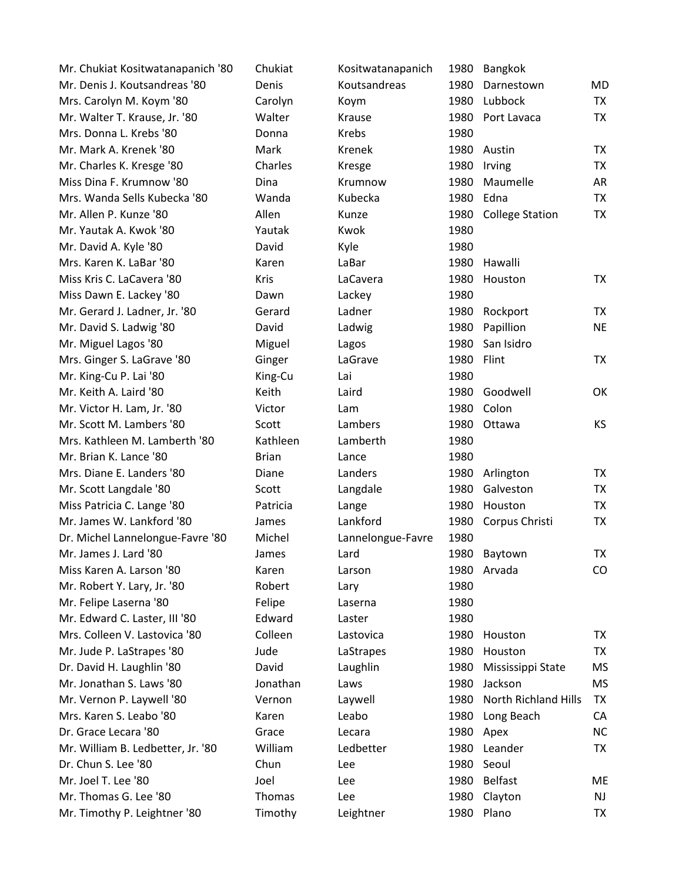| Mr. Chukiat Kositwatanapanich '80 | Chukiat      | Kositwatanapanich | 1980 | Bangkok                     |           |
|-----------------------------------|--------------|-------------------|------|-----------------------------|-----------|
| Mr. Denis J. Koutsandreas '80     | Denis        | Koutsandreas      | 1980 | Darnestown                  | MD        |
| Mrs. Carolyn M. Koym '80          | Carolyn      | Koym              | 1980 | Lubbock                     | TX        |
| Mr. Walter T. Krause, Jr. '80     | Walter       | Krause            | 1980 | Port Lavaca                 | <b>TX</b> |
| Mrs. Donna L. Krebs '80           | Donna        | Krebs             | 1980 |                             |           |
| Mr. Mark A. Krenek '80            | Mark         | Krenek            |      | 1980 Austin                 | <b>TX</b> |
| Mr. Charles K. Kresge '80         | Charles      | Kresge            | 1980 | Irving                      | <b>TX</b> |
| Miss Dina F. Krumnow '80          | Dina         | Krumnow           | 1980 | Maumelle                    | AR        |
| Mrs. Wanda Sells Kubecka '80      | Wanda        | Kubecka           | 1980 | Edna                        | <b>TX</b> |
| Mr. Allen P. Kunze '80            | Allen        | Kunze             |      | 1980 College Station        | <b>TX</b> |
| Mr. Yautak A. Kwok '80            | Yautak       | Kwok              | 1980 |                             |           |
| Mr. David A. Kyle '80             | David        | Kyle              | 1980 |                             |           |
| Mrs. Karen K. LaBar '80           | Karen        | LaBar             | 1980 | Hawalli                     |           |
| Miss Kris C. LaCavera '80         | <b>Kris</b>  | LaCavera          | 1980 | Houston                     | <b>TX</b> |
| Miss Dawn E. Lackey '80           | Dawn         | Lackey            | 1980 |                             |           |
| Mr. Gerard J. Ladner, Jr. '80     | Gerard       | Ladner            | 1980 | Rockport                    | TX        |
| Mr. David S. Ladwig '80           | David        | Ladwig            | 1980 | Papillion                   | <b>NE</b> |
| Mr. Miguel Lagos '80              | Miguel       | Lagos             | 1980 | San Isidro                  |           |
| Mrs. Ginger S. LaGrave '80        | Ginger       | LaGrave           | 1980 | Flint                       | <b>TX</b> |
| Mr. King-Cu P. Lai '80            | King-Cu      | Lai               | 1980 |                             |           |
| Mr. Keith A. Laird '80            | Keith        | Laird             | 1980 | Goodwell                    | OK        |
| Mr. Victor H. Lam, Jr. '80        | Victor       | Lam               | 1980 | Colon                       |           |
| Mr. Scott M. Lambers '80          | Scott        | Lambers           | 1980 | Ottawa                      | <b>KS</b> |
| Mrs. Kathleen M. Lamberth '80     | Kathleen     | Lamberth          | 1980 |                             |           |
| Mr. Brian K. Lance '80            | <b>Brian</b> | Lance             | 1980 |                             |           |
| Mrs. Diane E. Landers '80         | Diane        | Landers           | 1980 | Arlington                   | <b>TX</b> |
| Mr. Scott Langdale '80            | Scott        | Langdale          | 1980 | Galveston                   | TX        |
| Miss Patricia C. Lange '80        | Patricia     | Lange             | 1980 | Houston                     | <b>TX</b> |
| Mr. James W. Lankford '80         | James        | Lankford          |      | 1980 Corpus Christi         | TX        |
| Dr. Michel Lannelongue-Favre '80  | Michel       | Lannelongue-Favre | 1980 |                             |           |
| Mr. James J. Lard '80             | James        | Lard              | 1980 | Baytown                     | <b>TX</b> |
| Miss Karen A. Larson '80          | Karen        | Larson            |      | 1980 Arvada                 | CO.       |
| Mr. Robert Y. Lary, Jr. '80       | Robert       | Lary              | 1980 |                             |           |
| Mr. Felipe Laserna '80            | Felipe       | Laserna           | 1980 |                             |           |
| Mr. Edward C. Laster, III '80     | Edward       | Laster            | 1980 |                             |           |
| Mrs. Colleen V. Lastovica '80     | Colleen      | Lastovica         | 1980 | Houston                     | TX        |
| Mr. Jude P. LaStrapes '80         | Jude         | LaStrapes         | 1980 | Houston                     | TX        |
| Dr. David H. Laughlin '80         | David        | Laughlin          | 1980 | Mississippi State           | MS        |
| Mr. Jonathan S. Laws '80          | Jonathan     | Laws              | 1980 | Jackson                     | MS        |
| Mr. Vernon P. Laywell '80         | Vernon       | Laywell           | 1980 | <b>North Richland Hills</b> | <b>TX</b> |
| Mrs. Karen S. Leabo '80           | Karen        | Leabo             |      | 1980 Long Beach             | CA        |
| Dr. Grace Lecara '80              | Grace        | Lecara            | 1980 | Apex                        | NC        |
| Mr. William B. Ledbetter, Jr. '80 | William      | Ledbetter         | 1980 | Leander                     | TX        |
| Dr. Chun S. Lee '80               | Chun         | Lee               | 1980 | Seoul                       |           |
| Mr. Joel T. Lee '80               | Joel         | Lee               | 1980 | <b>Belfast</b>              | ME        |
| Mr. Thomas G. Lee '80             | Thomas       | Lee               | 1980 | Clayton                     | NJ        |
| Mr. Timothy P. Leightner '80      | Timothy      | Leightner         | 1980 | Plano                       | TX        |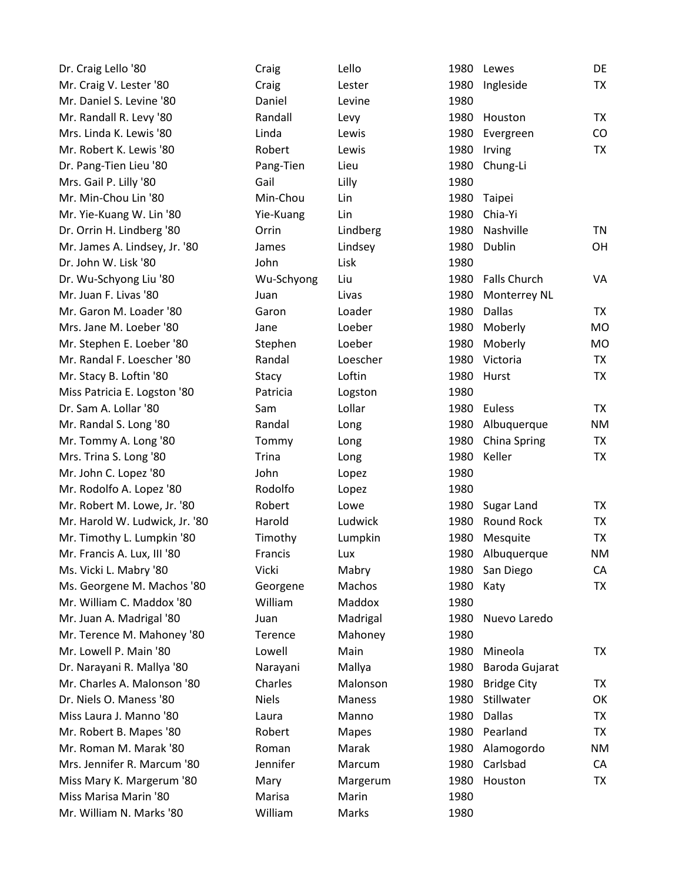| Dr. Craig Lello '80            | Craig        | Lello         | 1980 | Lewes               | DE        |
|--------------------------------|--------------|---------------|------|---------------------|-----------|
| Mr. Craig V. Lester '80        | Craig        | Lester        | 1980 | Ingleside           | TX        |
| Mr. Daniel S. Levine '80       | Daniel       | Levine        | 1980 |                     |           |
| Mr. Randall R. Levy '80        | Randall      | Levy          | 1980 | Houston             | <b>TX</b> |
| Mrs. Linda K. Lewis '80        | Linda        | Lewis         | 1980 | Evergreen           | CO        |
| Mr. Robert K. Lewis '80        | Robert       | Lewis         | 1980 | Irving              | TX        |
| Dr. Pang-Tien Lieu '80         | Pang-Tien    | Lieu          | 1980 | Chung-Li            |           |
| Mrs. Gail P. Lilly '80         | Gail         | Lilly         | 1980 |                     |           |
| Mr. Min-Chou Lin '80           | Min-Chou     | Lin           | 1980 | Taipei              |           |
| Mr. Yie-Kuang W. Lin '80       | Yie-Kuang    | Lin           | 1980 | Chia-Yi             |           |
| Dr. Orrin H. Lindberg '80      | Orrin        | Lindberg      | 1980 | Nashville           | TN        |
| Mr. James A. Lindsey, Jr. '80  | James        | Lindsey       | 1980 | Dublin              | OH        |
| Dr. John W. Lisk '80           | John         | Lisk          | 1980 |                     |           |
| Dr. Wu-Schyong Liu '80         | Wu-Schyong   | Liu           | 1980 | <b>Falls Church</b> | VA        |
| Mr. Juan F. Livas '80          | Juan         | Livas         | 1980 | Monterrey NL        |           |
| Mr. Garon M. Loader '80        | Garon        | Loader        | 1980 | <b>Dallas</b>       | <b>TX</b> |
| Mrs. Jane M. Loeber '80        | Jane         | Loeber        | 1980 | Moberly             | <b>MO</b> |
| Mr. Stephen E. Loeber '80      | Stephen      | Loeber        | 1980 | Moberly             | <b>MO</b> |
| Mr. Randal F. Loescher '80     | Randal       | Loescher      | 1980 | Victoria            | <b>TX</b> |
| Mr. Stacy B. Loftin '80        | Stacy        | Loftin        | 1980 | Hurst               | TX        |
| Miss Patricia E. Logston '80   | Patricia     | Logston       | 1980 |                     |           |
| Dr. Sam A. Lollar '80          | Sam          | Lollar        | 1980 | Euless              | TX        |
| Mr. Randal S. Long '80         | Randal       | Long          | 1980 | Albuquerque         | <b>NM</b> |
| Mr. Tommy A. Long '80          | Tommy        | Long          | 1980 | China Spring        | <b>TX</b> |
| Mrs. Trina S. Long '80         | Trina        | Long          | 1980 | Keller              | TX        |
| Mr. John C. Lopez '80          | John         | Lopez         | 1980 |                     |           |
| Mr. Rodolfo A. Lopez '80       | Rodolfo      | Lopez         | 1980 |                     |           |
| Mr. Robert M. Lowe, Jr. '80    | Robert       | Lowe          | 1980 | Sugar Land          | <b>TX</b> |
| Mr. Harold W. Ludwick, Jr. '80 | Harold       | Ludwick       | 1980 | <b>Round Rock</b>   | <b>TX</b> |
| Mr. Timothy L. Lumpkin '80     | Timothy      | Lumpkin       | 1980 | Mesquite            | TX        |
| Mr. Francis A. Lux, III '80    | Francis      | Lux           | 1980 | Albuquerque         | <b>NM</b> |
| Ms. Vicki L. Mabry '80         | Vicki        | Mabry         |      | 1980 San Diego      | CA        |
| Ms. Georgene M. Machos '80     | Georgene     | Machos        | 1980 | Katy                | TX        |
| Mr. William C. Maddox '80      | William      | Maddox        | 1980 |                     |           |
| Mr. Juan A. Madrigal '80       | Juan         | Madrigal      | 1980 | Nuevo Laredo        |           |
| Mr. Terence M. Mahoney '80     | Terence      | Mahoney       | 1980 |                     |           |
| Mr. Lowell P. Main '80         | Lowell       | Main          | 1980 | Mineola             | TX.       |
| Dr. Narayani R. Mallya '80     | Narayani     | Mallya        | 1980 | Baroda Gujarat      |           |
| Mr. Charles A. Malonson '80    | Charles      | Malonson      | 1980 | <b>Bridge City</b>  | TX        |
| Dr. Niels O. Maness '80        | <b>Niels</b> | <b>Maness</b> | 1980 | Stillwater          | OK        |
| Miss Laura J. Manno '80        | Laura        | Manno         | 1980 | Dallas              | TX        |
| Mr. Robert B. Mapes '80        | Robert       | <b>Mapes</b>  | 1980 | Pearland            | TX        |
| Mr. Roman M. Marak '80         | Roman        | Marak         | 1980 | Alamogordo          | <b>NM</b> |
| Mrs. Jennifer R. Marcum '80    | Jennifer     | Marcum        | 1980 | Carlsbad            | CA        |
| Miss Mary K. Margerum '80      | Mary         | Margerum      | 1980 | Houston             | <b>TX</b> |
| Miss Marisa Marin '80          | Marisa       | Marin         | 1980 |                     |           |
| Mr. William N. Marks '80       | William      | Marks         | 1980 |                     |           |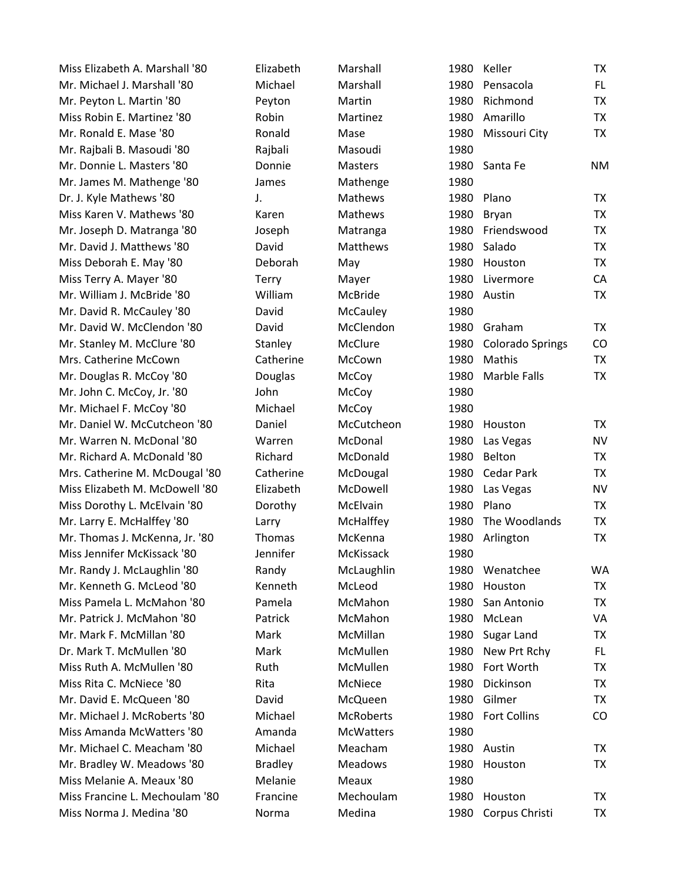| Miss Elizabeth A. Marshall '80 | Elizabeth      | Marshall         | 1980 | Keller                  | TX        |
|--------------------------------|----------------|------------------|------|-------------------------|-----------|
| Mr. Michael J. Marshall '80    | Michael        | Marshall         | 1980 | Pensacola               | FL.       |
| Mr. Peyton L. Martin '80       | Peyton         | Martin           | 1980 | Richmond                | <b>TX</b> |
| Miss Robin E. Martinez '80     | Robin          | Martinez         | 1980 | Amarillo                | <b>TX</b> |
| Mr. Ronald E. Mase '80         | Ronald         | Mase             | 1980 | Missouri City           | TX        |
| Mr. Rajbali B. Masoudi '80     | Rajbali        | Masoudi          | 1980 |                         |           |
| Mr. Donnie L. Masters '80      | Donnie         | <b>Masters</b>   |      | 1980 Santa Fe           | <b>NM</b> |
| Mr. James M. Mathenge '80      | James          | Mathenge         | 1980 |                         |           |
| Dr. J. Kyle Mathews '80        | J.             | <b>Mathews</b>   | 1980 | Plano                   | <b>TX</b> |
| Miss Karen V. Mathews '80      | Karen          | <b>Mathews</b>   | 1980 | Bryan                   | <b>TX</b> |
| Mr. Joseph D. Matranga '80     | Joseph         | Matranga         |      | 1980 Friendswood        | <b>TX</b> |
| Mr. David J. Matthews '80      | David          | Matthews         | 1980 | Salado                  | <b>TX</b> |
| Miss Deborah E. May '80        | Deborah        | May              | 1980 | Houston                 | <b>TX</b> |
| Miss Terry A. Mayer '80        | Terry          | Mayer            | 1980 | Livermore               | CA        |
| Mr. William J. McBride '80     | William        | McBride          |      | 1980 Austin             | <b>TX</b> |
| Mr. David R. McCauley '80      | David          | McCauley         | 1980 |                         |           |
| Mr. David W. McClendon '80     | David          | McClendon        | 1980 | Graham                  | TX        |
| Mr. Stanley M. McClure '80     | Stanley        | McClure          | 1980 | <b>Colorado Springs</b> | CO        |
| Mrs. Catherine McCown          | Catherine      | McCown           | 1980 | Mathis                  | <b>TX</b> |
| Mr. Douglas R. McCoy '80       | Douglas        | McCoy            | 1980 | Marble Falls            | <b>TX</b> |
| Mr. John C. McCoy, Jr. '80     | John           | McCoy            | 1980 |                         |           |
| Mr. Michael F. McCoy '80       | Michael        | McCoy            | 1980 |                         |           |
| Mr. Daniel W. McCutcheon '80   | Daniel         | McCutcheon       | 1980 | Houston                 | TX        |
| Mr. Warren N. McDonal '80      | Warren         | McDonal          | 1980 | Las Vegas               | <b>NV</b> |
| Mr. Richard A. McDonald '80    | Richard        | McDonald         | 1980 | Belton                  | TX        |
| Mrs. Catherine M. McDougal '80 | Catherine      | McDougal         | 1980 | <b>Cedar Park</b>       | <b>TX</b> |
| Miss Elizabeth M. McDowell '80 | Elizabeth      | McDowell         | 1980 | Las Vegas               | <b>NV</b> |
| Miss Dorothy L. McElvain '80   | Dorothy        | McElvain         | 1980 | Plano                   | TX        |
| Mr. Larry E. McHalffey '80     | Larry          | McHalffey        | 1980 | The Woodlands           | <b>TX</b> |
| Mr. Thomas J. McKenna, Jr. '80 | <b>Thomas</b>  | McKenna          | 1980 | Arlington               | TX        |
| Miss Jennifer McKissack '80    | Jennifer       | McKissack        | 1980 |                         |           |
| Mr. Randy J. McLaughlin '80    | Randy          | McLaughlin       |      | 1980 Wenatchee          | WA        |
| Mr. Kenneth G. McLeod '80      | Kenneth        | McLeod           | 1980 | Houston                 | <b>TX</b> |
| Miss Pamela L. McMahon '80     | Pamela         | McMahon          | 1980 | San Antonio             | TX        |
| Mr. Patrick J. McMahon '80     | Patrick        | McMahon          | 1980 | McLean                  | VA        |
| Mr. Mark F. McMillan '80       | Mark           | McMillan         | 1980 | Sugar Land              | TX        |
| Dr. Mark T. McMullen '80       | Mark           | McMullen         | 1980 | New Prt Rchy            | FL.       |
| Miss Ruth A. McMullen '80      | Ruth           | McMullen         | 1980 | Fort Worth              | TX        |
| Miss Rita C. McNiece '80       | Rita           | McNiece          | 1980 | Dickinson               | <b>TX</b> |
| Mr. David E. McQueen '80       | David          | McQueen          | 1980 | Gilmer                  | <b>TX</b> |
| Mr. Michael J. McRoberts '80   | Michael        | <b>McRoberts</b> | 1980 | <b>Fort Collins</b>     | CO        |
| Miss Amanda McWatters '80      | Amanda         | <b>McWatters</b> | 1980 |                         |           |
| Mr. Michael C. Meacham '80     | Michael        | Meacham          |      | 1980 Austin             | TX        |
| Mr. Bradley W. Meadows '80     | <b>Bradley</b> | Meadows          | 1980 | Houston                 | TX        |
| Miss Melanie A. Meaux '80      | Melanie        | Meaux            | 1980 |                         |           |
| Miss Francine L. Mechoulam '80 | Francine       | Mechoulam        | 1980 | Houston                 | TX        |
| Miss Norma J. Medina '80       | Norma          | Medina           | 1980 | Corpus Christi          | <b>TX</b> |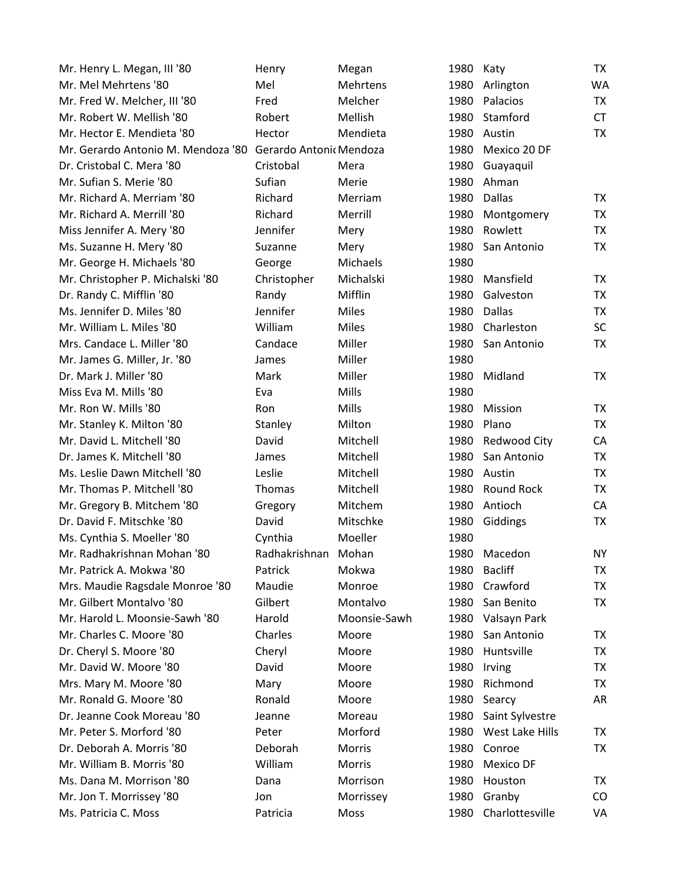| Mr. Henry L. Megan, III '80        | Henry                   | Megan        | 1980 | Katy              | TX        |
|------------------------------------|-------------------------|--------------|------|-------------------|-----------|
| Mr. Mel Mehrtens '80               | Mel                     | Mehrtens     | 1980 | Arlington         | WA        |
| Mr. Fred W. Melcher, III '80       | Fred                    | Melcher      | 1980 | Palacios          | <b>TX</b> |
| Mr. Robert W. Mellish '80          | Robert                  | Mellish      | 1980 | Stamford          | <b>CT</b> |
| Mr. Hector E. Mendieta '80         | Hector                  | Mendieta     | 1980 | Austin            | <b>TX</b> |
| Mr. Gerardo Antonio M. Mendoza '80 | Gerardo Antonic Mendoza |              | 1980 | Mexico 20 DF      |           |
| Dr. Cristobal C. Mera '80          | Cristobal               | Mera         | 1980 | Guayaquil         |           |
| Mr. Sufian S. Merie '80            | Sufian                  | Merie        | 1980 | Ahman             |           |
| Mr. Richard A. Merriam '80         | Richard                 | Merriam      | 1980 | <b>Dallas</b>     | TX        |
| Mr. Richard A. Merrill '80         | Richard                 | Merrill      | 1980 | Montgomery        | <b>TX</b> |
| Miss Jennifer A. Mery '80          | Jennifer                | Mery         | 1980 | Rowlett           | TX        |
| Ms. Suzanne H. Mery '80            | Suzanne                 | Mery         | 1980 | San Antonio       | TX        |
| Mr. George H. Michaels '80         | George                  | Michaels     | 1980 |                   |           |
| Mr. Christopher P. Michalski '80   | Christopher             | Michalski    | 1980 | Mansfield         | TX        |
| Dr. Randy C. Mifflin '80           | Randy                   | Mifflin      | 1980 | Galveston         | <b>TX</b> |
| Ms. Jennifer D. Miles '80          | Jennifer                | Miles        | 1980 | <b>Dallas</b>     | <b>TX</b> |
| Mr. William L. Miles '80           | William                 | <b>Miles</b> | 1980 | Charleston        | <b>SC</b> |
| Mrs. Candace L. Miller '80         | Candace                 | Miller       | 1980 | San Antonio       | TX        |
| Mr. James G. Miller, Jr. '80       | James                   | Miller       | 1980 |                   |           |
| Dr. Mark J. Miller '80             | <b>Mark</b>             | Miller       | 1980 | Midland           | <b>TX</b> |
| Miss Eva M. Mills '80              | Eva                     | Mills        | 1980 |                   |           |
| Mr. Ron W. Mills '80               | Ron                     | Mills        | 1980 | Mission           | <b>TX</b> |
| Mr. Stanley K. Milton '80          | Stanley                 | Milton       | 1980 | Plano             | TX        |
| Mr. David L. Mitchell '80          | David                   | Mitchell     | 1980 | Redwood City      | CA        |
| Dr. James K. Mitchell '80          | James                   | Mitchell     | 1980 | San Antonio       | TX        |
| Ms. Leslie Dawn Mitchell '80       | Leslie                  | Mitchell     | 1980 | Austin            | TX        |
| Mr. Thomas P. Mitchell '80         | <b>Thomas</b>           | Mitchell     | 1980 | <b>Round Rock</b> | TX        |
| Mr. Gregory B. Mitchem '80         | Gregory                 | Mitchem      | 1980 | Antioch           | CA        |
| Dr. David F. Mitschke '80          | David                   | Mitschke     | 1980 | Giddings          | <b>TX</b> |
| Ms. Cynthia S. Moeller '80         | Cynthia                 | Moeller      | 1980 |                   |           |
| Mr. Radhakrishnan Mohan '80        | Radhakrishnan           | Mohan        | 1980 | Macedon           | <b>NY</b> |
| Mr. Patrick A. Mokwa '80           | Patrick                 | Mokwa        | 1980 | <b>Bacliff</b>    | TX        |
| Mrs. Maudie Ragsdale Monroe '80    | Maudie                  | Monroe       | 1980 | Crawford          | TX        |
| Mr. Gilbert Montalvo '80           | Gilbert                 | Montalvo     | 1980 | San Benito        | <b>TX</b> |
| Mr. Harold L. Moonsie-Sawh '80     | Harold                  | Moonsie-Sawh | 1980 | Valsayn Park      |           |
| Mr. Charles C. Moore '80           | Charles                 | Moore        | 1980 | San Antonio       | TX        |
| Dr. Cheryl S. Moore '80            | Cheryl                  | Moore        | 1980 | Huntsville        | TX        |
| Mr. David W. Moore '80             | David                   | Moore        | 1980 | Irving            | TX        |
| Mrs. Mary M. Moore '80             | Mary                    | Moore        | 1980 | Richmond          | TX        |
| Mr. Ronald G. Moore '80            | Ronald                  | Moore        | 1980 | Searcy            | AR        |
| Dr. Jeanne Cook Moreau '80         | Jeanne                  | Moreau       | 1980 | Saint Sylvestre   |           |
| Mr. Peter S. Morford '80           | Peter                   | Morford      | 1980 | West Lake Hills   | TX        |
| Dr. Deborah A. Morris '80          | Deborah                 | Morris       | 1980 | Conroe            | TX        |
| Mr. William B. Morris '80          | William                 | Morris       | 1980 | Mexico DF         |           |
| Ms. Dana M. Morrison '80           | Dana                    | Morrison     | 1980 | Houston           | TX        |
| Mr. Jon T. Morrissey '80           | Jon                     | Morrissey    | 1980 | Granby            | CO.       |
| Ms. Patricia C. Moss               | Patricia                | Moss         | 1980 | Charlottesville   | VA        |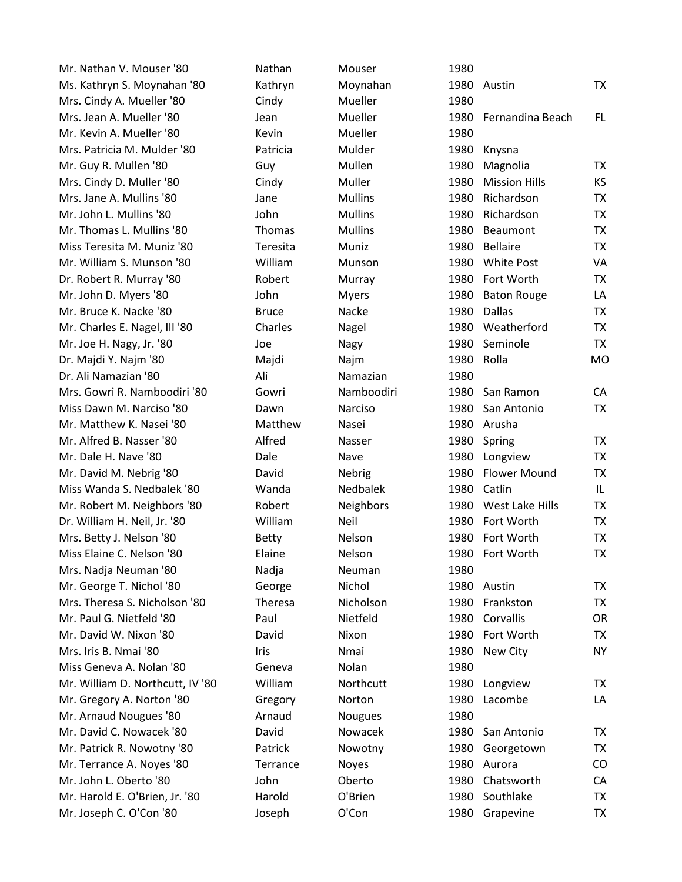| Mr. Nathan V. Mouser '80         | Nathan       | Mouser           | 1980 |                      |           |
|----------------------------------|--------------|------------------|------|----------------------|-----------|
| Ms. Kathryn S. Moynahan '80      | Kathryn      | Moynahan         | 1980 | Austin               | TX        |
| Mrs. Cindy A. Mueller '80        | Cindy        | Mueller          | 1980 |                      |           |
| Mrs. Jean A. Mueller '80         | Jean         | Mueller          | 1980 | Fernandina Beach     | FL.       |
| Mr. Kevin A. Mueller '80         | Kevin        | Mueller          | 1980 |                      |           |
| Mrs. Patricia M. Mulder '80      | Patricia     | Mulder           | 1980 | Knysna               |           |
| Mr. Guy R. Mullen '80            | Guy          | Mullen           | 1980 | Magnolia             | TX        |
| Mrs. Cindy D. Muller '80         | Cindy        | Muller           | 1980 | <b>Mission Hills</b> | <b>KS</b> |
| Mrs. Jane A. Mullins '80         | Jane         | <b>Mullins</b>   | 1980 | Richardson           | TX        |
| Mr. John L. Mullins '80          | John         | <b>Mullins</b>   | 1980 | Richardson           | <b>TX</b> |
| Mr. Thomas L. Mullins '80        | Thomas       | <b>Mullins</b>   | 1980 | Beaumont             | <b>TX</b> |
| Miss Teresita M. Muniz '80       | Teresita     | Muniz            | 1980 | <b>Bellaire</b>      | <b>TX</b> |
| Mr. William S. Munson '80        | William      | Munson           | 1980 | <b>White Post</b>    | VA        |
| Dr. Robert R. Murray '80         | Robert       | Murray           | 1980 | Fort Worth           | <b>TX</b> |
| Mr. John D. Myers '80            | John         | <b>Myers</b>     | 1980 | <b>Baton Rouge</b>   | LA        |
| Mr. Bruce K. Nacke '80           | <b>Bruce</b> | Nacke            | 1980 | <b>Dallas</b>        | TX        |
| Mr. Charles E. Nagel, III '80    | Charles      | Nagel            | 1980 | Weatherford          | <b>TX</b> |
| Mr. Joe H. Nagy, Jr. '80         | Joe          | Nagy             | 1980 | Seminole             | <b>TX</b> |
| Dr. Majdi Y. Najm '80            | Majdi        | Najm             | 1980 | Rolla                | <b>MO</b> |
| Dr. Ali Namazian '80             | Ali          | Namazian         | 1980 |                      |           |
| Mrs. Gowri R. Namboodiri '80     | Gowri        | Namboodiri       | 1980 | San Ramon            | CA        |
| Miss Dawn M. Narciso '80         | Dawn         | Narciso          | 1980 | San Antonio          | <b>TX</b> |
| Mr. Matthew K. Nasei '80         | Matthew      | Nasei            | 1980 | Arusha               |           |
| Mr. Alfred B. Nasser '80         | Alfred       | Nasser           | 1980 | Spring               | <b>TX</b> |
| Mr. Dale H. Nave '80             | Dale         | Nave             | 1980 | Longview             | <b>TX</b> |
| Mr. David M. Nebrig '80          | David        | Nebrig           | 1980 | <b>Flower Mound</b>  | <b>TX</b> |
| Miss Wanda S. Nedbalek '80       | Wanda        | Nedbalek         | 1980 | Catlin               | IL.       |
| Mr. Robert M. Neighbors '80      | Robert       | <b>Neighbors</b> | 1980 | West Lake Hills      | TX        |
| Dr. William H. Neil, Jr. '80     | William      | Neil             | 1980 | Fort Worth           | <b>TX</b> |
| Mrs. Betty J. Nelson '80         | Betty        | Nelson           | 1980 | Fort Worth           | TX        |
| Miss Elaine C. Nelson '80        | Elaine       | Nelson           | 1980 | Fort Worth           | <b>TX</b> |
| Mrs. Nadja Neuman '80            | Nadja        | Neuman           | 1980 |                      |           |
| Mr. George T. Nichol '80         | George       | Nichol           | 1980 | Austin               | TX        |
| Mrs. Theresa S. Nicholson '80    | Theresa      | Nicholson        | 1980 | Frankston            | TX        |
| Mr. Paul G. Nietfeld '80         | Paul         | Nietfeld         | 1980 | Corvallis            | <b>OR</b> |
| Mr. David W. Nixon '80           | David        | Nixon            | 1980 | Fort Worth           | <b>TX</b> |
| Mrs. Iris B. Nmai '80            | Iris         | Nmai             | 1980 | New City             | <b>NY</b> |
| Miss Geneva A. Nolan '80         | Geneva       | Nolan            | 1980 |                      |           |
| Mr. William D. Northcutt, IV '80 | William      | Northcutt        | 1980 | Longview             | TX        |
| Mr. Gregory A. Norton '80        | Gregory      | Norton           | 1980 | Lacombe              | LA        |
| Mr. Arnaud Nougues '80           | Arnaud       | <b>Nougues</b>   | 1980 |                      |           |
| Mr. David C. Nowacek '80         | David        | Nowacek          | 1980 | San Antonio          | ТX        |
| Mr. Patrick R. Nowotny '80       | Patrick      | Nowotny          | 1980 | Georgetown           | <b>TX</b> |
| Mr. Terrance A. Noyes '80        | Terrance     | Noyes            | 1980 | Aurora               | CO        |
| Mr. John L. Oberto '80           | John         | Oberto           | 1980 | Chatsworth           | CA        |
| Mr. Harold E. O'Brien, Jr. '80   | Harold       | O'Brien          | 1980 | Southlake            | <b>TX</b> |
| Mr. Joseph C. O'Con '80          | Joseph       | O'Con            | 1980 | Grapevine            | TX        |
|                                  |              |                  |      |                      |           |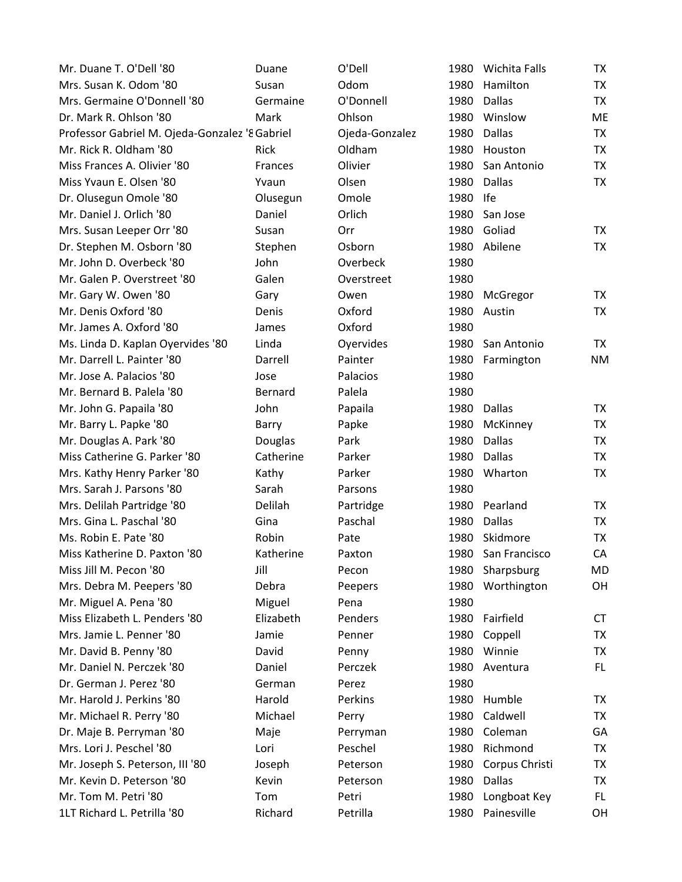| Mr. Duane T. O'Dell '80                        | Duane          | O'Dell         | 1980 | Wichita Falls   | <b>TX</b> |
|------------------------------------------------|----------------|----------------|------|-----------------|-----------|
| Mrs. Susan K. Odom '80                         | Susan          | Odom           | 1980 | Hamilton        | <b>TX</b> |
| Mrs. Germaine O'Donnell '80                    | Germaine       | O'Donnell      | 1980 | <b>Dallas</b>   | <b>TX</b> |
| Dr. Mark R. Ohlson '80                         | Mark           | Ohlson         | 1980 | Winslow         | ME        |
| Professor Gabriel M. Ojeda-Gonzalez '8 Gabriel |                | Ojeda-Gonzalez | 1980 | <b>Dallas</b>   | TX        |
| Mr. Rick R. Oldham '80                         | Rick           | Oldham         | 1980 | Houston         | TX        |
| Miss Frances A. Olivier '80                    | <b>Frances</b> | Olivier        | 1980 | San Antonio     | TX        |
| Miss Yvaun E. Olsen '80                        | Yvaun          | Olsen          | 1980 | <b>Dallas</b>   | TX        |
| Dr. Olusegun Omole '80                         | Olusegun       | Omole          | 1980 | <b>Ife</b>      |           |
| Mr. Daniel J. Orlich '80                       | Daniel         | Orlich         | 1980 | San Jose        |           |
| Mrs. Susan Leeper Orr '80                      | Susan          | Orr            | 1980 | Goliad          | TX        |
| Dr. Stephen M. Osborn '80                      | Stephen        | Osborn         | 1980 | Abilene         | TX        |
| Mr. John D. Overbeck '80                       | John           | Overbeck       | 1980 |                 |           |
| Mr. Galen P. Overstreet '80                    | Galen          | Overstreet     | 1980 |                 |           |
| Mr. Gary W. Owen '80                           | Gary           | Owen           | 1980 | McGregor        | TX        |
| Mr. Denis Oxford '80                           | Denis          | Oxford         | 1980 | Austin          | TX        |
| Mr. James A. Oxford '80                        | James          | Oxford         | 1980 |                 |           |
| Ms. Linda D. Kaplan Oyervides '80              | Linda          | Oyervides      | 1980 | San Antonio     | TX        |
| Mr. Darrell L. Painter '80                     | Darrell        | Painter        | 1980 | Farmington      | <b>NM</b> |
| Mr. Jose A. Palacios '80                       | Jose           | Palacios       | 1980 |                 |           |
| Mr. Bernard B. Palela '80                      | Bernard        | Palela         | 1980 |                 |           |
| Mr. John G. Papaila '80                        | John           | Papaila        | 1980 | Dallas          | TX        |
| Mr. Barry L. Papke '80                         | Barry          | Papke          | 1980 | McKinney        | <b>TX</b> |
| Mr. Douglas A. Park '80                        | Douglas        | Park           | 1980 | <b>Dallas</b>   | TX        |
| Miss Catherine G. Parker '80                   | Catherine      | Parker         | 1980 | <b>Dallas</b>   | TX        |
| Mrs. Kathy Henry Parker '80                    | Kathy          | Parker         | 1980 | Wharton         | <b>TX</b> |
| Mrs. Sarah J. Parsons '80                      | Sarah          | Parsons        | 1980 |                 |           |
| Mrs. Delilah Partridge '80                     | Delilah        | Partridge      | 1980 | Pearland        | <b>TX</b> |
| Mrs. Gina L. Paschal '80                       | Gina           | Paschal        | 1980 | <b>Dallas</b>   | TX        |
| Ms. Robin E. Pate '80                          | Robin          | Pate           | 1980 | Skidmore        | TX        |
| Miss Katherine D. Paxton '80                   | Katherine      | Paxton         | 1980 | San Francisco   | CA        |
| Miss Jill M. Pecon '80                         | Jill           | Pecon          |      | 1980 Sharpsburg | <b>MD</b> |
| Mrs. Debra M. Peepers '80                      | Debra          | Peepers        | 1980 | Worthington     | OH        |
| Mr. Miguel A. Pena '80                         | Miguel         | Pena           | 1980 |                 |           |
| Miss Elizabeth L. Penders '80                  | Elizabeth      | Penders        | 1980 | Fairfield       | <b>CT</b> |
| Mrs. Jamie L. Penner '80                       | Jamie          | Penner         | 1980 | Coppell         | TX        |
| Mr. David B. Penny '80                         | David          | Penny          | 1980 | Winnie          | TX        |
| Mr. Daniel N. Perczek '80                      | Daniel         | Perczek        | 1980 | Aventura        | FL.       |
| Dr. German J. Perez '80                        | German         | Perez          | 1980 |                 |           |
| Mr. Harold J. Perkins '80                      | Harold         | Perkins        | 1980 | Humble          | TX        |
| Mr. Michael R. Perry '80                       | Michael        | Perry          | 1980 | Caldwell        | <b>TX</b> |
| Dr. Maje B. Perryman '80                       | Maje           | Perryman       | 1980 | Coleman         | GA        |
| Mrs. Lori J. Peschel '80                       | Lori           | Peschel        | 1980 | Richmond        | TX        |
| Mr. Joseph S. Peterson, III '80                | Joseph         | Peterson       | 1980 | Corpus Christi  | <b>TX</b> |
| Mr. Kevin D. Peterson '80                      | Kevin          | Peterson       | 1980 | Dallas          | <b>TX</b> |
| Mr. Tom M. Petri '80                           | Tom            | Petri          | 1980 | Longboat Key    | FL.       |
| 1LT Richard L. Petrilla '80                    | Richard        | Petrilla       | 1980 | Painesville     | OH        |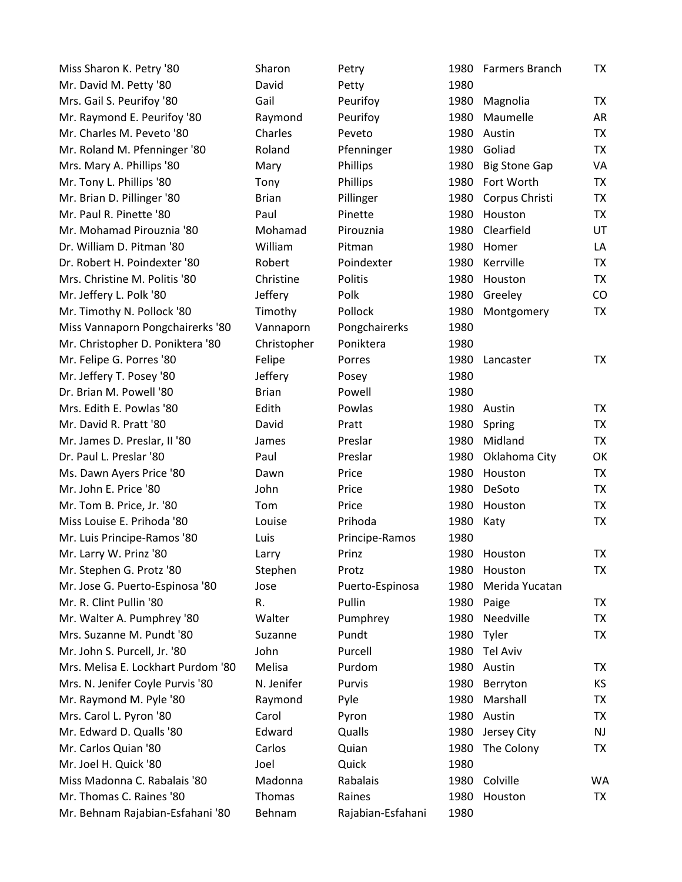| Miss Sharon K. Petry '80           | Sharon       | Petry             |      | 1980 Farmers Branch  | TX        |
|------------------------------------|--------------|-------------------|------|----------------------|-----------|
| Mr. David M. Petty '80             | David        | Petty             | 1980 |                      |           |
| Mrs. Gail S. Peurifoy '80          | Gail         | Peurifoy          | 1980 | Magnolia             | <b>TX</b> |
| Mr. Raymond E. Peurifoy '80        | Raymond      | Peurifoy          | 1980 | Maumelle             | AR        |
| Mr. Charles M. Peveto '80          | Charles      | Peveto            | 1980 | Austin               | <b>TX</b> |
| Mr. Roland M. Pfenninger '80       | Roland       | Pfenninger        | 1980 | Goliad               | TX        |
| Mrs. Mary A. Phillips '80          | Mary         | Phillips          | 1980 | <b>Big Stone Gap</b> | VA        |
| Mr. Tony L. Phillips '80           | Tony         | Phillips          | 1980 | Fort Worth           | <b>TX</b> |
| Mr. Brian D. Pillinger '80         | <b>Brian</b> | Pillinger         | 1980 | Corpus Christi       | <b>TX</b> |
| Mr. Paul R. Pinette '80            | Paul         | Pinette           | 1980 | Houston              | TX        |
| Mr. Mohamad Pirouznia '80          | Mohamad      | Pirouznia         | 1980 | Clearfield           | UT        |
| Dr. William D. Pitman '80          | William      | Pitman            | 1980 | Homer                | LA        |
| Dr. Robert H. Poindexter '80       | Robert       | Poindexter        | 1980 | Kerrville            | <b>TX</b> |
| Mrs. Christine M. Politis '80      | Christine    | Politis           | 1980 | Houston              | TX        |
| Mr. Jeffery L. Polk '80            | Jeffery      | Polk              | 1980 | Greeley              | CO        |
| Mr. Timothy N. Pollock '80         | Timothy      | Pollock           | 1980 | Montgomery           | <b>TX</b> |
| Miss Vannaporn Pongchairerks '80   | Vannaporn    | Pongchairerks     | 1980 |                      |           |
| Mr. Christopher D. Poniktera '80   | Christopher  | Poniktera         | 1980 |                      |           |
| Mr. Felipe G. Porres '80           | Felipe       | Porres            | 1980 | Lancaster            | <b>TX</b> |
| Mr. Jeffery T. Posey '80           | Jeffery      | Posey             | 1980 |                      |           |
| Dr. Brian M. Powell '80            | <b>Brian</b> | Powell            | 1980 |                      |           |
| Mrs. Edith E. Powlas '80           | Edith        | Powlas            | 1980 | Austin               | TX        |
| Mr. David R. Pratt '80             | David        | Pratt             | 1980 | Spring               | <b>TX</b> |
| Mr. James D. Preslar, II '80       | James        | Preslar           | 1980 | Midland              | TX        |
| Dr. Paul L. Preslar '80            | Paul         | Preslar           | 1980 | Oklahoma City        | OK        |
| Ms. Dawn Ayers Price '80           | Dawn         | Price             | 1980 | Houston              | TX        |
| Mr. John E. Price '80              | John         | Price             | 1980 | DeSoto               | <b>TX</b> |
| Mr. Tom B. Price, Jr. '80          | Tom          | Price             | 1980 | Houston              | <b>TX</b> |
| Miss Louise E. Prihoda '80         | Louise       | Prihoda           | 1980 | Katy                 | <b>TX</b> |
| Mr. Luis Principe-Ramos '80        | Luis         | Principe-Ramos    | 1980 |                      |           |
| Mr. Larry W. Prinz '80             | Larry        | Prinz             | 1980 | Houston              | <b>TX</b> |
| Mr. Stephen G. Protz '80           | Stephen      | Protz             | 1980 | Houston              | TX        |
| Mr. Jose G. Puerto-Espinosa '80    | Jose         | Puerto-Espinosa   | 1980 | Merida Yucatan       |           |
| Mr. R. Clint Pullin '80            | R.           | Pullin            |      | 1980 Paige           | TX        |
| Mr. Walter A. Pumphrey '80         | Walter       | Pumphrey          | 1980 | Needville            | TX        |
| Mrs. Suzanne M. Pundt '80          | Suzanne      | Pundt             | 1980 | Tyler                | <b>TX</b> |
| Mr. John S. Purcell, Jr. '80       | John         | Purcell           | 1980 | Tel Aviv             |           |
| Mrs. Melisa E. Lockhart Purdom '80 | Melisa       | Purdom            | 1980 | Austin               | TX        |
| Mrs. N. Jenifer Coyle Purvis '80   | N. Jenifer   | Purvis            | 1980 | Berryton             | KS.       |
| Mr. Raymond M. Pyle '80            | Raymond      | Pyle              | 1980 | Marshall             | TX        |
| Mrs. Carol L. Pyron '80            | Carol        | Pyron             | 1980 | Austin               | <b>TX</b> |
| Mr. Edward D. Qualls '80           | Edward       | Qualls            | 1980 | Jersey City          | NJ.       |
| Mr. Carlos Quian '80               | Carlos       | Quian             | 1980 | The Colony           | TX.       |
| Mr. Joel H. Quick '80              | Joel         | Quick             | 1980 |                      |           |
| Miss Madonna C. Rabalais '80       | Madonna      | Rabalais          | 1980 | Colville             | WA        |
| Mr. Thomas C. Raines '80           | Thomas       | Raines            | 1980 | Houston              | TX        |
| Mr. Behnam Rajabian-Esfahani '80   | Behnam       | Rajabian-Esfahani | 1980 |                      |           |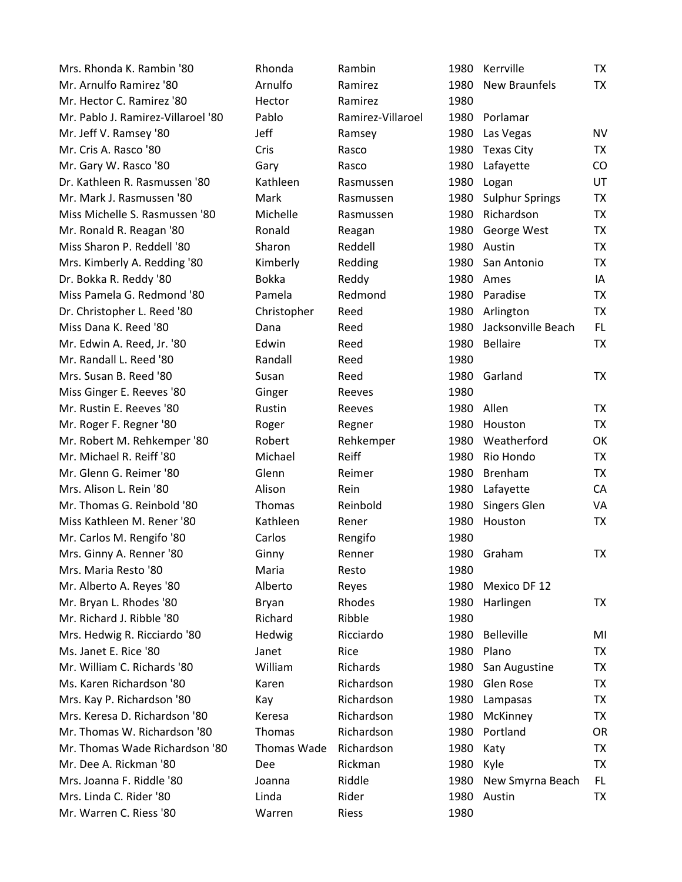| Mrs. Rhonda K. Rambin '80          | Rhonda        | Rambin            |      | 1980 Kerrville         | TX        |
|------------------------------------|---------------|-------------------|------|------------------------|-----------|
| Mr. Arnulfo Ramirez '80            | Arnulfo       | Ramirez           | 1980 | <b>New Braunfels</b>   | <b>TX</b> |
| Mr. Hector C. Ramirez '80          | Hector        | Ramirez           | 1980 |                        |           |
| Mr. Pablo J. Ramirez-Villaroel '80 | Pablo         | Ramirez-Villaroel | 1980 | Porlamar               |           |
| Mr. Jeff V. Ramsey '80             | Jeff          | Ramsey            | 1980 | Las Vegas              | <b>NV</b> |
| Mr. Cris A. Rasco '80              | Cris          | Rasco             | 1980 | Texas City             | TX        |
| Mr. Gary W. Rasco '80              | Gary          | Rasco             | 1980 | Lafayette              | CO        |
| Dr. Kathleen R. Rasmussen '80      | Kathleen      | Rasmussen         | 1980 | Logan                  | UT        |
| Mr. Mark J. Rasmussen '80          | Mark          | Rasmussen         | 1980 | <b>Sulphur Springs</b> | TX        |
| Miss Michelle S. Rasmussen '80     | Michelle      | Rasmussen         | 1980 | Richardson             | <b>TX</b> |
| Mr. Ronald R. Reagan '80           | Ronald        | Reagan            | 1980 | George West            | TX        |
| Miss Sharon P. Reddell '80         | Sharon        | Reddell           | 1980 | Austin                 | TX        |
| Mrs. Kimberly A. Redding '80       | Kimberly      | Redding           | 1980 | San Antonio            | <b>TX</b> |
| Dr. Bokka R. Reddy '80             | <b>Bokka</b>  | Reddy             | 1980 | Ames                   | IA        |
| Miss Pamela G. Redmond '80         | Pamela        | Redmond           | 1980 | Paradise               | <b>TX</b> |
| Dr. Christopher L. Reed '80        | Christopher   | Reed              | 1980 | Arlington              | TX        |
| Miss Dana K. Reed '80              | Dana          | Reed              | 1980 | Jacksonville Beach     | FL.       |
| Mr. Edwin A. Reed, Jr. '80         | Edwin         | Reed              | 1980 | <b>Bellaire</b>        | <b>TX</b> |
| Mr. Randall L. Reed '80            | Randall       | Reed              | 1980 |                        |           |
| Mrs. Susan B. Reed '80             | Susan         | Reed              |      | 1980 Garland           | TX        |
| Miss Ginger E. Reeves '80          | Ginger        | Reeves            | 1980 |                        |           |
| Mr. Rustin E. Reeves '80           | Rustin        | Reeves            | 1980 | Allen                  | TX        |
| Mr. Roger F. Regner '80            | Roger         | Regner            | 1980 | Houston                | TX        |
| Mr. Robert M. Rehkemper '80        | Robert        | Rehkemper         | 1980 | Weatherford            | OK        |
| Mr. Michael R. Reiff '80           | Michael       | Reiff             | 1980 | Rio Hondo              | TX        |
| Mr. Glenn G. Reimer '80            | Glenn         | Reimer            | 1980 | <b>Brenham</b>         | <b>TX</b> |
| Mrs. Alison L. Rein '80            | Alison        | Rein              | 1980 | Lafayette              | CA        |
| Mr. Thomas G. Reinbold '80         | <b>Thomas</b> | Reinbold          | 1980 | Singers Glen           | VA        |
| Miss Kathleen M. Rener '80         | Kathleen      | Rener             | 1980 | Houston                | TX        |
| Mr. Carlos M. Rengifo '80          | Carlos        | Rengifo           | 1980 |                        |           |
| Mrs. Ginny A. Renner '80           | Ginny         | Renner            |      | 1980 Graham            | ТX        |
| Mrs. Maria Resto '80               | Maria         | Resto             | 1980 |                        |           |
| Mr. Alberto A. Reyes '80           | Alberto       | Reyes             | 1980 | Mexico DF 12           |           |
| Mr. Bryan L. Rhodes '80            | Bryan         | Rhodes            | 1980 | Harlingen              | TX        |
| Mr. Richard J. Ribble '80          | Richard       | Ribble            | 1980 |                        |           |
| Mrs. Hedwig R. Ricciardo '80       | Hedwig        | Ricciardo         | 1980 | <b>Belleville</b>      | MI        |
| Ms. Janet E. Rice '80              | Janet         | Rice              | 1980 | Plano                  | TX        |
| Mr. William C. Richards '80        | William       | Richards          | 1980 | San Augustine          | TX        |
| Ms. Karen Richardson '80           | Karen         | Richardson        | 1980 | Glen Rose              | TX        |
| Mrs. Kay P. Richardson '80         | Kay           | Richardson        | 1980 | Lampasas               | <b>TX</b> |
| Mrs. Keresa D. Richardson '80      | Keresa        | Richardson        | 1980 | McKinney               | <b>TX</b> |
| Mr. Thomas W. Richardson '80       | <b>Thomas</b> | Richardson        | 1980 | Portland               | 0R        |
| Mr. Thomas Wade Richardson '80     | Thomas Wade   | Richardson        | 1980 | Katy                   | TX        |
| Mr. Dee A. Rickman '80             | Dee           | Rickman           | 1980 | Kyle                   | <b>TX</b> |
| Mrs. Joanna F. Riddle '80          | Joanna        | Riddle            | 1980 | New Smyrna Beach       | FL.       |
| Mrs. Linda C. Rider '80            | Linda         | Rider             | 1980 | Austin                 | TX        |
| Mr. Warren C. Riess '80            | Warren        | Riess             | 1980 |                        |           |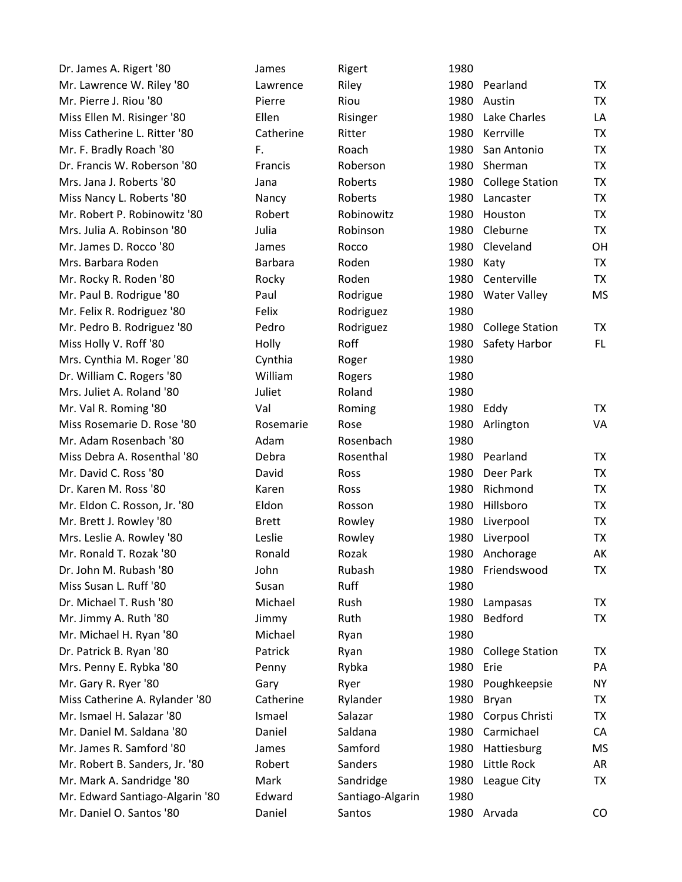| Dr. James A. Rigert '80         | James          | Rigert           | 1980 |                        |           |
|---------------------------------|----------------|------------------|------|------------------------|-----------|
| Mr. Lawrence W. Riley '80       | Lawrence       | Riley            | 1980 | Pearland               | <b>TX</b> |
| Mr. Pierre J. Riou '80          | Pierre         | Riou             | 1980 | Austin                 | <b>TX</b> |
| Miss Ellen M. Risinger '80      | Ellen          | Risinger         | 1980 | Lake Charles           | LA        |
| Miss Catherine L. Ritter '80    | Catherine      | Ritter           | 1980 | Kerrville              | <b>TX</b> |
| Mr. F. Bradly Roach '80         | F.             | Roach            | 1980 | San Antonio            | <b>TX</b> |
| Dr. Francis W. Roberson '80     | Francis        | Roberson         | 1980 | Sherman                | <b>TX</b> |
| Mrs. Jana J. Roberts '80        | Jana           | Roberts          | 1980 | <b>College Station</b> | <b>TX</b> |
| Miss Nancy L. Roberts '80       | Nancy          | Roberts          | 1980 | Lancaster              | <b>TX</b> |
| Mr. Robert P. Robinowitz '80    | Robert         | Robinowitz       | 1980 | Houston                | <b>TX</b> |
| Mrs. Julia A. Robinson '80      | Julia          | Robinson         | 1980 | Cleburne               | <b>TX</b> |
| Mr. James D. Rocco '80          | James          | Rocco            | 1980 | Cleveland              | OH        |
| Mrs. Barbara Roden              | <b>Barbara</b> | Roden            | 1980 | Katy                   | <b>TX</b> |
| Mr. Rocky R. Roden '80          | Rocky          | Roden            | 1980 | Centerville            | <b>TX</b> |
| Mr. Paul B. Rodrigue '80        | Paul           | Rodrigue         | 1980 | <b>Water Valley</b>    | <b>MS</b> |
| Mr. Felix R. Rodriguez '80      | Felix          | Rodriguez        | 1980 |                        |           |
| Mr. Pedro B. Rodriguez '80      | Pedro          | Rodriguez        | 1980 | <b>College Station</b> | <b>TX</b> |
| Miss Holly V. Roff '80          | Holly          | Roff             | 1980 | Safety Harbor          | FL.       |
| Mrs. Cynthia M. Roger '80       | Cynthia        | Roger            | 1980 |                        |           |
| Dr. William C. Rogers '80       | William        | Rogers           | 1980 |                        |           |
| Mrs. Juliet A. Roland '80       | Juliet         | Roland           | 1980 |                        |           |
| Mr. Val R. Roming '80           | Val            | Roming           | 1980 | Eddy                   | <b>TX</b> |
| Miss Rosemarie D. Rose '80      | Rosemarie      | Rose             | 1980 | Arlington              | VA        |
| Mr. Adam Rosenbach '80          | Adam           | Rosenbach        | 1980 |                        |           |
| Miss Debra A. Rosenthal '80     | Debra          | Rosenthal        | 1980 | Pearland               | <b>TX</b> |
| Mr. David C. Ross '80           | David          | Ross             | 1980 | Deer Park              | <b>TX</b> |
| Dr. Karen M. Ross '80           | Karen          | Ross             | 1980 | Richmond               | <b>TX</b> |
| Mr. Eldon C. Rosson, Jr. '80    | Eldon          | Rosson           | 1980 | Hillsboro              | <b>TX</b> |
| Mr. Brett J. Rowley '80         | <b>Brett</b>   | Rowley           | 1980 | Liverpool              | <b>TX</b> |
| Mrs. Leslie A. Rowley '80       | Leslie         | Rowley           | 1980 | Liverpool              | <b>TX</b> |
| Mr. Ronald T. Rozak '80         | Ronald         | Rozak            | 1980 | Anchorage              | AK        |
| Dr. John M. Rubash '80          | John           | Rubash           |      | 1980 Friendswood       | ТX        |
| Miss Susan L. Ruff '80          | Susan          | Ruff             | 1980 |                        |           |
| Dr. Michael T. Rush '80         | Michael        | Rush             | 1980 | Lampasas               | ТX        |
| Mr. Jimmy A. Ruth '80           | Jimmy          | Ruth             | 1980 | <b>Bedford</b>         | <b>TX</b> |
| Mr. Michael H. Ryan '80         | Michael        | Ryan             | 1980 |                        |           |
| Dr. Patrick B. Ryan '80         | Patrick        | Ryan             | 1980 | <b>College Station</b> | ТX        |
| Mrs. Penny E. Rybka '80         | Penny          | Rybka            | 1980 | Erie                   | PA        |
| Mr. Gary R. Ryer '80            | Gary           | Ryer             | 1980 | Poughkeepsie           | <b>NY</b> |
| Miss Catherine A. Rylander '80  | Catherine      | Rylander         | 1980 | Bryan                  | ТX        |
| Mr. Ismael H. Salazar '80       | Ismael         | Salazar          | 1980 | Corpus Christi         | <b>TX</b> |
| Mr. Daniel M. Saldana '80       | Daniel         | Saldana          | 1980 | Carmichael             | CA        |
| Mr. James R. Samford '80        | James          | Samford          | 1980 | Hattiesburg            | <b>MS</b> |
| Mr. Robert B. Sanders, Jr. '80  | Robert         | Sanders          | 1980 | Little Rock            | <b>AR</b> |
| Mr. Mark A. Sandridge '80       | Mark           | Sandridge        | 1980 | League City            | TX        |
| Mr. Edward Santiago-Algarin '80 | Edward         | Santiago-Algarin | 1980 |                        |           |
| Mr. Daniel O. Santos '80        | Daniel         | Santos           |      | 1980 Arvada            | CO        |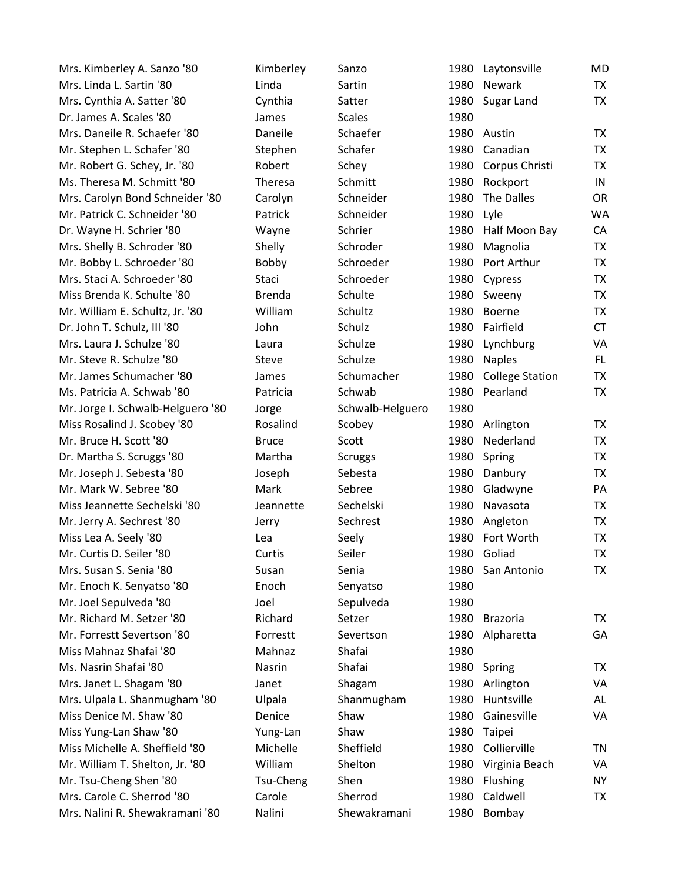| Mrs. Kimberley A. Sanzo '80       | Kimberley     | Sanzo            | 1980 | Laytonsville           | MD        |
|-----------------------------------|---------------|------------------|------|------------------------|-----------|
| Mrs. Linda L. Sartin '80          | Linda         | Sartin           | 1980 | Newark                 | <b>TX</b> |
| Mrs. Cynthia A. Satter '80        | Cynthia       | Satter           | 1980 | Sugar Land             | TX        |
| Dr. James A. Scales '80           | James         | <b>Scales</b>    | 1980 |                        |           |
| Mrs. Daneile R. Schaefer '80      | Daneile       | Schaefer         | 1980 | Austin                 | TX        |
| Mr. Stephen L. Schafer '80        | Stephen       | Schafer          | 1980 | Canadian               | TX        |
| Mr. Robert G. Schey, Jr. '80      | Robert        | Schey            | 1980 | Corpus Christi         | TX        |
| Ms. Theresa M. Schmitt '80        | Theresa       | Schmitt          | 1980 | Rockport               | IN        |
| Mrs. Carolyn Bond Schneider '80   | Carolyn       | Schneider        | 1980 | The Dalles             | <b>OR</b> |
| Mr. Patrick C. Schneider '80      | Patrick       | Schneider        | 1980 | Lyle                   | WA        |
| Dr. Wayne H. Schrier '80          | Wayne         | Schrier          | 1980 | Half Moon Bay          | CA        |
| Mrs. Shelly B. Schroder '80       | Shelly        | Schroder         | 1980 | Magnolia               | TX        |
| Mr. Bobby L. Schroeder '80        | Bobby         | Schroeder        | 1980 | Port Arthur            | <b>TX</b> |
| Mrs. Staci A. Schroeder '80       | Staci         | Schroeder        | 1980 | Cypress                | <b>TX</b> |
| Miss Brenda K. Schulte '80        | <b>Brenda</b> | Schulte          | 1980 | Sweeny                 | <b>TX</b> |
| Mr. William E. Schultz, Jr. '80   | William       | Schultz          | 1980 | Boerne                 | <b>TX</b> |
| Dr. John T. Schulz, III '80       | John          | Schulz           | 1980 | Fairfield              | <b>CT</b> |
| Mrs. Laura J. Schulze '80         | Laura         | Schulze          | 1980 | Lynchburg              | VA        |
| Mr. Steve R. Schulze '80          | Steve         | Schulze          | 1980 | <b>Naples</b>          | FL.       |
| Mr. James Schumacher '80          | James         | Schumacher       | 1980 | <b>College Station</b> | <b>TX</b> |
| Ms. Patricia A. Schwab '80        | Patricia      | Schwab           | 1980 | Pearland               | <b>TX</b> |
| Mr. Jorge I. Schwalb-Helguero '80 | Jorge         | Schwalb-Helguero | 1980 |                        |           |
| Miss Rosalind J. Scobey '80       | Rosalind      | Scobey           | 1980 | Arlington              | TX        |
| Mr. Bruce H. Scott '80            | <b>Bruce</b>  | Scott            | 1980 | Nederland              | TX        |
| Dr. Martha S. Scruggs '80         | Martha        | <b>Scruggs</b>   | 1980 | Spring                 | TX        |
| Mr. Joseph J. Sebesta '80         | Joseph        | Sebesta          | 1980 | Danbury                | TX        |
| Mr. Mark W. Sebree '80            | Mark          | Sebree           | 1980 | Gladwyne               | PA        |
| Miss Jeannette Sechelski '80      | Jeannette     | Sechelski        | 1980 | Navasota               | TX        |
| Mr. Jerry A. Sechrest '80         | Jerry         | Sechrest         | 1980 | Angleton               | TX        |
| Miss Lea A. Seely '80             | Lea           | Seely            | 1980 | Fort Worth             | <b>TX</b> |
| Mr. Curtis D. Seiler '80          | Curtis        | Seiler           | 1980 | Goliad                 | TX        |
| Mrs. Susan S. Senia '80           | Susan         | Senia            | 1980 | San Antonio            | <b>TX</b> |
| Mr. Enoch K. Senyatso '80         | Enoch         | Senyatso         | 1980 |                        |           |
| Mr. Joel Sepulveda '80            | Joel          | Sepulveda        | 1980 |                        |           |
| Mr. Richard M. Setzer '80         | Richard       | Setzer           | 1980 | <b>Brazoria</b>        | <b>TX</b> |
| Mr. Forrestt Severtson '80        | Forrestt      | Severtson        | 1980 | Alpharetta             | GA        |
| Miss Mahnaz Shafai '80            | Mahnaz        | Shafai           | 1980 |                        |           |
| Ms. Nasrin Shafai '80             | Nasrin        | Shafai           | 1980 | Spring                 | <b>TX</b> |
| Mrs. Janet L. Shagam '80          | Janet         | Shagam           | 1980 | Arlington              | VA        |
| Mrs. Ulpala L. Shanmugham '80     | Ulpala        | Shanmugham       | 1980 | Huntsville             | AL        |
| Miss Denice M. Shaw '80           | Denice        | Shaw             | 1980 | Gainesville            | VA        |
| Miss Yung-Lan Shaw '80            | Yung-Lan      | Shaw             | 1980 | Taipei                 |           |
| Miss Michelle A. Sheffield '80    | Michelle      | Sheffield        | 1980 | Collierville           | TN        |
| Mr. William T. Shelton, Jr. '80   | William       | Shelton          | 1980 | Virginia Beach         | VA        |
| Mr. Tsu-Cheng Shen '80            | Tsu-Cheng     | Shen             | 1980 | Flushing               | <b>NY</b> |
| Mrs. Carole C. Sherrod '80        | Carole        | Sherrod          | 1980 | Caldwell               | <b>TX</b> |
| Mrs. Nalini R. Shewakramani '80   | Nalini        | Shewakramani     | 1980 | Bombay                 |           |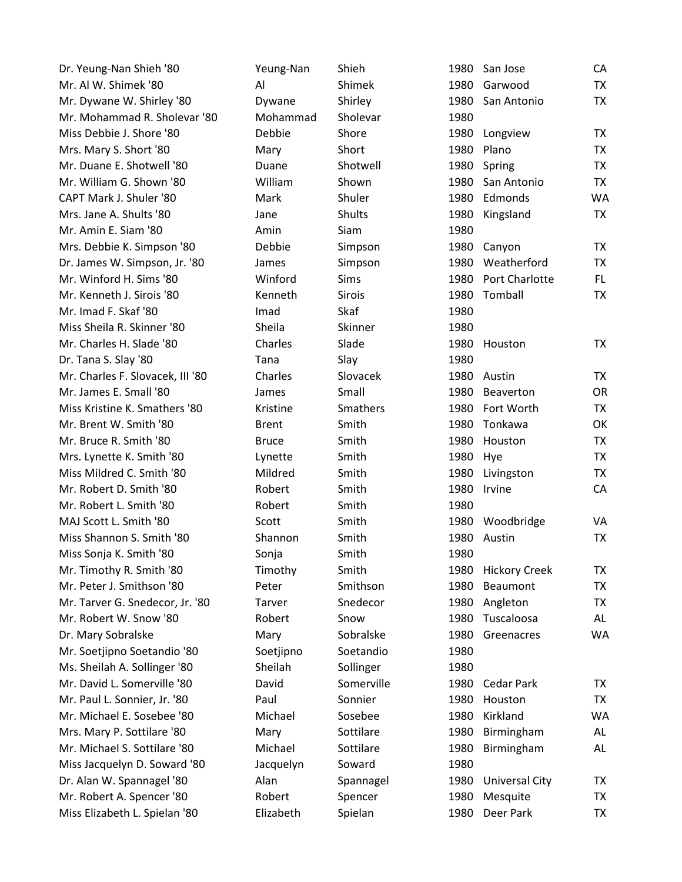| Dr. Yeung-Nan Shieh '80          | Yeung-Nan    | Shieh         | 1980 | San Jose              | CA        |
|----------------------------------|--------------|---------------|------|-----------------------|-----------|
| Mr. Al W. Shimek '80             | Al           | Shimek        | 1980 | Garwood               | TX        |
| Mr. Dywane W. Shirley '80        | Dywane       | Shirley       | 1980 | San Antonio           | <b>TX</b> |
| Mr. Mohammad R. Sholevar '80     | Mohammad     | Sholevar      | 1980 |                       |           |
| Miss Debbie J. Shore '80         | Debbie       | Shore         | 1980 | Longview              | <b>TX</b> |
| Mrs. Mary S. Short '80           | Mary         | Short         | 1980 | Plano                 | <b>TX</b> |
| Mr. Duane E. Shotwell '80        | Duane        | Shotwell      | 1980 | Spring                | <b>TX</b> |
| Mr. William G. Shown '80         | William      | Shown         | 1980 | San Antonio           | <b>TX</b> |
| CAPT Mark J. Shuler '80          | Mark         | Shuler        | 1980 | Edmonds               | <b>WA</b> |
| Mrs. Jane A. Shults '80          | Jane         | <b>Shults</b> | 1980 | Kingsland             | TX        |
| Mr. Amin E. Siam '80             | Amin         | Siam          | 1980 |                       |           |
| Mrs. Debbie K. Simpson '80       | Debbie       | Simpson       | 1980 | Canyon                | TX        |
| Dr. James W. Simpson, Jr. '80    | James        | Simpson       | 1980 | Weatherford           | <b>TX</b> |
| Mr. Winford H. Sims '80          | Winford      | <b>Sims</b>   | 1980 | Port Charlotte        | FL.       |
| Mr. Kenneth J. Sirois '80        | Kenneth      | <b>Sirois</b> | 1980 | Tomball               | TX        |
| Mr. Imad F. Skaf '80             | Imad         | Skaf          | 1980 |                       |           |
| Miss Sheila R. Skinner '80       | Sheila       | Skinner       | 1980 |                       |           |
| Mr. Charles H. Slade '80         | Charles      | Slade         | 1980 | Houston               | TX        |
| Dr. Tana S. Slay '80             | Tana         | Slay          | 1980 |                       |           |
| Mr. Charles F. Slovacek, III '80 | Charles      | Slovacek      | 1980 | Austin                | TX        |
| Mr. James E. Small '80           | James        | Small         | 1980 | <b>Beaverton</b>      | OR        |
| Miss Kristine K. Smathers '80    | Kristine     | Smathers      | 1980 | Fort Worth            | <b>TX</b> |
| Mr. Brent W. Smith '80           | <b>Brent</b> | Smith         | 1980 | Tonkawa               | OK        |
| Mr. Bruce R. Smith '80           | <b>Bruce</b> | Smith         | 1980 | Houston               | <b>TX</b> |
| Mrs. Lynette K. Smith '80        | Lynette      | Smith         | 1980 | Hye                   | <b>TX</b> |
| Miss Mildred C. Smith '80        | Mildred      | Smith         | 1980 | Livingston            | TX        |
| Mr. Robert D. Smith '80          | Robert       | Smith         | 1980 | Irvine                | CA        |
| Mr. Robert L. Smith '80          | Robert       | Smith         | 1980 |                       |           |
| MAJ Scott L. Smith '80           | Scott        | Smith         | 1980 | Woodbridge            | VA        |
| Miss Shannon S. Smith '80        | Shannon      | Smith         | 1980 | Austin                | TX        |
| Miss Sonja K. Smith '80          | Sonja        | Smith         | 1980 |                       |           |
| Mr. Timothy R. Smith '80         | Timothy      | Smith         | 1980 | <b>Hickory Creek</b>  | TX        |
| Mr. Peter J. Smithson '80        | Peter        | Smithson      | 1980 | Beaumont              | <b>TX</b> |
| Mr. Tarver G. Snedecor, Jr. '80  | Tarver       | Snedecor      | 1980 | Angleton              | <b>TX</b> |
| Mr. Robert W. Snow '80           | Robert       | Snow          | 1980 | Tuscaloosa            | AL        |
| Dr. Mary Sobralske               | Mary         | Sobralske     | 1980 | Greenacres            | <b>WA</b> |
| Mr. Soetjipno Soetandio '80      | Soetjipno    | Soetandio     | 1980 |                       |           |
| Ms. Sheilah A. Sollinger '80     | Sheilah      | Sollinger     | 1980 |                       |           |
| Mr. David L. Somerville '80      | David        | Somerville    | 1980 | Cedar Park            | TX        |
| Mr. Paul L. Sonnier, Jr. '80     | Paul         | Sonnier       | 1980 | Houston               | <b>TX</b> |
| Mr. Michael E. Sosebee '80       | Michael      | Sosebee       | 1980 | Kirkland              | <b>WA</b> |
| Mrs. Mary P. Sottilare '80       | Mary         | Sottilare     | 1980 | Birmingham            | AL        |
| Mr. Michael S. Sottilare '80     | Michael      | Sottilare     | 1980 | Birmingham            | AL.       |
| Miss Jacquelyn D. Soward '80     | Jacquelyn    | Soward        | 1980 |                       |           |
| Dr. Alan W. Spannagel '80        | Alan         | Spannagel     | 1980 | <b>Universal City</b> | TX        |
| Mr. Robert A. Spencer '80        | Robert       | Spencer       | 1980 | Mesquite              | TX        |
| Miss Elizabeth L. Spielan '80    | Elizabeth    | Spielan       | 1980 | Deer Park             | TX        |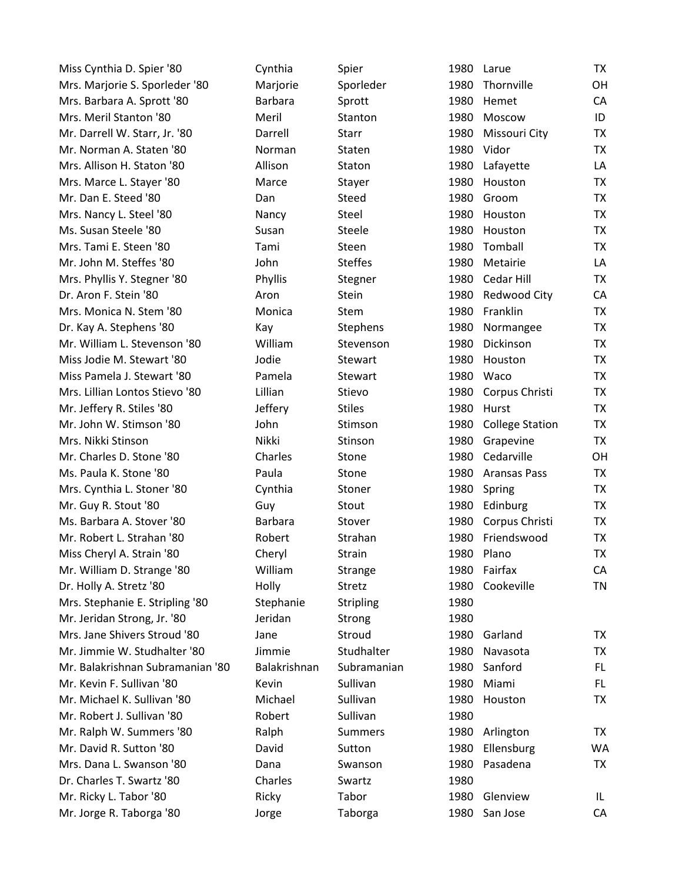| Miss Cynthia D. Spier '80        | Cynthia        | Spier            | 1980 | Larue                  | <b>TX</b> |
|----------------------------------|----------------|------------------|------|------------------------|-----------|
| Mrs. Marjorie S. Sporleder '80   | Marjorie       | Sporleder        | 1980 | Thornville             | OH        |
| Mrs. Barbara A. Sprott '80       | <b>Barbara</b> | Sprott           | 1980 | Hemet                  | CA        |
| Mrs. Meril Stanton '80           | Meril          | Stanton          | 1980 | Moscow                 | ID        |
| Mr. Darrell W. Starr, Jr. '80    | Darrell        | Starr            | 1980 | Missouri City          | <b>TX</b> |
| Mr. Norman A. Staten '80         | Norman         | Staten           | 1980 | Vidor                  | <b>TX</b> |
| Mrs. Allison H. Staton '80       | Allison        | Staton           | 1980 | Lafayette              | LA        |
| Mrs. Marce L. Stayer '80         | Marce          | Stayer           | 1980 | Houston                | TX        |
| Mr. Dan E. Steed '80             | Dan            | Steed            | 1980 | Groom                  | <b>TX</b> |
| Mrs. Nancy L. Steel '80          | Nancy          | Steel            | 1980 | Houston                | TX        |
| Ms. Susan Steele '80             | Susan          | Steele           | 1980 | Houston                | TX        |
| Mrs. Tami E. Steen '80           | Tami           | Steen            | 1980 | Tomball                | TX        |
| Mr. John M. Steffes '80          | John           | <b>Steffes</b>   | 1980 | Metairie               | LA        |
| Mrs. Phyllis Y. Stegner '80      | Phyllis        | Stegner          | 1980 | Cedar Hill             | <b>TX</b> |
| Dr. Aron F. Stein '80            | Aron           | Stein            | 1980 | <b>Redwood City</b>    | CA        |
| Mrs. Monica N. Stem '80          | Monica         | <b>Stem</b>      | 1980 | Franklin               | TX        |
| Dr. Kay A. Stephens '80          | Kay            | Stephens         | 1980 | Normangee              | <b>TX</b> |
| Mr. William L. Stevenson '80     | William        | Stevenson        | 1980 | Dickinson              | <b>TX</b> |
| Miss Jodie M. Stewart '80        | Jodie          | Stewart          | 1980 | Houston                | <b>TX</b> |
| Miss Pamela J. Stewart '80       | Pamela         | Stewart          | 1980 | Waco                   | TX        |
| Mrs. Lillian Lontos Stievo '80   | Lillian        | Stievo           | 1980 | Corpus Christi         | <b>TX</b> |
| Mr. Jeffery R. Stiles '80        | Jeffery        | <b>Stiles</b>    | 1980 | Hurst                  | <b>TX</b> |
| Mr. John W. Stimson '80          | John           | Stimson          | 1980 | <b>College Station</b> | <b>TX</b> |
| Mrs. Nikki Stinson               | <b>Nikki</b>   | Stinson          | 1980 | Grapevine              | <b>TX</b> |
| Mr. Charles D. Stone '80         | Charles        | Stone            |      | 1980 Cedarville        | <b>OH</b> |
| Ms. Paula K. Stone '80           | Paula          | Stone            | 1980 | <b>Aransas Pass</b>    | TX        |
| Mrs. Cynthia L. Stoner '80       | Cynthia        | Stoner           | 1980 | Spring                 | TX        |
| Mr. Guy R. Stout '80             | Guy            | Stout            | 1980 | Edinburg               | TX        |
| Ms. Barbara A. Stover '80        | <b>Barbara</b> | Stover           | 1980 | Corpus Christi         | TX        |
| Mr. Robert L. Strahan '80        | Robert         | Strahan          | 1980 | Friendswood            | TX        |
| Miss Cheryl A. Strain '80        | Cheryl         | Strain           | 1980 | Plano                  | <b>TX</b> |
| Mr. William D. Strange '80       | William        | Strange          |      | 1980 Fairfax           | CA        |
| Dr. Holly A. Stretz '80          | Holly          | Stretz           | 1980 | Cookeville             | <b>TN</b> |
| Mrs. Stephanie E. Stripling '80  | Stephanie      | <b>Stripling</b> | 1980 |                        |           |
| Mr. Jeridan Strong, Jr. '80      | Jeridan        | Strong           | 1980 |                        |           |
| Mrs. Jane Shivers Stroud '80     | Jane           | Stroud           | 1980 | Garland                | TX        |
| Mr. Jimmie W. Studhalter '80     | Jimmie         | Studhalter       | 1980 | Navasota               | TX        |
| Mr. Balakrishnan Subramanian '80 | Balakrishnan   | Subramanian      | 1980 | Sanford                | FL.       |
| Mr. Kevin F. Sullivan '80        | Kevin          | Sullivan         | 1980 | Miami                  | FL.       |
| Mr. Michael K. Sullivan '80      | Michael        | Sullivan         | 1980 | Houston                | <b>TX</b> |
| Mr. Robert J. Sullivan '80       | Robert         | Sullivan         | 1980 |                        |           |
| Mr. Ralph W. Summers '80         | Ralph          | <b>Summers</b>   | 1980 | Arlington              | TX        |
| Mr. David R. Sutton '80          | David          | Sutton           | 1980 | Ellensburg             | <b>WA</b> |
| Mrs. Dana L. Swanson '80         | Dana           | Swanson          | 1980 | Pasadena               | TX        |
| Dr. Charles T. Swartz '80        | Charles        | Swartz           | 1980 |                        |           |
| Mr. Ricky L. Tabor '80           | Ricky          | Tabor            | 1980 | Glenview               | IL.       |
| Mr. Jorge R. Taborga '80         | Jorge          | Taborga          | 1980 | San Jose               | CA        |
|                                  |                |                  |      |                        |           |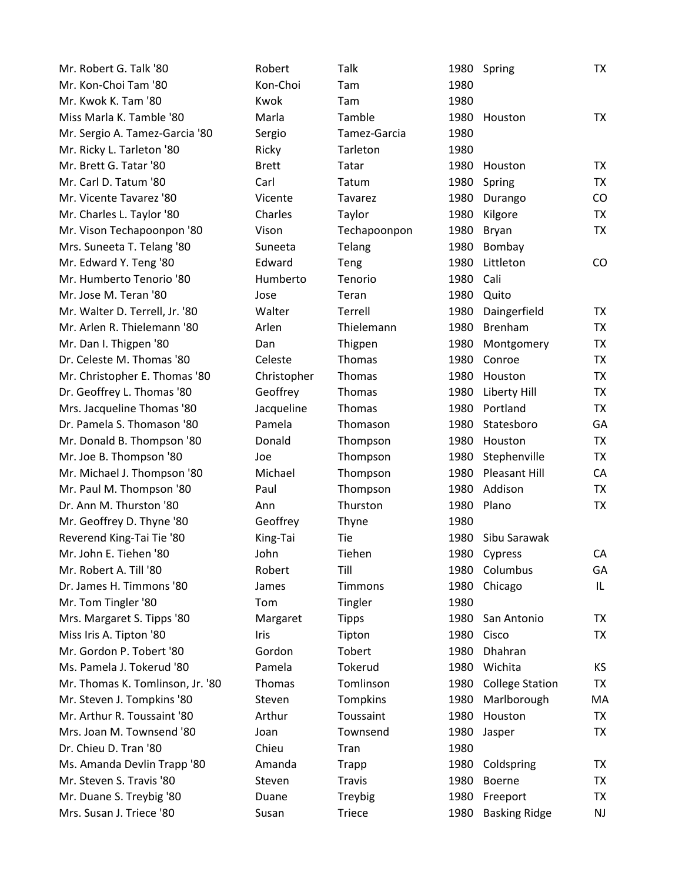| Mr. Robert G. Talk '80           | Robert       | Talk          |      | 1980 Spring            | <b>TX</b> |
|----------------------------------|--------------|---------------|------|------------------------|-----------|
| Mr. Kon-Choi Tam '80             | Kon-Choi     | Tam           | 1980 |                        |           |
| Mr. Kwok K. Tam '80              | Kwok         | Tam           | 1980 |                        |           |
| Miss Marla K. Tamble '80         | Marla        | Tamble        | 1980 | Houston                | <b>TX</b> |
| Mr. Sergio A. Tamez-Garcia '80   | Sergio       | Tamez-Garcia  | 1980 |                        |           |
| Mr. Ricky L. Tarleton '80        | Ricky        | Tarleton      | 1980 |                        |           |
| Mr. Brett G. Tatar '80           | <b>Brett</b> | Tatar         | 1980 | Houston                | TX        |
| Mr. Carl D. Tatum '80            | Carl         | Tatum         | 1980 | Spring                 | TX        |
| Mr. Vicente Tavarez '80          | Vicente      | Tavarez       | 1980 | Durango                | CO        |
| Mr. Charles L. Taylor '80        | Charles      | Taylor        | 1980 | Kilgore                | <b>TX</b> |
| Mr. Vison Techapoonpon '80       | Vison        | Techapoonpon  | 1980 | Bryan                  | TX        |
| Mrs. Suneeta T. Telang '80       | Suneeta      | Telang        | 1980 | Bombay                 |           |
| Mr. Edward Y. Teng '80           | Edward       | Teng          | 1980 | Littleton              | CO        |
| Mr. Humberto Tenorio '80         | Humberto     | Tenorio       | 1980 | Cali                   |           |
| Mr. Jose M. Teran '80            | Jose         | Teran         | 1980 | Quito                  |           |
| Mr. Walter D. Terrell, Jr. '80   | Walter       | Terrell       | 1980 | Daingerfield           | TX        |
| Mr. Arlen R. Thielemann '80      | Arlen        | Thielemann    | 1980 | <b>Brenham</b>         | <b>TX</b> |
| Mr. Dan I. Thigpen '80           | Dan          | Thigpen       | 1980 | Montgomery             | <b>TX</b> |
| Dr. Celeste M. Thomas '80        | Celeste      | Thomas        | 1980 | Conroe                 | <b>TX</b> |
| Mr. Christopher E. Thomas '80    | Christopher  | Thomas        | 1980 | Houston                | <b>TX</b> |
| Dr. Geoffrey L. Thomas '80       | Geoffrey     | Thomas        | 1980 | Liberty Hill           | TX        |
| Mrs. Jacqueline Thomas '80       | Jacqueline   | Thomas        | 1980 | Portland               | <b>TX</b> |
| Dr. Pamela S. Thomason '80       | Pamela       | Thomason      | 1980 | Statesboro             | GA        |
| Mr. Donald B. Thompson '80       | Donald       | Thompson      | 1980 | Houston                | <b>TX</b> |
| Mr. Joe B. Thompson '80          | Joe          | Thompson      | 1980 | Stephenville           | TX        |
| Mr. Michael J. Thompson '80      | Michael      | Thompson      | 1980 | <b>Pleasant Hill</b>   | CA        |
| Mr. Paul M. Thompson '80         | Paul         | Thompson      | 1980 | Addison                | TX        |
| Dr. Ann M. Thurston '80          | Ann          | Thurston      | 1980 | Plano                  | <b>TX</b> |
| Mr. Geoffrey D. Thyne '80        | Geoffrey     | Thyne         | 1980 |                        |           |
| Reverend King-Tai Tie '80        | King-Tai     | Tie           | 1980 | Sibu Sarawak           |           |
| Mr. John E. Tiehen '80           | John         | Tiehen        | 1980 | Cypress                | CA        |
| Mr. Robert A. Till '80           | Robert       | Till          |      | 1980 Columbus          | GA        |
| Dr. James H. Timmons '80         | James        | Timmons       | 1980 | Chicago                | IL.       |
| Mr. Tom Tingler '80              | Tom          | Tingler       | 1980 |                        |           |
| Mrs. Margaret S. Tipps '80       | Margaret     | <b>Tipps</b>  | 1980 | San Antonio            | TX        |
| Miss Iris A. Tipton '80          | Iris         | Tipton        | 1980 | Cisco                  | TX        |
| Mr. Gordon P. Tobert '80         | Gordon       | Tobert        | 1980 | Dhahran                |           |
| Ms. Pamela J. Tokerud '80        | Pamela       | Tokerud       | 1980 | Wichita                | КS        |
| Mr. Thomas K. Tomlinson, Jr. '80 | Thomas       | Tomlinson     | 1980 | <b>College Station</b> | TX        |
| Mr. Steven J. Tompkins '80       | Steven       | Tompkins      | 1980 | Marlborough            | MA        |
| Mr. Arthur R. Toussaint '80      | Arthur       | Toussaint     | 1980 | Houston                | <b>TX</b> |
| Mrs. Joan M. Townsend '80        | Joan         | Townsend      | 1980 | Jasper                 | TX        |
| Dr. Chieu D. Tran '80            | Chieu        | Tran          | 1980 |                        |           |
| Ms. Amanda Devlin Trapp '80      | Amanda       | Trapp         | 1980 | Coldspring             | TX        |
| Mr. Steven S. Travis '80         | Steven       | Travis        | 1980 | Boerne                 | TX        |
| Mr. Duane S. Treybig '80         | Duane        | Treybig       | 1980 | Freeport               | TX        |
| Mrs. Susan J. Triece '80         | Susan        | <b>Triece</b> | 1980 | <b>Basking Ridge</b>   | NJ        |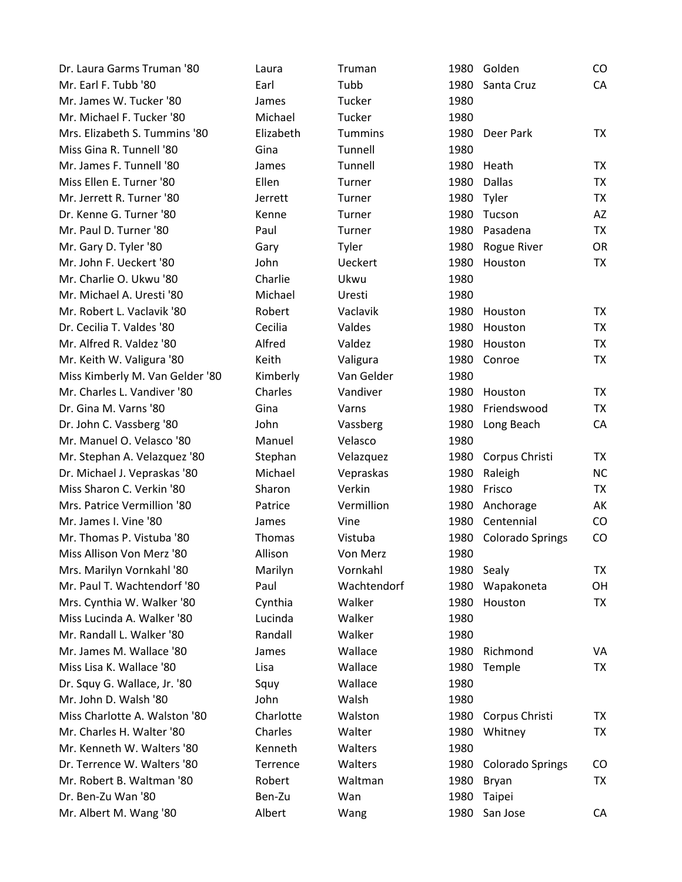| Dr. Laura Garms Truman '80      | Laura     | Truman         | 1980       | Golden                  | $\rm CO$  |
|---------------------------------|-----------|----------------|------------|-------------------------|-----------|
| Mr. Earl F. Tubb '80            | Earl      | Tubb           | 1980       | Santa Cruz              | CA        |
| Mr. James W. Tucker '80         | James     | Tucker         | 1980       |                         |           |
| Mr. Michael F. Tucker '80       | Michael   | Tucker         | 1980       |                         |           |
| Mrs. Elizabeth S. Tummins '80   | Elizabeth | <b>Tummins</b> | 1980       | Deer Park               | TX.       |
| Miss Gina R. Tunnell '80        | Gina      | Tunnell        | 1980       |                         |           |
| Mr. James F. Tunnell '80        | James     | Tunnell        | 1980       | Heath                   | <b>TX</b> |
| Miss Ellen E. Turner '80        | Ellen     | Turner         | 1980       | <b>Dallas</b>           | TX        |
| Mr. Jerrett R. Turner '80       | Jerrett   | Turner         | 1980       | Tyler                   | TX        |
| Dr. Kenne G. Turner '80         | Kenne     | Turner         | 1980       | Tucson                  | <b>AZ</b> |
| Mr. Paul D. Turner '80          | Paul      | Turner         | 1980       | Pasadena                | TX        |
| Mr. Gary D. Tyler '80           | Gary      | Tyler          | 1980       | Rogue River             | <b>OR</b> |
| Mr. John F. Ueckert '80         | John      | <b>Ueckert</b> | 1980       | Houston                 | <b>TX</b> |
| Mr. Charlie O. Ukwu '80         | Charlie   | Ukwu           | 1980       |                         |           |
| Mr. Michael A. Uresti '80       | Michael   | Uresti         | 1980       |                         |           |
| Mr. Robert L. Vaclavik '80      | Robert    | Vaclavik       | 1980       | Houston                 | TX        |
| Dr. Cecilia T. Valdes '80       | Cecilia   | Valdes         | 1980       | Houston                 | <b>TX</b> |
| Mr. Alfred R. Valdez '80        | Alfred    | Valdez         | 1980       | Houston                 | TX        |
| Mr. Keith W. Valigura '80       | Keith     | Valigura       | 1980       | Conroe                  | <b>TX</b> |
| Miss Kimberly M. Van Gelder '80 | Kimberly  | Van Gelder     | 1980       |                         |           |
| Mr. Charles L. Vandiver '80     | Charles   | Vandiver       | 1980       | Houston                 | TX        |
| Dr. Gina M. Varns '80           | Gina      | Varns          | 1980       | Friendswood             | TX        |
| Dr. John C. Vassberg '80        | John      | Vassberg       | 1980       | Long Beach              | CA        |
| Mr. Manuel O. Velasco '80       | Manuel    | Velasco        | 1980       |                         |           |
| Mr. Stephan A. Velazquez '80    | Stephan   | Velazquez      | 1980       | Corpus Christi          | TX        |
| Dr. Michael J. Vepraskas '80    | Michael   | Vepraskas      | 1980       | Raleigh                 | NC        |
| Miss Sharon C. Verkin '80       | Sharon    | Verkin         | 1980       | Frisco                  | TX        |
| Mrs. Patrice Vermillion '80     | Patrice   | Vermillion     | 1980       | Anchorage               | AK        |
| Mr. James I. Vine '80           | James     | Vine           | 1980       | Centennial              | CO        |
| Mr. Thomas P. Vistuba '80       | Thomas    | Vistuba        | 1980       | <b>Colorado Springs</b> | CO        |
| Miss Allison Von Merz '80       | Allison   | Von Merz       | 1980       |                         |           |
| Mrs. Marilyn Vornkahl '80       | Marilyn   | Vornkahl       | 1980 Sealy |                         | TX        |
| Mr. Paul T. Wachtendorf '80     | Paul      | Wachtendorf    | 1980       | Wapakoneta              | OH        |
| Mrs. Cynthia W. Walker '80      | Cynthia   | Walker         | 1980       | Houston                 | TX        |
| Miss Lucinda A. Walker '80      | Lucinda   | Walker         | 1980       |                         |           |
| Mr. Randall L. Walker '80       | Randall   | Walker         | 1980       |                         |           |
| Mr. James M. Wallace '80        | James     | Wallace        | 1980       | Richmond                | VA        |
| Miss Lisa K. Wallace '80        | Lisa      | Wallace        | 1980       | Temple                  | <b>TX</b> |
| Dr. Squy G. Wallace, Jr. '80    | Squy      | Wallace        | 1980       |                         |           |
| Mr. John D. Walsh '80           | John      | Walsh          | 1980       |                         |           |
| Miss Charlotte A. Walston '80   | Charlotte | Walston        | 1980       | Corpus Christi          | TX        |
| Mr. Charles H. Walter '80       | Charles   | Walter         | 1980       | Whitney                 | TX        |
| Mr. Kenneth W. Walters '80      | Kenneth   | Walters        | 1980       |                         |           |
| Dr. Terrence W. Walters '80     | Terrence  | Walters        | 1980       | <b>Colorado Springs</b> | CO        |
| Mr. Robert B. Waltman '80       | Robert    | Waltman        | 1980       | Bryan                   | <b>TX</b> |
| Dr. Ben-Zu Wan '80              | Ben-Zu    | Wan            | 1980       | Taipei                  |           |
| Mr. Albert M. Wang '80          | Albert    | Wang           |            | 1980 San Jose           | CA        |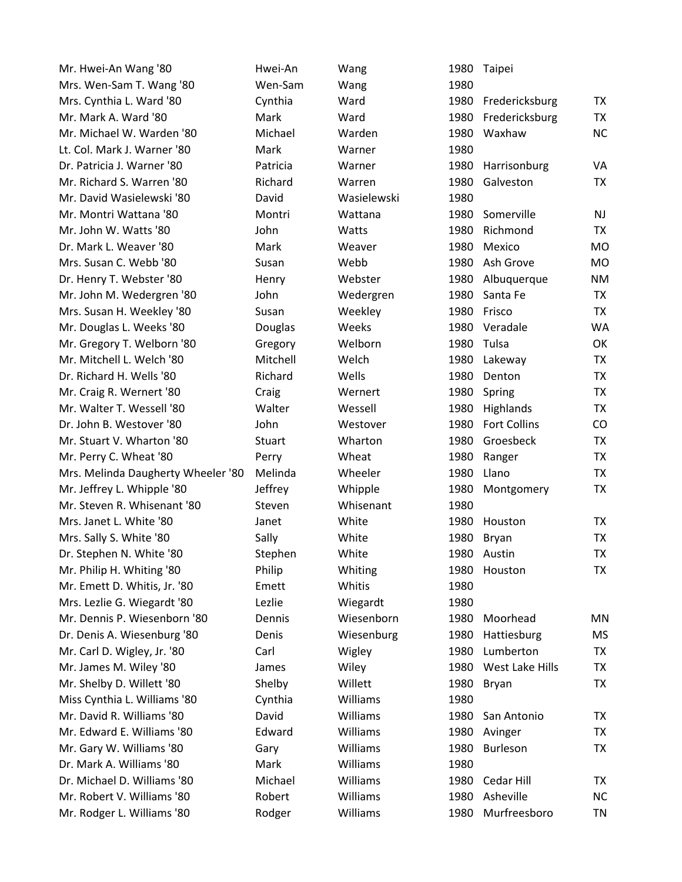| Mr. Hwei-An Wang '80               | Hwei-An  | Wang        |      | 1980 Taipei         |           |
|------------------------------------|----------|-------------|------|---------------------|-----------|
| Mrs. Wen-Sam T. Wang '80           | Wen-Sam  | Wang        | 1980 |                     |           |
| Mrs. Cynthia L. Ward '80           | Cynthia  | Ward        |      | 1980 Fredericksburg | TX        |
| Mr. Mark A. Ward '80               | Mark     | Ward        | 1980 | Fredericksburg      | <b>TX</b> |
| Mr. Michael W. Warden '80          | Michael  | Warden      | 1980 | Waxhaw              | <b>NC</b> |
| Lt. Col. Mark J. Warner '80        | Mark     | Warner      | 1980 |                     |           |
| Dr. Patricia J. Warner '80         | Patricia | Warner      | 1980 | Harrisonburg        | VA        |
| Mr. Richard S. Warren '80          | Richard  | Warren      | 1980 | Galveston           | TX        |
| Mr. David Wasielewski '80          | David    | Wasielewski | 1980 |                     |           |
| Mr. Montri Wattana '80             | Montri   | Wattana     | 1980 | Somerville          | <b>NJ</b> |
| Mr. John W. Watts '80              | John     | Watts       | 1980 | Richmond            | <b>TX</b> |
| Dr. Mark L. Weaver '80             | Mark     | Weaver      | 1980 | Mexico              | <b>MO</b> |
| Mrs. Susan C. Webb '80             | Susan    | Webb        | 1980 | Ash Grove           | <b>MO</b> |
| Dr. Henry T. Webster '80           | Henry    | Webster     | 1980 | Albuquerque         | NM        |
| Mr. John M. Wedergren '80          | John     | Wedergren   | 1980 | Santa Fe            | TX        |
| Mrs. Susan H. Weekley '80          | Susan    | Weekley     | 1980 | Frisco              | <b>TX</b> |
| Mr. Douglas L. Weeks '80           | Douglas  | Weeks       | 1980 | Veradale            | <b>WA</b> |
| Mr. Gregory T. Welborn '80         | Gregory  | Welborn     | 1980 | Tulsa               | OK        |
| Mr. Mitchell L. Welch '80          | Mitchell | Welch       | 1980 | Lakeway             | TX        |
| Dr. Richard H. Wells '80           | Richard  | Wells       | 1980 | Denton              | TX        |
| Mr. Craig R. Wernert '80           | Craig    | Wernert     | 1980 | Spring              | <b>TX</b> |
| Mr. Walter T. Wessell '80          | Walter   | Wessell     | 1980 | Highlands           | <b>TX</b> |
| Dr. John B. Westover '80           | John     | Westover    | 1980 | <b>Fort Collins</b> | CO        |
| Mr. Stuart V. Wharton '80          | Stuart   | Wharton     | 1980 | Groesbeck           | TX        |
| Mr. Perry C. Wheat '80             | Perry    | Wheat       | 1980 | Ranger              | TX        |
| Mrs. Melinda Daugherty Wheeler '80 | Melinda  | Wheeler     | 1980 | Llano               | TX        |
| Mr. Jeffrey L. Whipple '80         | Jeffrey  | Whipple     | 1980 | Montgomery          | <b>TX</b> |
| Mr. Steven R. Whisenant '80        | Steven   | Whisenant   | 1980 |                     |           |
| Mrs. Janet L. White '80            | Janet    | White       | 1980 | Houston             | TX        |
| Mrs. Sally S. White '80            | Sally    | White       | 1980 | Bryan               | <b>TX</b> |
| Dr. Stephen N. White '80           | Stephen  | White       | 1980 | Austin              | <b>TX</b> |
| Mr. Philip H. Whiting '80          | Philip   | Whiting     | 1980 | Houston             | <b>TX</b> |
| Mr. Emett D. Whitis, Jr. '80       | Emett    | Whitis      | 1980 |                     |           |
| Mrs. Lezlie G. Wiegardt '80        | Lezlie   | Wiegardt    | 1980 |                     |           |
| Mr. Dennis P. Wiesenborn '80       | Dennis   | Wiesenborn  | 1980 | Moorhead            | MN        |
| Dr. Denis A. Wiesenburg '80        | Denis    | Wiesenburg  | 1980 | Hattiesburg         | MS        |
| Mr. Carl D. Wigley, Jr. '80        | Carl     | Wigley      | 1980 | Lumberton           | TX        |
| Mr. James M. Wiley '80             | James    | Wiley       | 1980 | West Lake Hills     | <b>TX</b> |
| Mr. Shelby D. Willett '80          | Shelby   | Willett     | 1980 | Bryan               | <b>TX</b> |
| Miss Cynthia L. Williams '80       | Cynthia  | Williams    | 1980 |                     |           |
| Mr. David R. Williams '80          | David    | Williams    | 1980 | San Antonio         | TX        |
| Mr. Edward E. Williams '80         | Edward   | Williams    | 1980 | Avinger             | TX        |
| Mr. Gary W. Williams '80           | Gary     | Williams    | 1980 | <b>Burleson</b>     | <b>TX</b> |
| Dr. Mark A. Williams '80           | Mark     | Williams    | 1980 |                     |           |
| Dr. Michael D. Williams '80        | Michael  | Williams    | 1980 | Cedar Hill          | TX        |
| Mr. Robert V. Williams '80         | Robert   | Williams    | 1980 | Asheville           | <b>NC</b> |
| Mr. Rodger L. Williams '80         | Rodger   | Williams    | 1980 | Murfreesboro        | TN        |